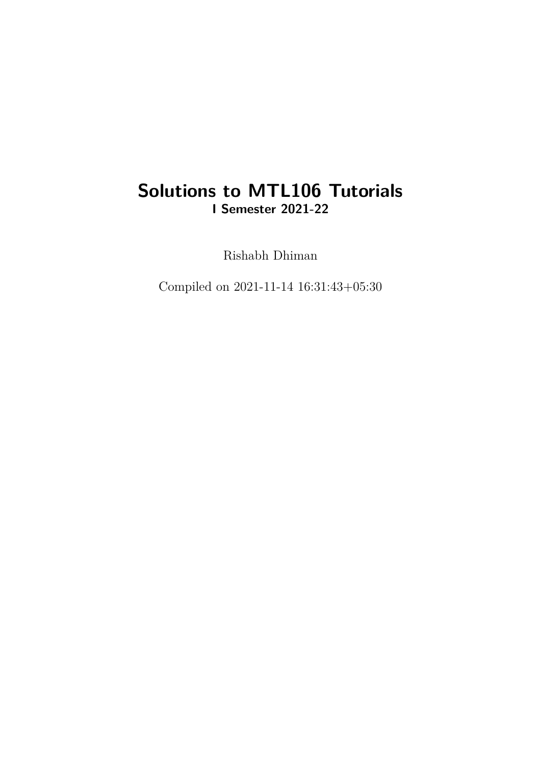### **Solutions to MTL106 Tutorials I Semester 2021-22**

Rishabh Dhiman

Compiled on 2021-11-14 16:31:43+05:30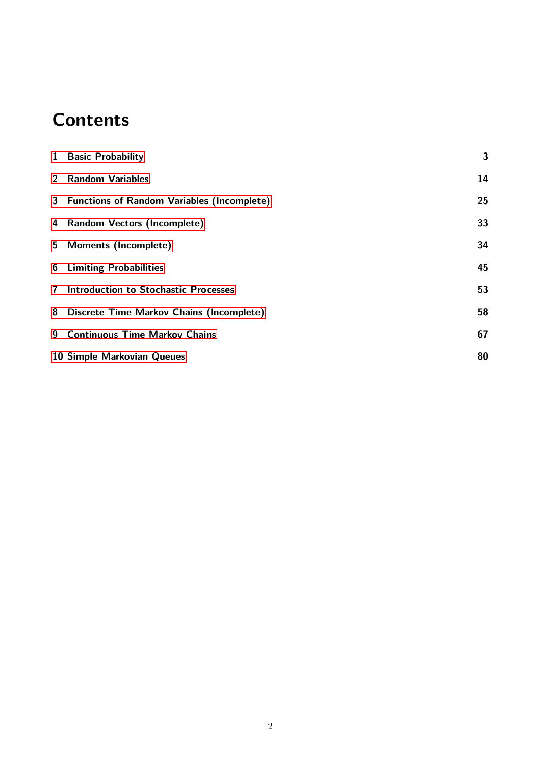## **Contents**

|                | 1 Basic Probability                          | 3  |
|----------------|----------------------------------------------|----|
|                | 2 Random Variables                           | 14 |
|                | 3 Functions of Random Variables (Incomplete) | 25 |
|                | 4 Random Vectors (Incomplete)                | 33 |
|                | 5 Moments (Incomplete)                       | 34 |
|                | <b>6</b> Limiting Probabilities              | 45 |
| 7 <sup>7</sup> | <b>Introduction to Stochastic Processes</b>  | 53 |
|                | 8 Discrete Time Markov Chains (Incomplete)   | 58 |
| 9              | <b>Continuous Time Markov Chains</b>         | 67 |
|                | 10 Simple Markovian Queues                   | 80 |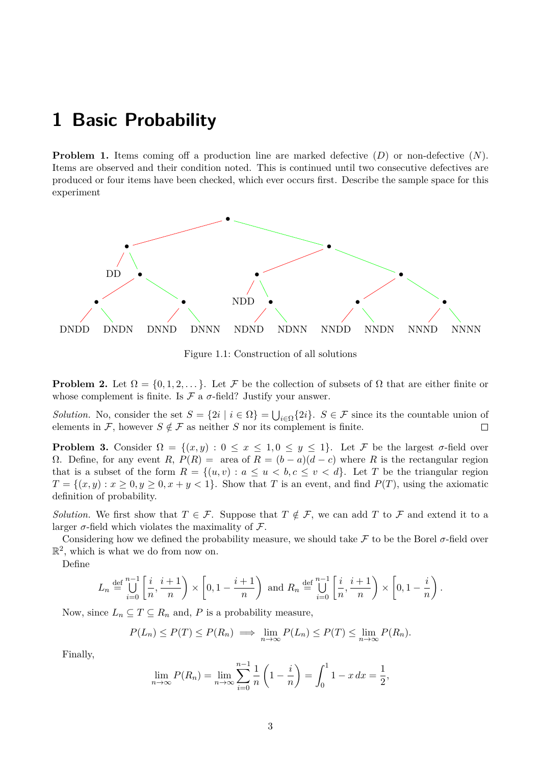### <span id="page-2-0"></span>**1 Basic Probability**

**Problem 1.** Items coming off a production line are marked defective  $(D)$  or non-defective  $(N)$ . Items are observed and their condition noted. This is continued until two consecutive defectives are produced or four items have been checked, which ever occurs first. Describe the sample space for this experiment



Figure 1.1: Construction of all solutions

**Problem 2.** Let  $\Omega = \{0, 1, 2, \dots\}$ . Let F be the collection of subsets of  $\Omega$  that are either finite or whose complement is finite. Is  $\mathcal F$  a  $\sigma$ -field? Justify your answer.

*Solution.* No, consider the set  $S = \{2i \mid i \in \Omega\} = \bigcup_{i \in \Omega} \{2i\}.$  S  $\in \mathcal{F}$  since its the countable union of elements in F, however  $S \notin \mathcal{F}$  as neither S nor its complement is finite.  $\Box$ 

**Problem 3.** Consider  $\Omega = \{(x, y) : 0 \le x \le 1, 0 \le y \le 1\}$ . Let F be the largest  $\sigma$ -field over Ω. Define, for any event R,  $P(R) = \text{area of } R = (b - a)(d - c)$  where R is the rectangular region that is a subset of the form  $R = \{(u, v) : a \le u < b, c \le v < d\}$ . Let T be the triangular region  $T = \{(x, y) : x \geq 0, y \geq 0, x + y < 1\}$ . Show that T is an event, and find  $P(T)$ , using the axiomatic definition of probability.

*Solution.* We first show that  $T \in \mathcal{F}$ . Suppose that  $T \notin \mathcal{F}$ , we can add T to F and extend it to a larger  $\sigma$ -field which violates the maximality of  $\mathcal{F}$ .

Considering how we defined the probability measure, we should take F to be the Borel  $\sigma$ -field over  $\mathbb{R}^2$ , which is what we do from now on.

Define

$$
L_n \stackrel{\text{def}}{=} \bigcup_{i=0}^{n-1} \left[ \frac{i}{n}, \frac{i+1}{n} \right) \times \left[ 0, 1 - \frac{i+1}{n} \right) \text{ and } R_n \stackrel{\text{def}}{=} \bigcup_{i=0}^{n-1} \left[ \frac{i}{n}, \frac{i+1}{n} \right) \times \left[ 0, 1 - \frac{i}{n} \right).
$$

Now, since  $L_n \subseteq T \subseteq R_n$  and, P is a probability measure,

$$
P(L_n) \le P(T) \le P(R_n) \implies \lim_{n \to \infty} P(L_n) \le P(T) \le \lim_{n \to \infty} P(R_n).
$$

Finally,

$$
\lim_{n \to \infty} P(R_n) = \lim_{n \to \infty} \sum_{i=0}^{n-1} \frac{1}{n} \left( 1 - \frac{i}{n} \right) = \int_0^1 1 - x \, dx = \frac{1}{2},
$$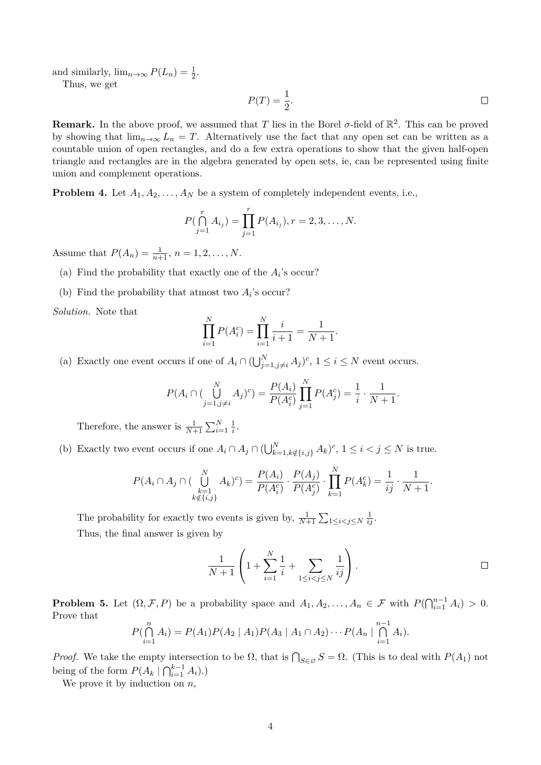and similarly,  $\lim_{n\to\infty} P(L_n) = \frac{1}{2}$ .

Thus, we get

$$
P(T) = \frac{1}{2}.\tag{}
$$

**Remark.** In the above proof, we assumed that T lies in the Borel  $\sigma$ -field of  $\mathbb{R}^2$ . This can be proved by showing that  $\lim_{n\to\infty} L_n = T$ . Alternatively use the fact that any open set can be written as a countable union of open rectangles, and do a few extra operations to show that the given half-open triangle and rectangles are in the algebra generated by open sets, ie, can be represented using finite union and complement operations.

**Problem 4.** Let  $A_1, A_2, \ldots, A_N$  be a system of completely independent events, i.e.,

$$
P(\bigcap_{j=1}^{r} A_{i_j}) = \prod_{j=1}^{r} P(A_{i_j}), r = 2, 3, ..., N.
$$

Assume that  $P(A_n) = \frac{1}{n+1}, n = 1, 2, ..., N$ .

- (a) Find the probability that exactly one of the  $A_i$ 's occur?
- (b) Find the probability that atmost two  $A_i$ 's occur?

*Solution.* Note that

$$
\prod_{i=1}^{N} P(A_i^c) = \prod_{i=1}^{N} \frac{i}{i+1} = \frac{1}{N+1}.
$$

(a) Exactly one event occurs if one of  $A_i \cap (\bigcup_{j=1,j\neq i}^N A_j)^c$ ,  $1 \leq i \leq N$  event occurs.

$$
P(A_i \cap (\bigcup_{j=1, j \neq i}^{N} A_j)^c) = \frac{P(A_i)}{P(A_i^c)} \prod_{j=1}^{N} P(A_j^c) = \frac{1}{i} \cdot \frac{1}{N+1}.
$$

Therefore, the answer is  $\frac{1}{N+1} \sum_{i=1}^{N} \frac{1}{i}$  $\frac{1}{i}$ .

(b) Exactly two event occurs if one  $A_i \cap A_j \cap (\bigcup_{k=1,k \notin \{i,j\}}^N A_k)^c$ ,  $1 \leq i < j \leq N$  is true.

$$
P(A_i \cap A_j \cap (\bigcup_{\substack{k=1\\k \notin \{i,j\}}}^{N} A_k)^c) = \frac{P(A_i)}{P(A_i^c)} \cdot \frac{P(A_j)}{P(A_j^c)} \cdot \prod_{k=1}^{N} P(A_k^c) = \frac{1}{ij} \cdot \frac{1}{N+1}.
$$

The probability for exactly two events is given by,  $\frac{1}{N+1} \sum_{1 \leq i < j \leq N} \frac{1}{ij}$ . Thus, the final answer is given by

$$
\frac{1}{N+1} \left( 1 + \sum_{i=1}^{N} \frac{1}{i} + \sum_{1 \le i < j \le N} \frac{1}{ij} \right) .
$$

**Problem 5.** Let  $(\Omega, \mathcal{F}, P)$  be a probability space and  $A_1, A_2, \ldots, A_n \in \mathcal{F}$  with  $P(\bigcap_{i=1}^{n-1} A_i) > 0$ . Prove that

$$
P(\bigcap_{i=1}^{n} A_i) = P(A_1)P(A_2 | A_1)P(A_3 | A_1 \cap A_2) \cdots P(A_n | \bigcap_{i=1}^{n-1} A_i).
$$

*Proof.* We take the empty intersection to be  $\Omega$ , that is  $\bigcap_{S \in \emptyset} S = \Omega$ . (This is to deal with  $P(A_1)$  not being of the form  $P(A_k | \bigcap_{i=1}^{k-1} A_i)$ .

We prove it by induction on  $n$ ,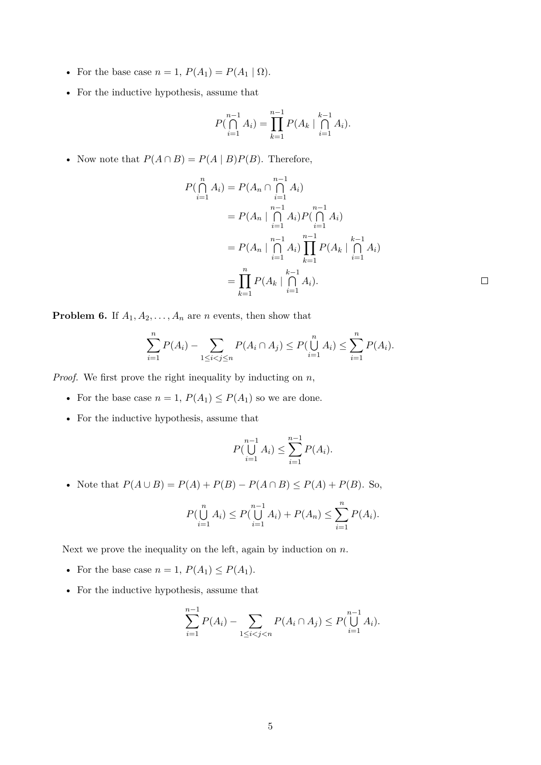- For the base case  $n = 1$ ,  $P(A_1) = P(A_1 | \Omega)$ .
- For the inductive hypothesis, assume that

$$
P(\bigcap_{i=1}^{n-1} A_i) = \prod_{k=1}^{n-1} P(A_k \mid \bigcap_{i=1}^{k-1} A_i).
$$

• Now note that  $P(A \cap B) = P(A | B)P(B)$ . Therefore,

$$
P(\bigcap_{i=1}^{n} A_i) = P(A_n \cap \bigcap_{i=1}^{n-1} A_i)
$$
  
=  $P(A_n \mid \bigcap_{i=1}^{n-1} A_i) P(\bigcap_{i=1}^{n-1} A_i)$   
=  $P(A_n \mid \bigcap_{i=1}^{n-1} A_i) \prod_{k=1}^{n-1} P(A_k \mid \bigcap_{i=1}^{k-1} A_i)$   
=  $\prod_{k=1}^{n} P(A_k \mid \bigcap_{i=1}^{k-1} A_i).$ 

 $\Box$ 

**Problem 6.** If  $A_1, A_2, \ldots, A_n$  are *n* events, then show that

$$
\sum_{i=1}^{n} P(A_i) - \sum_{1 \leq i < j \leq n} P(A_i \cap A_j) \leq P(\bigcup_{i=1}^{n} A_i) \leq \sum_{i=1}^{n} P(A_i).
$$

*Proof.* We first prove the right inequality by inducting on n,

- For the base case  $n = 1$ ,  $P(A_1) \le P(A_1)$  so we are done.
- For the inductive hypothesis, assume that

$$
P(\bigcup_{i=1}^{n-1} A_i) \le \sum_{i=1}^{n-1} P(A_i).
$$

• Note that  $P(A \cup B) = P(A) + P(B) - P(A \cap B) \le P(A) + P(B)$ . So,

$$
P(\bigcup_{i=1}^{n} A_i) \le P(\bigcup_{i=1}^{n-1} A_i) + P(A_n) \le \sum_{i=1}^{n} P(A_i).
$$

Next we prove the inequality on the left, again by induction on  $n$ .

- For the base case  $n = 1$ ,  $P(A_1) \le P(A_1)$ .
- For the inductive hypothesis, assume that

$$
\sum_{i=1}^{n-1} P(A_i) - \sum_{1 \le i < j < n} P(A_i \cap A_j) \le P\left(\bigcup_{i=1}^{n-1} A_i\right).
$$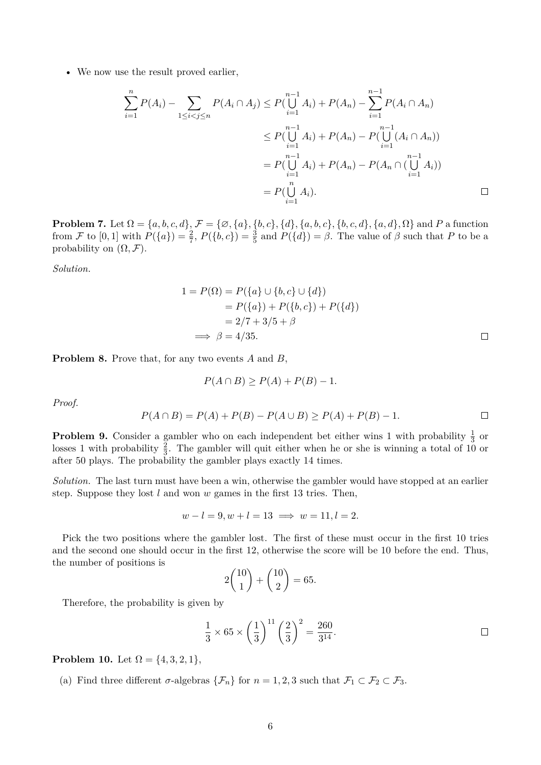• We now use the result proved earlier,

$$
\sum_{i=1}^{n} P(A_i) - \sum_{1 \le i < j \le n} P(A_i \cap A_j) \le P(\bigcup_{i=1}^{n-1} A_i) + P(A_n) - \sum_{i=1}^{n-1} P(A_i \cap A_n)
$$
\n
$$
\le P(\bigcup_{i=1}^{n-1} A_i) + P(A_n) - P(\bigcup_{i=1}^{n-1} (A_i \cap A_n))
$$
\n
$$
= P(\bigcup_{i=1}^{n-1} A_i) + P(A_n) - P(A_n \cap (\bigcup_{i=1}^{n-1} A_i))
$$
\n
$$
= P(\bigcup_{i=1}^{n} A_i).
$$

**Problem 7.** Let  $\Omega = \{a, b, c, d\}$ ,  $\mathcal{F} = \{\emptyset, \{a\}, \{b, c\}, \{d\}, \{a, b, c\}, \{b, c, d\}, \{a, d\}, \Omega\}$  and P a function from F to  $[0,1]$  with  $P({a}) = \frac{2}{7}$ ,  $P({b,c}) = \frac{3}{5}$  and  $P({d}) = \beta$ . The value of  $\beta$  such that P to be a probability on  $(\Omega, \mathcal{F})$ .

*Solution.*

$$
1 = P(\Omega) = P({a} \cup {b, c} \cup {d})
$$
  
= P({a}) + P({b, c}) + P({d})  
= 2/7 + 3/5 + \beta  

$$
\implies \beta = 4/35.
$$

**Problem 8.** Prove that, for any two events A and B,

$$
P(A \cap B) \ge P(A) + P(B) - 1.
$$

*Proof.*

$$
P(A \cap B) = P(A) + P(B) - P(A \cup B) \ge P(A) + P(B) - 1.
$$

**Problem 9.** Consider a gambler who on each independent bet either wins 1 with probability  $\frac{1}{3}$  or losses 1 with probability  $\frac{2}{3}$ . The gambler will quit either when he or she is winning a total of 10 or after 50 plays. The probability the gambler plays exactly 14 times.

*Solution.* The last turn must have been a win, otherwise the gambler would have stopped at an earlier step. Suppose they lost  $l$  and won  $w$  games in the first 13 tries. Then,

$$
w - l = 9, w + l = 13 \implies w = 11, l = 2.
$$

Pick the two positions where the gambler lost. The first of these must occur in the first 10 tries and the second one should occur in the first 12, otherwise the score will be 10 before the end. Thus, the number of positions is

$$
2\binom{10}{1} + \binom{10}{2} = 65.
$$

Therefore, the probability is given by

$$
\frac{1}{3} \times 65 \times \left(\frac{1}{3}\right)^{11} \left(\frac{2}{3}\right)^2 = \frac{260}{3^{14}}.
$$

**Problem 10.** Let  $\Omega = \{4, 3, 2, 1\},\$ 

(a) Find three different  $\sigma$ -algebras  $\{\mathcal{F}_n\}$  for  $n = 1, 2, 3$  such that  $\mathcal{F}_1 \subset \mathcal{F}_2 \subset \mathcal{F}_3$ .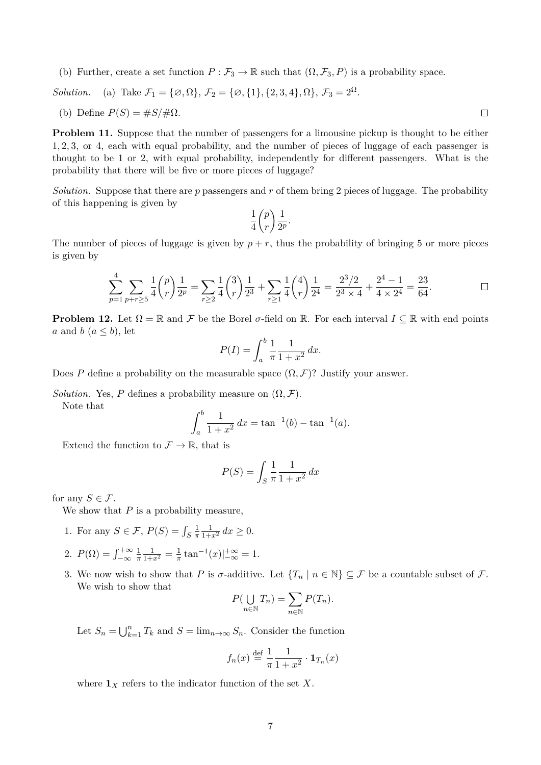(b) Further, create a set function  $P : \mathcal{F}_3 \to \mathbb{R}$  such that  $(\Omega, \mathcal{F}_3, P)$  is a probability space.

*Solution.* (a) Take  $\mathcal{F}_1 = {\emptyset, \Omega}, \mathcal{F}_2 = {\emptyset, {1}, {2, 3, 4}, \Omega}, \mathcal{F}_3 = 2^{\Omega}$ .

(b) Define 
$$
P(S) = \#S/\#\Omega
$$
.

**Problem 11.** Suppose that the number of passengers for a limousine pickup is thought to be either 1, 2, 3, or 4, each with equal probability, and the number of pieces of luggage of each passenger is thought to be 1 or 2, with equal probability, independently for different passengers. What is the probability that there will be five or more pieces of luggage?

*Solution.* Suppose that there are p passengers and r of them bring 2 pieces of luggage. The probability of this happening is given by

$$
\frac{1}{4}\binom{p}{r}\frac{1}{2^p}.
$$

The number of pieces of luggage is given by  $p + r$ , thus the probability of bringing 5 or more pieces is given by

$$
\sum_{p=1}^{4} \sum_{p+r \geq 5} \frac{1}{4} {p \choose r} \frac{1}{2^p} = \sum_{r \geq 2} \frac{1}{4} {3 \choose r} \frac{1}{2^3} + \sum_{r \geq 1} \frac{1}{4} {4 \choose r} \frac{1}{2^4} = \frac{2^3/2}{2^3 \times 4} + \frac{2^4 - 1}{4 \times 2^4} = \frac{23}{64}.
$$

**Problem 12.** Let  $\Omega = \mathbb{R}$  and F be the Borel  $\sigma$ -field on  $\mathbb{R}$ . For each interval  $I \subseteq \mathbb{R}$  with end points a and b  $(a \leq b)$ , let

$$
P(I) = \int_{a}^{b} \frac{1}{\pi} \frac{1}{1 + x^2} \, dx.
$$

Does P define a probability on the measurable space  $(\Omega, \mathcal{F})$ ? Justify your answer.

*Solution.* Yes, P defines a probability measure on  $(\Omega, \mathcal{F})$ .

Note that

$$
\int_{a}^{b} \frac{1}{1+x^2} dx = \tan^{-1}(b) - \tan^{-1}(a).
$$

Extend the function to  $\mathcal{F} \to \mathbb{R}$ , that is

$$
P(S) = \int_S \frac{1}{\pi} \frac{1}{1+x^2} dx
$$

for any  $S \in \mathcal{F}$ .

We show that  $P$  is a probability measure,

- 1. For any  $S \in \mathcal{F}$ ,  $P(S) = \int_S$ 1 π  $\frac{1}{1+x^2} dx \ge 0.$
- 2.  $P(\Omega) = \int_{-\infty}^{+\infty}$ 1 π  $\frac{1}{1+x^2} = \frac{1}{\pi}$  $\frac{1}{\pi} \tan^{-1}(x) \Big|_{-\infty}^{+\infty} = 1.$
- 3. We now wish to show that P is  $\sigma$ -additive. Let  $\{T_n \mid n \in \mathbb{N}\}\subseteq \mathcal{F}$  be a countable subset of  $\mathcal{F}$ . We wish to show that

$$
P(\bigcup_{n\in\mathbb{N}}T_n)=\sum_{n\in\mathbb{N}}P(T_n).
$$

Let  $S_n = \bigcup_{k=1}^n T_k$  and  $S = \lim_{n \to \infty} S_n$ . Consider the function

$$
f_n(x) \stackrel{\text{def}}{=} \frac{1}{\pi} \frac{1}{1+x^2} \cdot \mathbf{1}_{T_n}(x)
$$

where  $\mathbf{1}_X$  refers to the indicator function of the set X.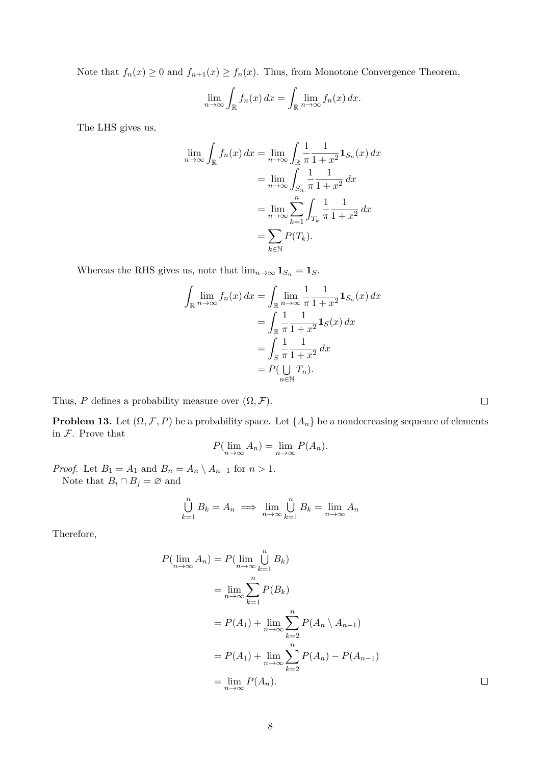Note that  $f_n(x) \ge 0$  and  $f_{n+1}(x) \ge f_n(x)$ . Thus, from Monotone Convergence Theorem,

$$
\lim_{n \to \infty} \int_{\mathbb{R}} f_n(x) dx = \int_{\mathbb{R}} \lim_{n \to \infty} f_n(x) dx.
$$

The LHS gives us,

$$
\lim_{n \to \infty} \int_{\mathbb{R}} f_n(x) dx = \lim_{n \to \infty} \int_{\mathbb{R}} \frac{1}{\pi} \frac{1}{1 + x^2} \mathbf{1}_{S_n}(x) dx
$$
  
= 
$$
\lim_{n \to \infty} \int_{S_n} \frac{1}{\pi} \frac{1}{1 + x^2} dx
$$
  
= 
$$
\lim_{n \to \infty} \sum_{k=1}^n \int_{T_k} \frac{1}{\pi} \frac{1}{1 + x^2} dx
$$
  
= 
$$
\sum_{k \in \mathbb{N}} P(T_k).
$$

Whereas the RHS gives us, note that  $\lim_{n\to\infty} \mathbf{1}_{S_n} = \mathbf{1}_S$ .

$$
\int_{\mathbb{R}} \lim_{n \to \infty} f_n(x) dx = \int_{\mathbb{R}} \lim_{n \to \infty} \frac{1}{\pi} \frac{1}{1 + x^2} \mathbf{1}_{S_n}(x) dx
$$

$$
= \int_{\mathbb{R}} \frac{1}{\pi} \frac{1}{1 + x^2} \mathbf{1}_S(x) dx
$$

$$
= \int_S \frac{1}{\pi} \frac{1}{1 + x^2} dx
$$

$$
= P(\bigcup_{n \in \mathbb{N}} T_n).
$$

Thus, P defines a probability measure over  $(\Omega, \mathcal{F})$ .

**Problem 13.** Let  $(\Omega, \mathcal{F}, P)$  be a probability space. Let  $\{A_n\}$  be a nondecreasing sequence of elements in  $F$ . Prove that

$$
P(\lim_{n\to\infty} A_n) = \lim_{n\to\infty} P(A_n).
$$

*Proof.* Let  $B_1 = A_1$  and  $B_n = A_n \setminus A_{n-1}$  for  $n > 1$ . Note that  $B_i \cap B_j = \emptyset$  and

$$
\bigcup_{k=1}^{n} B_k = A_n \implies \lim_{n \to \infty} \bigcup_{k=1}^{n} B_k = \lim_{n \to \infty} A_n
$$

Therefore,

$$
P(\lim_{n \to \infty} A_n) = P(\lim_{n \to \infty} \bigcup_{k=1}^n B_k)
$$
  
= 
$$
\lim_{n \to \infty} \sum_{k=1}^n P(B_k)
$$
  
= 
$$
P(A_1) + \lim_{n \to \infty} \sum_{k=2}^n P(A_n \setminus A_{n-1})
$$
  
= 
$$
P(A_1) + \lim_{n \to \infty} \sum_{k=2}^n P(A_n) - P(A_{n-1})
$$
  
= 
$$
\lim_{n \to \infty} P(A_n).
$$

 $\Box$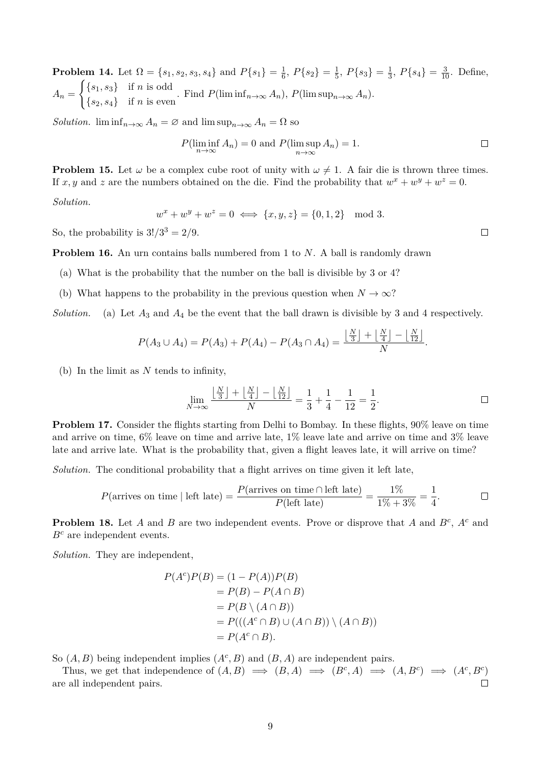**Problem 14.** Let  $\Omega = \{s_1, s_2, s_3, s_4\}$  and  $P\{s_1\} = \frac{1}{6}$  $\frac{1}{6}$ ,  $P\{s_2\} = \frac{1}{5}$  $\frac{1}{5}$ ,  $P\{s_3\} = \frac{1}{3}$  $\frac{1}{3}$ ,  $P\{s_4\} = \frac{3}{10}$ . Define,  $A_n =$  $\int$ { $s_1, s_3$ } if *n* is odd  ${s_1, s_3}$  if n is even.<br>  ${s_2, s_4}$  if n is even.<br>
Find  $P(\liminf_{n\to\infty} A_n)$ ,  $P(\limsup_{n\to\infty} A_n)$ .

*Solution.*  $\liminf_{n\to\infty} A_n = \emptyset$  and  $\limsup_{n\to\infty} A_n = \Omega$  so

$$
P(\liminf_{n \to \infty} A_n) = 0 \text{ and } P(\limsup_{n \to \infty} A_n) = 1.
$$

**Problem 15.** Let  $\omega$  be a complex cube root of unity with  $\omega \neq 1$ . A fair die is thrown three times. If x, y and z are the numbers obtained on the die. Find the probability that  $w^x + w^y + w^z = 0$ .

*Solution.*

$$
w^x + w^y + w^z = 0 \iff \{x, y, z\} = \{0, 1, 2\} \mod 3.
$$

So, the probability is  $3!/3^3 = 2/9$ .

**Problem 16.** An urn contains balls numbered from 1 to N. A ball is randomly drawn

- (a) What is the probability that the number on the ball is divisible by 3 or 4?
- (b) What happens to the probability in the previous question when  $N \to \infty$ ?

*Solution.* (a) Let  $A_3$  and  $A_4$  be the event that the ball drawn is divisible by 3 and 4 respectively.

$$
P(A_3 \cup A_4) = P(A_3) + P(A_4) - P(A_3 \cap A_4) = \frac{\lfloor \frac{N}{3} \rfloor + \lfloor \frac{N}{4} \rfloor - \lfloor \frac{N}{12} \rfloor}{N}.
$$

(b) In the limit as  $N$  tends to infinity,

$$
\lim_{N \to \infty} \frac{\left\lfloor \frac{N}{3} \right\rfloor + \left\lfloor \frac{N}{4} \right\rfloor - \left\lfloor \frac{N}{12} \right\rfloor}{N} = \frac{1}{3} + \frac{1}{4} - \frac{1}{12} = \frac{1}{2}.
$$

**Problem 17.** Consider the flights starting from Delhi to Bombay. In these flights, 90% leave on time and arrive on time, 6% leave on time and arrive late, 1% leave late and arrive on time and 3% leave late and arrive late. What is the probability that, given a flight leaves late, it will arrive on time?

*Solution.* The conditional probability that a flight arrives on time given it left late,

$$
P(\text{arrives on time } | \text{ left late}) = \frac{P(\text{arrives on time } \cap \text{ left late})}{P(\text{left late})} = \frac{1\%}{1\% + 3\%} = \frac{1}{4}.\tag{}
$$

**Problem 18.** Let A and B are two independent events. Prove or disprove that A and  $B^c$ ,  $A^c$  and  $B<sup>c</sup>$  are independent events.

*Solution.* They are independent,

$$
P(Ac)P(B) = (1 - P(A))P(B)
$$
  
= P(B) - P(A \cap B)  
= P(B \setminus (A \cap B))  
= P(((A<sup>c</sup> \cap B) \cup (A \cap B)) \setminus (A \cap B))  
= P(A<sup>c</sup> \cap B).

So  $(A, B)$  being independent implies  $(A<sup>c</sup>, B)$  and  $(B, A)$  are independent pairs.

Thus, we get that independence of  $(A, B) \implies (B, A) \implies (B^c, A) \implies (A, B^c) \implies (A^c, B^c)$ are all independent pairs.  $\Box$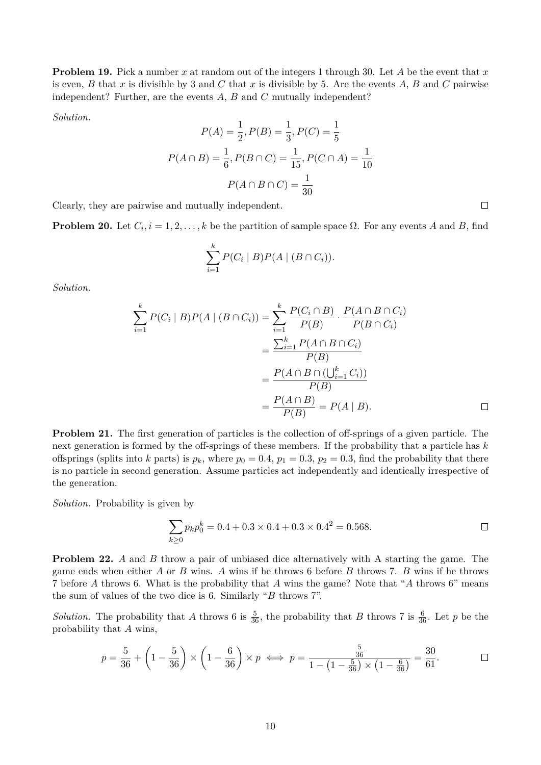**Problem 19.** Pick a number x at random out of the integers 1 through 30. Let A be the event that x is even, B that x is divisible by 3 and C that x is divisible by 5. Are the events A, B and C pairwise independent? Further, are the events  $A, B$  and  $C$  mutually independent?

*Solution.*

$$
P(A) = \frac{1}{2}, P(B) = \frac{1}{3}, P(C) = \frac{1}{5}
$$

$$
P(A \cap B) = \frac{1}{6}, P(B \cap C) = \frac{1}{15}, P(C \cap A) = \frac{1}{10}
$$

$$
P(A \cap B \cap C) = \frac{1}{30}
$$

Clearly, they are pairwise and mutually independent.

**Problem 20.** Let  $C_i$ ,  $i = 1, 2, ..., k$  be the partition of sample space  $\Omega$ . For any events A and B, find

$$
\sum_{i=1}^k P(C_i \mid B) P(A \mid (B \cap C_i)).
$$

*Solution.*

$$
\sum_{i=1}^{k} P(C_i | B) P(A | (B \cap C_i)) = \sum_{i=1}^{k} \frac{P(C_i \cap B)}{P(B)} \cdot \frac{P(A \cap B \cap C_i)}{P(B \cap C_i)}
$$
  
= 
$$
\frac{\sum_{i=1}^{k} P(A \cap B \cap C_i)}{P(B)}
$$
  
= 
$$
\frac{P(A \cap B \cap (\bigcup_{i=1}^{k} C_i))}{P(B)}
$$
  
= 
$$
\frac{P(A \cap B)}{P(B)} = P(A | B).
$$

**Problem 21.** The first generation of particles is the collection of off-springs of a given particle. The next generation is formed by the off-springs of these members. If the probability that a particle has  $k$ offsprings (splits into k parts) is  $p_k$ , where  $p_0 = 0.4$ ,  $p_1 = 0.3$ ,  $p_2 = 0.3$ , find the probability that there is no particle in second generation. Assume particles act independently and identically irrespective of the generation.

*Solution.* Probability is given by

$$
\sum_{k\geq 0} p_k p_0^k = 0.4 + 0.3 \times 0.4 + 0.3 \times 0.4^2 = 0.568.
$$

**Problem 22.** A and B throw a pair of unbiased dice alternatively with A starting the game. The game ends when either A or B wins. A wins if he throws 6 before B throws 7. B wins if he throws 7 before A throws 6. What is the probability that A wins the game? Note that "A throws 6" means the sum of values of the two dice is 6. Similarly "B throws 7".

*Solution*. The probability that A throws 6 is  $\frac{5}{36}$ , the probability that B throws 7 is  $\frac{6}{36}$ . Let p be the probability that A wins,

$$
p = \frac{5}{36} + \left(1 - \frac{5}{36}\right) \times \left(1 - \frac{6}{36}\right) \times p \iff p = \frac{\frac{5}{36}}{1 - \left(1 - \frac{5}{36}\right) \times \left(1 - \frac{6}{36}\right)} = \frac{30}{61}.
$$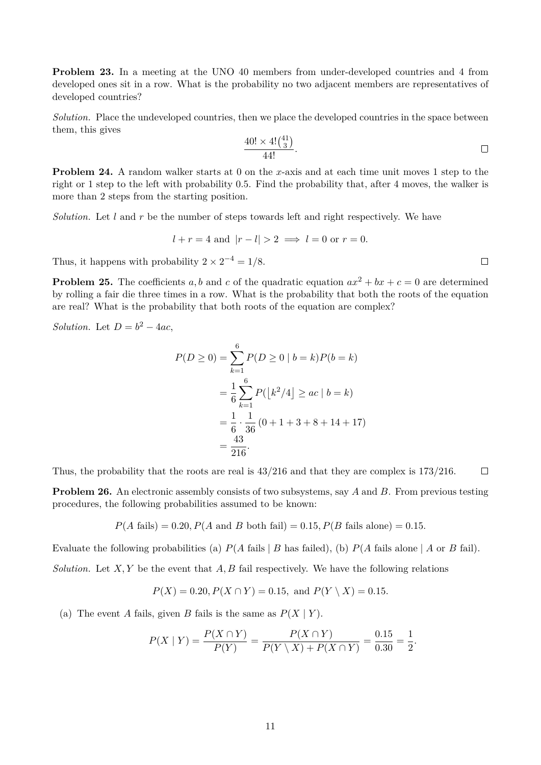**Problem 23.** In a meeting at the UNO 40 members from under-developed countries and 4 from developed ones sit in a row. What is the probability no two adjacent members are representatives of developed countries?

*Solution.* Place the undeveloped countries, then we place the developed countries in the space between them, this gives

$$
\frac{40! \times 4! \binom{41}{3}}{44!}.
$$

**Problem 24.** A random walker starts at 0 on the x-axis and at each time unit moves 1 step to the right or 1 step to the left with probability 0.5. Find the probability that, after 4 moves, the walker is more than 2 steps from the starting position.

*Solution.* Let l and r be the number of steps towards left and right respectively. We have

$$
l + r = 4
$$
 and  $|r - l| > 2 \implies l = 0$  or  $r = 0$ .

Thus, it happens with probability  $2 \times 2^{-4} = 1/8$ .

**Problem 25.** The coefficients a, b and c of the quadratic equation  $ax^2 + bx + c = 0$  are determined by rolling a fair die three times in a row. What is the probability that both the roots of the equation are real? What is the probability that both roots of the equation are complex?

*Solution.* Let  $D = b^2 - 4ac$ ,

$$
P(D \ge 0) = \sum_{k=1}^{6} P(D \ge 0 \mid b = k)P(b = k)
$$
  
=  $\frac{1}{6} \sum_{k=1}^{6} P(\lfloor k^2/4 \rfloor \ge ac \mid b = k)$   
=  $\frac{1}{6} \cdot \frac{1}{36} (0 + 1 + 3 + 8 + 14 + 17)$   
=  $\frac{43}{216}$ .

Thus, the probability that the roots are real is 43/216 and that they are complex is 173/216.  $\Box$ 

**Problem 26.** An electronic assembly consists of two subsystems, say A and B. From previous testing procedures, the following probabilities assumed to be known:

$$
P(A \text{ fails}) = 0.20, P(A \text{ and } B \text{ both fail}) = 0.15, P(B \text{ fails alone}) = 0.15.
$$

Evaluate the following probabilities (a)  $P(A \text{ fails} | B \text{ has failed})$ , (b)  $P(A \text{ fails alone} | A \text{ or } B \text{ fail})$ .

*Solution.* Let  $X, Y$  be the event that  $A, B$  fail respectively. We have the following relations

$$
P(X) = 0.20, P(X \cap Y) = 0.15, \text{ and } P(Y \setminus X) = 0.15.
$$

(a) The event A fails, given B fails is the same as  $P(X | Y)$ .

$$
P(X \mid Y) = \frac{P(X \cap Y)}{P(Y)} = \frac{P(X \cap Y)}{P(Y \setminus X) + P(X \cap Y)} = \frac{0.15}{0.30} = \frac{1}{2}.
$$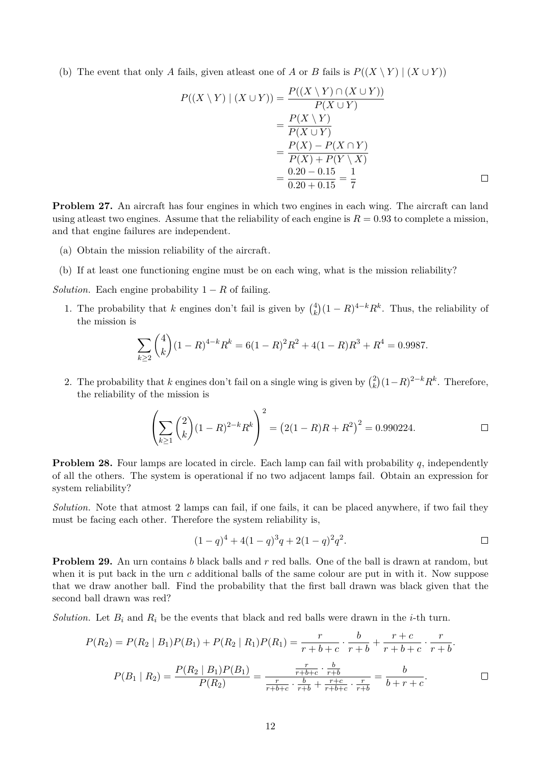(b) The event that only A fails, given at least one of A or B fails is  $P((X \ Y) | (X \cup Y))$ 

$$
P((X \setminus Y) \mid (X \cup Y)) = \frac{P((X \setminus Y) \cap (X \cup Y))}{P(X \cup Y)} \\
= \frac{P(X \setminus Y)}{P(X \cup Y)} \\
= \frac{P(X) - P(X \cap Y)}{P(X) + P(Y \setminus X)} \\
= \frac{0.20 - 0.15}{0.20 + 0.15} = \frac{1}{7}
$$

**Problem 27.** An aircraft has four engines in which two engines in each wing. The aircraft can land using at least two engines. Assume that the reliability of each engine is  $R = 0.93$  to complete a mission, and that engine failures are independent.

- (a) Obtain the mission reliability of the aircraft.
- (b) If at least one functioning engine must be on each wing, what is the mission reliability?

*Solution.* Each engine probability  $1 - R$  of failing.

1. The probability that k engines don't fail is given by  $\binom{4}{k}$  $(k)(1 - R)^{4-k}R^k$ . Thus, the reliability of the mission is

$$
\sum_{k\geq 2} \binom{4}{k} (1-R)^{4-k} R^k = 6(1-R)^2 R^2 + 4(1-R)R^3 + R^4 = 0.9987.
$$

2. The probability that k engines don't fail on a single wing is given by  $\binom{2}{k}$  $(k)(1-R)^{2-k}R^k$ . Therefore, the reliability of the mission is

$$
\left(\sum_{k\geq 1} {2 \choose k} (1 - R)^{2-k} R^k \right)^2 = \left(2(1 - R)R + R^2\right)^2 = 0.990224. \square
$$

**Problem 28.** Four lamps are located in circle. Each lamp can fail with probability q, independently of all the others. The system is operational if no two adjacent lamps fail. Obtain an expression for system reliability?

*Solution.* Note that atmost 2 lamps can fail, if one fails, it can be placed anywhere, if two fail they must be facing each other. Therefore the system reliability is,

$$
(1-q)^4 + 4(1-q)^3q + 2(1-q)^2q^2.
$$

**Problem 29.** An urn contains b black balls and r red balls. One of the ball is drawn at random, but when it is put back in the urn  $c$  additional balls of the same colour are put in with it. Now suppose that we draw another ball. Find the probability that the first ball drawn was black given that the second ball drawn was red?

*Solution.* Let  $B_i$  and  $R_i$  be the events that black and red balls were drawn in the *i*-th turn.

$$
P(R_2) = P(R_2 | B_1)P(B_1) + P(R_2 | R_1)P(R_1) = \frac{r}{r+b+c} \cdot \frac{b}{r+b} + \frac{r+c}{r+b+c} \cdot \frac{r}{r+b}.
$$

$$
P(B_1 | R_2) = \frac{P(R_2 | B_1)P(B_1)}{P(R_2)} = \frac{\frac{r}{r+b+c} \cdot \frac{b}{r+b}}{\frac{r}{r+b+c} \cdot \frac{b}{r+b} + \frac{r+c}{r+b+c} \cdot \frac{r}{r+b}} = \frac{b}{b+r+c}.
$$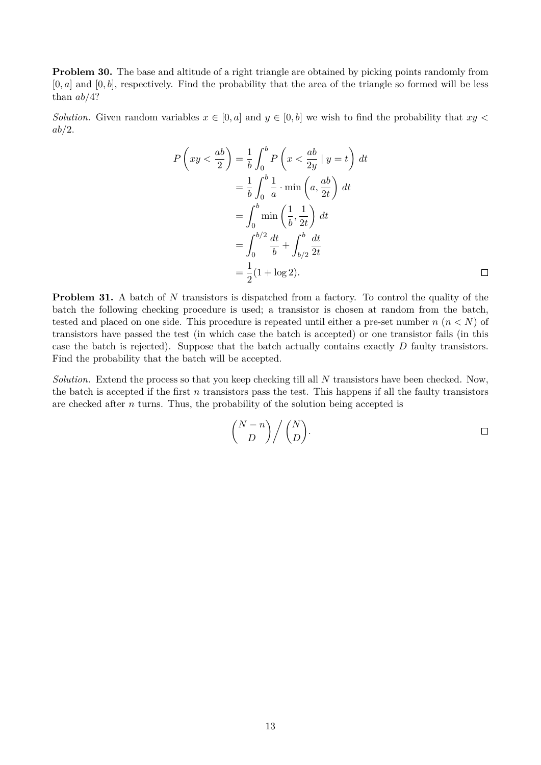**Problem 30.** The base and altitude of a right triangle are obtained by picking points randomly from  $[0, a]$  and  $[0, b]$ , respectively. Find the probability that the area of the triangle so formed will be less than  $ab/4$ ?

*Solution.* Given random variables  $x \in [0, a]$  and  $y \in [0, b]$  we wish to find the probability that  $xy <$  $ab/2$ .

$$
P\left(xy < \frac{ab}{2}\right) = \frac{1}{b} \int_0^b P\left(x < \frac{ab}{2y} \mid y = t\right) dt
$$
  

$$
= \frac{1}{b} \int_0^b \frac{1}{a} \cdot \min\left(a, \frac{ab}{2t}\right) dt
$$
  

$$
= \int_0^b \min\left(\frac{1}{b}, \frac{1}{2t}\right) dt
$$
  

$$
= \int_0^{b/2} \frac{dt}{b} + \int_{b/2}^b \frac{dt}{2t}
$$
  

$$
= \frac{1}{2} (1 + \log 2).
$$

**Problem 31.** A batch of N transistors is dispatched from a factory. To control the quality of the batch the following checking procedure is used; a transistor is chosen at random from the batch, tested and placed on one side. This procedure is repeated until either a pre-set number  $n (n < N)$  of transistors have passed the test (in which case the batch is accepted) or one transistor fails (in this case the batch is rejected). Suppose that the batch actually contains exactly  $D$  faulty transistors. Find the probability that the batch will be accepted.

*Solution.* Extend the process so that you keep checking till all N transistors have been checked. Now, the batch is accepted if the first  $n$  transistors pass the test. This happens if all the faulty transistors are checked after  $n$  turns. Thus, the probability of the solution being accepted is

$$
\binom{N-n}{D} / \binom{N}{D}.
$$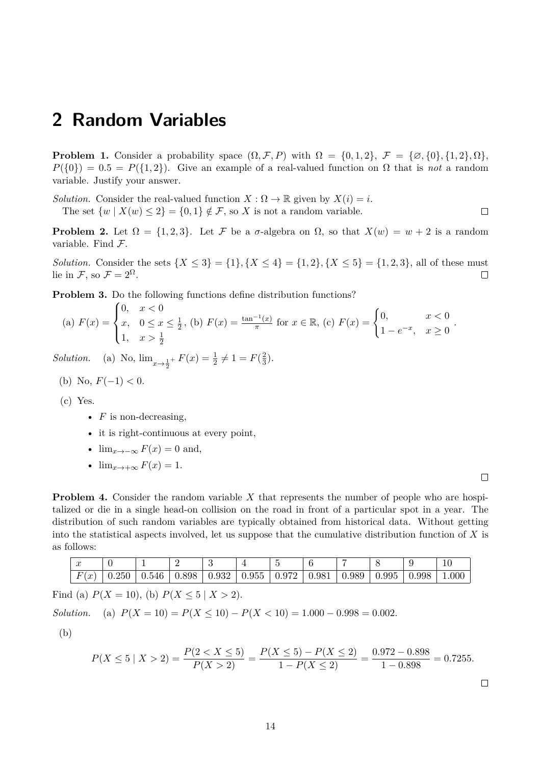#### <span id="page-13-0"></span>**2 Random Variables**

**Problem 1.** Consider a probability space  $(\Omega, \mathcal{F}, P)$  with  $\Omega = \{0, 1, 2\}, \mathcal{F} = \{\emptyset, \{0\}, \{1, 2\}, \Omega\},\$  $P({0}) = 0.5 = P({1, 2})$ . Give an example of a real-valued function on  $\Omega$  that is *not* a random variable. Justify your answer.

*Solution.* Consider the real-valued function  $X : \Omega \to \mathbb{R}$  given by  $X(i) = i$ .

The set  $\{w \mid X(w) \leq 2\} = \{0,1\} \notin \mathcal{F}$ , so X is not a random variable.

**Problem 2.** Let  $\Omega = \{1, 2, 3\}$ . Let F be a  $\sigma$ -algebra on  $\Omega$ , so that  $X(w) = w + 2$  is a random variable. Find F.

*Solution.* Consider the sets  $\{X \le 3\} = \{1\}, \{X \le 4\} = \{1, 2\}, \{X \le 5\} = \{1, 2, 3\},$  all of these must lie in F, so  $\mathcal{F} = 2^{\Omega}$ .  $\Box$ 

**Problem 3.** Do the following functions define distribution functions?

(a) 
$$
F(x) = \begin{cases} 0, & x < 0 \\ x, & 0 \le x \le \frac{1}{2}, \text{ (b) } F(x) = \frac{\tan^{-1}(x)}{\pi} \text{ for } x \in \mathbb{R}, \text{ (c) } F(x) = \begin{cases} 0, & x < 0 \\ 1 - e^{-x}, & x \ge 0 \end{cases}
$$

*Solution.* (a) No,  $\lim_{x \to \frac{1}{2}^+} F(x) = \frac{1}{2} \neq 1 = F(\frac{2}{3})$  $\frac{2}{3}$ .

(b) No, 
$$
F(-1) < 0
$$
.

(c) Yes.

- $F$  is non-decreasing,
- it is right-continuous at every point,
- $\lim_{x\to-\infty} F(x) = 0$  and,
- $\lim_{x\to+\infty} F(x) = 1.$

 $\Box$ 

.

 $\Box$ 

**Problem 4.** Consider the random variable X that represents the number of people who are hospitalized or die in a single head-on collision on the road in front of a particular spot in a year. The distribution of such random variables are typically obtained from historical data. Without getting into the statistical aspects involved, let us suppose that the cumulative distribution function of  $X$  is as follows:

| $\sim$<br>w                                                    |       |       | -<br>$\overline{\phantom{0}}$ |       |       | -                                |       |       |       |       | 10    |
|----------------------------------------------------------------|-------|-------|-------------------------------|-------|-------|----------------------------------|-------|-------|-------|-------|-------|
| $\boldsymbol{E}$<br>$\mathbf{r}$<br>$\overline{u}$<br><b>I</b> | 0.250 | 0.546 | 0.898                         | 0.932 | 0.955 | $\sim$ $\sim$ $\sim$<br>u<br>J.Y | 0.987 | 0.989 | 0.995 | 0.998 | 1.000 |

Find (a)  $P(X = 10)$ , (b)  $P(X \le 5 | X > 2)$ .

*Solution.* (a)  $P(X = 10) = P(X \le 10) - P(X < 10) = 1.000 - 0.998 = 0.002$ .

(b)

$$
P(X \le 5 \mid X > 2) = \frac{P(2 < X \le 5)}{P(X > 2)} = \frac{P(X \le 5) - P(X \le 2)}{1 - P(X \le 2)} = \frac{0.972 - 0.898}{1 - 0.898} = 0.7255.
$$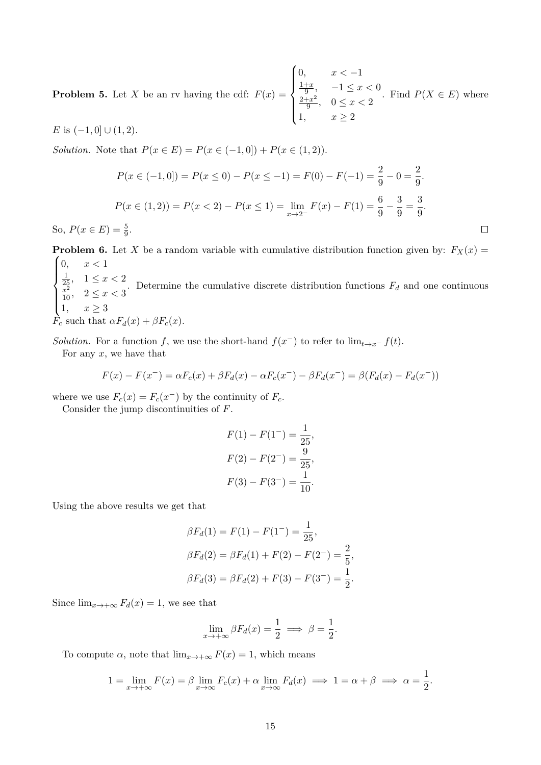**Problem 5.** Let X be an rv having the cdf:  $F(x) =$  $\sqrt{ }$  $\int$  $\overline{\mathcal{L}}$ 0,  $x < -1$  $1+x$  $\frac{+x}{9}, -1 \leq x < 0$  $2+x^2$  $\frac{+x^2}{9}, \quad 0 \leq x < 2$ 1,  $x \geq 2$ . Find  $P(X \in E)$  where

E is  $(-1, 0] \cup (1, 2)$ .

*Solution.* Note that  $P(x \in E) = P(x \in (-1,0]) + P(x \in (1,2)).$ 

$$
P(x \in (-1,0]) = P(x \le 0) - P(x \le -1) = F(0) - F(-1) = \frac{2}{9} - 0 = \frac{2}{9}.
$$
  

$$
P(x \in (1,2)) = P(x < 2) - P(x \le 1) = \lim_{x \to 2^{-}} F(x) - F(1) = \frac{6}{9} - \frac{3}{9} = \frac{3}{9}.
$$
  

$$
P(x \in (1,2)) = \frac{5}{9}.
$$

 $\Box$ 

So,  $P(x \in E) = \frac{5}{9}$ .

**Problem 6.** Let X be a random variable with cumulative distribution function given by:  $F_X(x) =$  $\sqrt{ }$  $\int_{\frac{1}{25}}^{0,} 1 \leq x < 2$  $x < 1$  $\frac{x^2}{10}$ ,  $2 \leq x < 3$ . Determine the cumulative discrete distribution functions  $F_d$  and one continuous

 $\begin{cases} 10 \\ 1, \quad x \geq 3 \end{cases}$ 

 $\vec{F}_c$  such that  $\alpha F_d(x) + \beta F_c(x)$ .

*Solution.* For a function f, we use the short-hand  $f(x^{-})$  to refer to  $\lim_{t\to x^{-}} f(t)$ .

For any  $x$ , we have that

$$
F(x) - F(x^{-}) = \alpha F_c(x) + \beta F_d(x) - \alpha F_c(x^{-}) - \beta F_d(x^{-}) = \beta (F_d(x) - F_d(x^{-}))
$$

where we use  $F_c(x) = F_c(x^{-})$  by the continuity of  $F_c$ .

Consider the jump discontinuities of F.

$$
F(1) - F(1^-) = \frac{1}{25},
$$
  
\n
$$
F(2) - F(2^-) = \frac{9}{25},
$$
  
\n
$$
F(3) - F(3^-) = \frac{1}{10}.
$$

Using the above results we get that

$$
\beta F_d(1) = F(1) - F(1^-) = \frac{1}{25},
$$
  
\n
$$
\beta F_d(2) = \beta F_d(1) + F(2) - F(2^-) = \frac{2}{5},
$$
  
\n
$$
\beta F_d(3) = \beta F_d(2) + F(3) - F(3^-) = \frac{1}{2}.
$$

Since  $\lim_{x\to+\infty} F_d(x) = 1$ , we see that

$$
\lim_{x \to +\infty} \beta F_d(x) = \frac{1}{2} \implies \beta = \frac{1}{2}.
$$

To compute  $\alpha$ , note that  $\lim_{x\to+\infty} F(x) = 1$ , which means

$$
1 = \lim_{x \to +\infty} F(x) = \beta \lim_{x \to \infty} F_c(x) + \alpha \lim_{x \to \infty} F_d(x) \implies 1 = \alpha + \beta \implies \alpha = \frac{1}{2}.
$$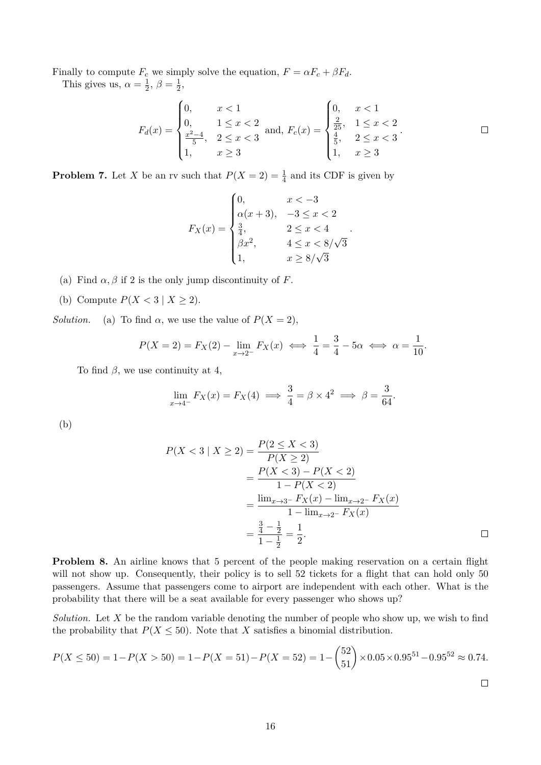Finally to compute  $F_c$  we simply solve the equation,  $F = \alpha F_c + \beta F_d$ . This gives us,  $\alpha = \frac{1}{2}$  $\frac{1}{2}, \beta = \frac{1}{2}$  $\frac{1}{2}$ ,

$$
F_d(x) = \begin{cases} 0, & x < 1 \\ 0, & 1 \le x < 2 \\ \frac{x^2 - 4}{5}, & 2 \le x < 3 \\ 1, & x \ge 3 \end{cases} \text{ and, } F_c(x) = \begin{cases} 0, & x < 1 \\ \frac{2}{25}, & 1 \le x < 2 \\ \frac{4}{5}, & 2 \le x < 3 \\ 1, & x \ge 3 \end{cases} \qquad \Box
$$

**Problem 7.** Let X be an rv such that  $P(X = 2) = \frac{1}{4}$  and its CDF is given by

$$
F_X(x) = \begin{cases} 0, & x < -3 \\ \alpha(x+3), & -3 \le x < 2 \\ \frac{3}{4}, & 2 \le x < 4 \\ \beta x^2, & 4 \le x < 8/\sqrt{3} \\ 1, & x \ge 8/\sqrt{3} \end{cases}.
$$

- (a) Find  $\alpha$ ,  $\beta$  if 2 is the only jump discontinuity of F.
- (b) Compute  $P(X < 3 | X \geq 2)$ .

*Solution.* (a) To find  $\alpha$ , we use the value of  $P(X = 2)$ ,

$$
P(X=2) = F_X(2) - \lim_{x \to 2^-} F_X(x) \iff \frac{1}{4} = \frac{3}{4} - 5\alpha \iff \alpha = \frac{1}{10}.
$$

To find  $\beta$ , we use continuity at 4,

$$
\lim_{x \to 4^-} F_X(x) = F_X(4) \implies \frac{3}{4} = \beta \times 4^2 \implies \beta = \frac{3}{64}.
$$

(b)

$$
P(X < 3 \mid X \ge 2) = \frac{P(2 \le X < 3)}{P(X \ge 2)}
$$
\n
$$
= \frac{P(X < 3) - P(X < 2)}{1 - P(X < 2)}
$$
\n
$$
= \frac{\lim_{x \to 3^-} F_X(x) - \lim_{x \to 2^-} F_X(x)}{1 - \lim_{x \to 2^-} F_X(x)}
$$
\n
$$
= \frac{\frac{3}{4} - \frac{1}{2}}{1 - \frac{1}{2}} = \frac{1}{2}.
$$

**Problem 8.** An airline knows that 5 percent of the people making reservation on a certain flight will not show up. Consequently, their policy is to sell 52 tickets for a flight that can hold only 50 passengers. Assume that passengers come to airport are independent with each other. What is the probability that there will be a seat available for every passenger who shows up?

*Solution.* Let X be the random variable denoting the number of people who show up, we wish to find the probability that  $P(X \le 50)$ . Note that X satisfies a binomial distribution.

$$
P(X \le 50) = 1 - P(X > 50) = 1 - P(X = 51) - P(X = 52) = 1 - \binom{52}{51} \times 0.05 \times 0.95^{51} - 0.95^{52} \approx 0.74.
$$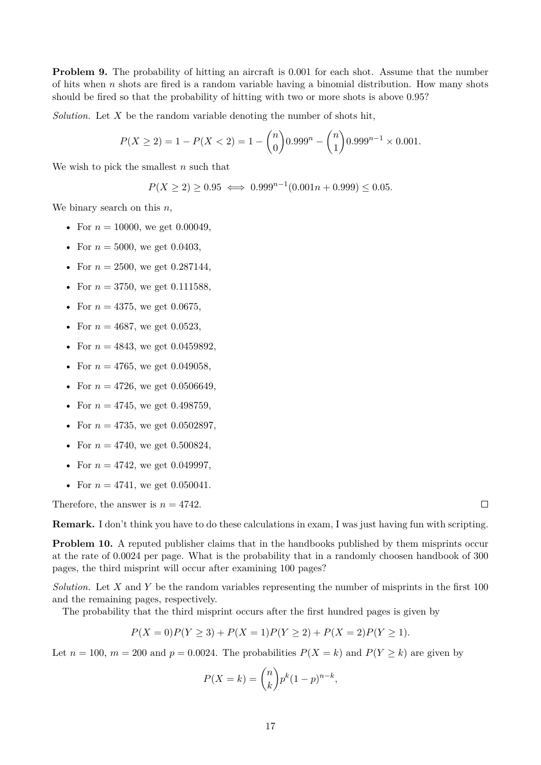**Problem 9.** The probability of hitting an aircraft is 0.001 for each shot. Assume that the number of hits when  $n$  shots are fired is a random variable having a binomial distribution. How many shots should be fired so that the probability of hitting with two or more shots is above 0.95?

*Solution.* Let X be the random variable denoting the number of shots hit,

$$
P(X \ge 2) = 1 - P(X < 2) = 1 - \binom{n}{0} 0.999^n - \binom{n}{1} 0.999^{n-1} \times 0.001.
$$

We wish to pick the smallest  $n$  such that

$$
P(X \ge 2) \ge 0.95 \iff 0.999^{n-1}(0.001n + 0.999) \le 0.05.
$$

We binary search on this  $n$ ,

- For  $n = 10000$ , we get 0.00049,
- For  $n = 5000$ , we get 0.0403,
- For  $n = 2500$ , we get 0.287144,
- For  $n = 3750$ , we get 0.111588,
- For  $n = 4375$ , we get 0.0675.
- For  $n = 4687$ , we get 0.0523,
- For  $n = 4843$ , we get 0.0459892,
- For  $n = 4765$ , we get 0.049058,
- For  $n = 4726$ , we get 0.0506649,
- For  $n = 4745$ , we get 0.498759,
- For  $n = 4735$ , we get 0.0502897,
- For  $n = 4740$ , we get 0.500824,
- For  $n = 4742$ , we get 0.049997,
- For  $n = 4741$ , we get 0.050041.

Therefore, the answer is  $n = 4742$ .

**Remark.** I don't think you have to do these calculations in exam, I was just having fun with scripting.

**Problem 10.** A reputed publisher claims that in the handbooks published by them misprints occur at the rate of 0.0024 per page. What is the probability that in a randomly choosen handbook of 300 pages, the third misprint will occur after examining 100 pages?

*Solution.* Let X and Y be the random variables representing the number of misprints in the first 100 and the remaining pages, respectively.

The probability that the third misprint occurs after the first hundred pages is given by

$$
P(X=0)P(Y \ge 3) + P(X=1)P(Y \ge 2) + P(X=2)P(Y \ge 1).
$$

Let  $n = 100$ ,  $m = 200$  and  $p = 0.0024$ . The probabilities  $P(X = k)$  and  $P(Y \ge k)$  are given by

$$
P(X = k) = \binom{n}{k} p^k (1 - p)^{n - k},
$$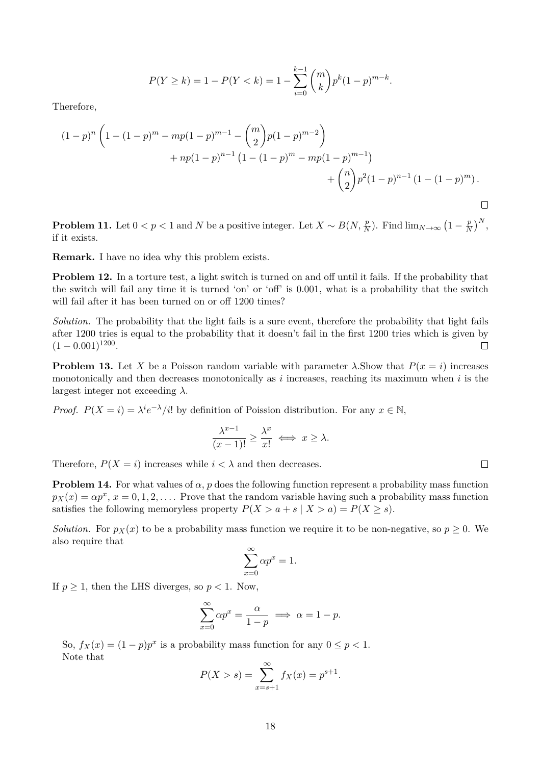$$
P(Y \ge k) = 1 - P(Y < k) = 1 - \sum_{i=0}^{k-1} \binom{m}{k} p^k (1-p)^{m-k}.
$$

Therefore,

$$
(1-p)^n \left( 1 - (1-p)^m - mp(1-p)^{m-1} - {m \choose 2} p(1-p)^{m-2} + np(1-p)^{n-1} (1 - (1-p)^m - mp(1-p)^{m-1}) + {n \choose 2} p^2 (1-p)^{n-1} (1 - (1-p)^m) .
$$

**Problem 11.** Let  $0 < p < 1$  and N be a positive integer. Let  $X \sim B(N, \frac{p}{N})$ . Find  $\lim_{N \to \infty} (1 - \frac{p}{N})$  $\frac{p}{N}$  $\Big)^N$ , if it exists.

**Remark.** I have no idea why this problem exists.

**Problem 12.** In a torture test, a light switch is turned on and off until it fails. If the probability that the switch will fail any time it is turned 'on' or 'off' is 0.001, what is a probability that the switch will fail after it has been turned on or off 1200 times?

*Solution.* The probability that the light fails is a sure event, therefore the probability that light fails after 1200 tries is equal to the probability that it doesn't fail in the first 1200 tries which is given by  $(1 - 0.001)^{1200}$ .  $\Box$ 

**Problem 13.** Let X be a Poisson random variable with parameter  $\lambda$ . Show that  $P(x = i)$  increases monotonically and then decreases monotonically as  $i$  increases, reaching its maximum when  $i$  is the largest integer not exceeding  $\lambda$ .

*Proof.*  $P(X = i) = \lambda^{i} e^{-\lambda} / i!$  by definition of Poission distribution. For any  $x \in \mathbb{N}$ ,

$$
\frac{\lambda^{x-1}}{(x-1)!} \ge \frac{\lambda^x}{x!} \iff x \ge \lambda.
$$

Therefore,  $P(X = i)$  increases while  $i < \lambda$  and then decreases.

**Problem 14.** For what values of  $\alpha$ , p does the following function represent a probability mass function  $p_X(x) = \alpha p^x, x = 0, 1, 2, \ldots$ . Prove that the random variable having such a probability mass function satisfies the following memoryless property  $P(X > a + s | X > a) = P(X \ge s)$ .

*Solution.* For  $p_X(x)$  to be a probability mass function we require it to be non-negative, so  $p \geq 0$ . We also require that

$$
\sum_{x=0}^{\infty} \alpha p^x = 1.
$$

If  $p \geq 1$ , then the LHS diverges, so  $p < 1$ . Now,

$$
\sum_{x=0}^{\infty} \alpha p^x = \frac{\alpha}{1-p} \implies \alpha = 1 - p.
$$

So,  $f_X(x) = (1 - p)p^x$  is a probability mass function for any  $0 \le p < 1$ . Note that

$$
P(X > s) = \sum_{x=s+1}^{\infty} f_X(x) = p^{s+1}.
$$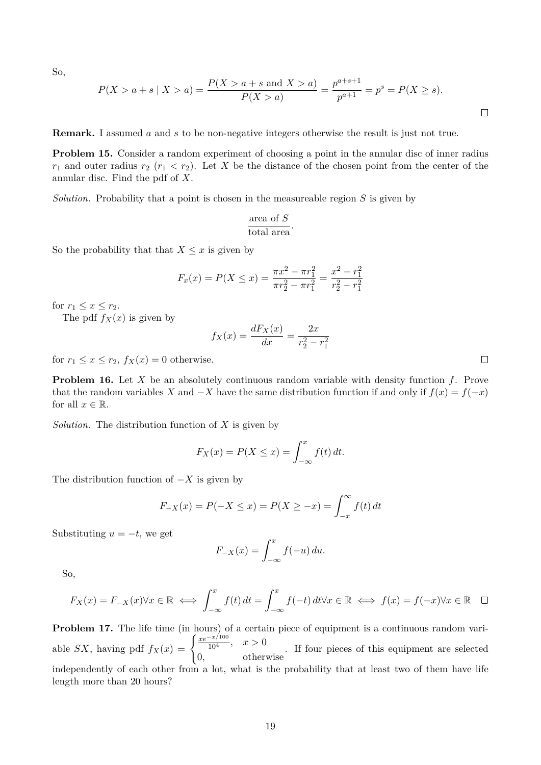So,

$$
P(X > a + s \mid X > a) = \frac{P(X > a + s \text{ and } X > a)}{P(X > a)} = \frac{p^{a+s+1}}{p^{a+1}} = p^s = P(X \ge s).
$$

**Remark.** I assumed a and s to be non-negative integers otherwise the result is just not true.

**Problem 15.** Consider a random experiment of choosing a point in the annular disc of inner radius  $r_1$  and outer radius  $r_2$   $(r_1 < r_2)$ . Let X be the distance of the chosen point from the center of the annular disc. Find the pdf of X.

*Solution.* Probability that a point is chosen in the measureable region S is given by

$$
\frac{\text{area of } S}{\text{total area}}.
$$

So the probability that that  $X \leq x$  is given by

$$
F_x(x) = P(X \le x) = \frac{\pi x^2 - \pi r_1^2}{\pi r_2^2 - \pi r_1^2} = \frac{x^2 - r_1^2}{r_2^2 - r_1^2}
$$

for  $r_1 \leq x \leq r_2$ .

The pdf  $f_X(x)$  is given by

$$
f_X(x) = \frac{dF_X(x)}{dx} = \frac{2x}{r_2^2 - r_1^2}
$$

for  $r_1 \leq x \leq r_2$ ,  $f_X(x) = 0$  otherwise.

**Problem 16.** Let X be an absolutely continuous random variable with density function f. Prove that the random variables X and  $-X$  have the same distribution function if and only if  $f(x) = f(-x)$ for all  $x \in \mathbb{R}$ .

*Solution.* The distribution function of X is given by

$$
F_X(x) = P(X \le x) = \int_{-\infty}^x f(t) dt.
$$

The distribution function of  $-X$  is given by

$$
F_{-X}(x) = P(-X \le x) = P(X \ge -x) = \int_{-x}^{\infty} f(t) dt
$$

Substituting  $u = -t$ , we get

$$
F_{-X}(x) = \int_{-\infty}^{x} f(-u) \, du.
$$

So,

$$
F_X(x) = F_{-X}(x) \forall x \in \mathbb{R} \iff \int_{-\infty}^x f(t) dt = \int_{-\infty}^x f(-t) dt \forall x \in \mathbb{R} \iff f(x) = f(-x) \forall x \in \mathbb{R} \quad \Box
$$

**Problem 17.** The life time (in hours) of a certain piece of equipment is a continuous random variable SX, having pdf  $f_X(x) = \begin{cases} \frac{xe^{-x/100}}{10^4}, & x > 0 \end{cases}$ 0, otherwise . If four pieces of this equipment are selected independently of each other from a lot, what is the probability that at least two of them have life length more than 20 hours?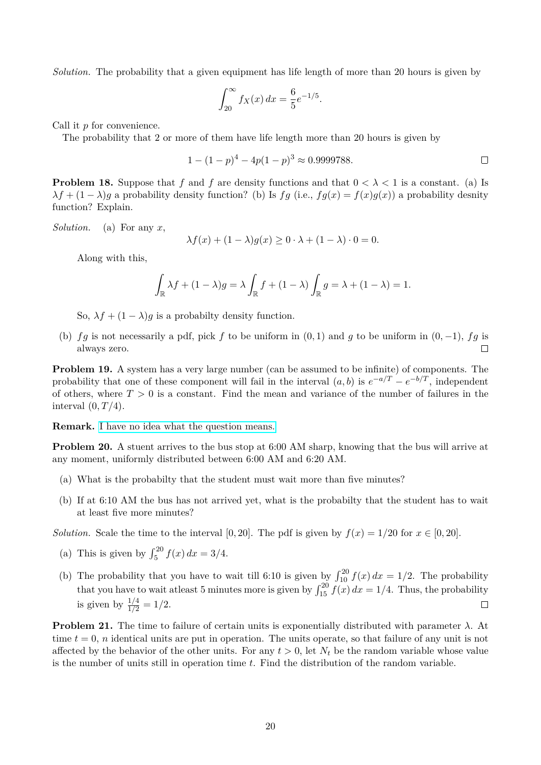*Solution.* The probability that a given equipment has life length of more than 20 hours is given by

$$
\int_{20}^{\infty} f_X(x) \, dx = \frac{6}{5} e^{-1/5}.
$$

Call it p for convenience.

The probability that 2 or more of them have life length more than 20 hours is given by

$$
1 - (1 - p)^4 - 4p(1 - p)^3 \approx 0.9999788.
$$

**Problem 18.** Suppose that f and f are density functions and that  $0 < \lambda < 1$  is a constant. (a) Is  $\lambda f + (1 - \lambda)g$  a probability density function? (b) Is fg (i.e.,  $fg(x) = f(x)g(x)$ ) a probability desnity function? Explain.

*Solution.* (a) For any x,

$$
\lambda f(x) + (1 - \lambda)g(x) \ge 0 \cdot \lambda + (1 - \lambda) \cdot 0 = 0.
$$

Along with this,

$$
\int_{\mathbb{R}} \lambda f + (1 - \lambda)g = \lambda \int_{\mathbb{R}} f + (1 - \lambda) \int_{\mathbb{R}} g = \lambda + (1 - \lambda) = 1.
$$

So,  $\lambda f + (1 - \lambda)g$  is a probabilty density function.

(b) fg is not necessarily a pdf, pick f to be uniform in  $(0, 1)$  and g to be uniform in  $(0, -1)$ , fg is always zero.  $\Box$ 

**Problem 19.** A system has a very large number (can be assumed to be infinite) of components. The probability that one of these component will fail in the interval  $(a, b)$  is  $e^{-a/T} - e^{-b/T}$ , independent of others, where  $T > 0$  is a constant. Find the mean and variance of the number of failures in the interval  $(0, T/4)$ .

**Remark.** [I have no idea what the question means.](https://www.youtube.com/watch?v=m_mU7kp-JbU&list=PLyJloYf4OGtaSaplK_E9LruV5a2fIXeX6)

**Problem 20.** A stuent arrives to the bus stop at 6:00 AM sharp, knowing that the bus will arrive at any moment, uniformly distributed between 6:00 AM and 6:20 AM.

- (a) What is the probabilty that the student must wait more than five minutes?
- (b) If at 6:10 AM the bus has not arrived yet, what is the probabilty that the student has to wait at least five more minutes?

*Solution.* Scale the time to the interval [0, 20]. The pdf is given by  $f(x) = 1/20$  for  $x \in [0, 20]$ .

- (a) This is given by  $\int_{5}^{20} f(x) dx = 3/4$ .
- (b) The probability that you have to wait till 6:10 is given by  $\int_{10}^{20} f(x) dx = 1/2$ . The probability that you have to wait at least 5 minutes more is given by  $\int_{15}^{20} f(x) dx = 1/4$ . Thus, the probability is given by  $\frac{1/4}{1/2} = 1/2$ .  $\Box$

**Problem 21.** The time to failure of certain units is exponentially distributed with parameter  $\lambda$ . At time  $t = 0$ , *n* identical units are put in operation. The units operate, so that failure of any unit is not affected by the behavior of the other units. For any  $t > 0$ , let  $N_t$  be the random variable whose value is the number of units still in operation time  $t$ . Find the distribution of the random variable.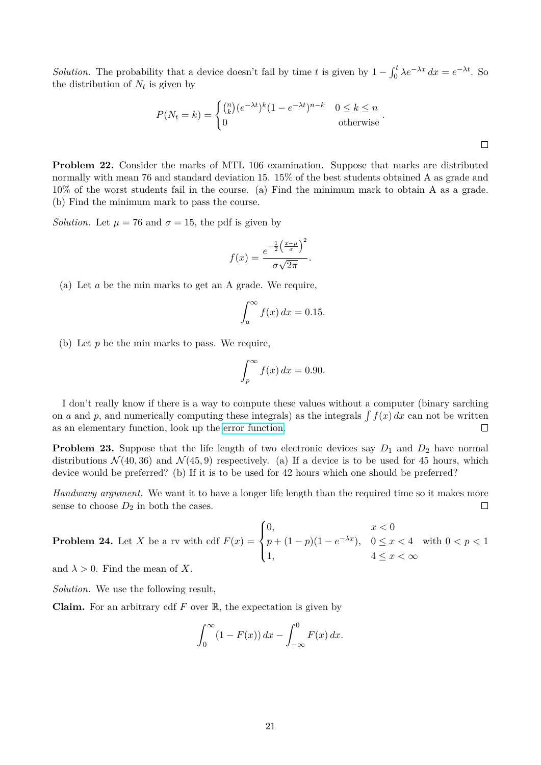*Solution.* The probability that a device doesn't fail by time t is given by  $1 - \int_0^t \lambda e^{-\lambda x} dx = e^{-\lambda t}$ . So the distribution of  $N_t$  is given by

$$
P(N_t = k) = \begin{cases} {n \choose k} (e^{-\lambda t})^k (1 - e^{-\lambda t})^{n-k} & 0 \le k \le n \\ 0 & \text{otherwise} \end{cases}.
$$

 $\Box$ 

**Problem 22.** Consider the marks of MTL 106 examination. Suppose that marks are distributed normally with mean 76 and standard deviation 15. 15% of the best students obtained A as grade and 10% of the worst students fail in the course. (a) Find the minimum mark to obtain A as a grade. (b) Find the minimum mark to pass the course.

*Solution.* Let  $\mu = 76$  and  $\sigma = 15$ , the pdf is given by

$$
f(x) = \frac{e^{-\frac{1}{2} \left(\frac{x-\mu}{\sigma}\right)^2}}{\sigma \sqrt{2\pi}}.
$$

(a) Let a be the min marks to get an A grade. We require,

$$
\int_{a}^{\infty} f(x) dx = 0.15.
$$

(b) Let  $p$  be the min marks to pass. We require,

$$
\int_{p}^{\infty} f(x) dx = 0.90.
$$

I don't really know if there is a way to compute these values without a computer (binary sarching on a and p, and numerically computing these integrals) as the integrals  $\int f(x) dx$  can not be written as an elementary function, look up the [error function.](https://en.wikipedia.org/wiki/Error_function)  $\Box$ 

**Problem 23.** Suppose that the life length of two electronic devices say  $D_1$  and  $D_2$  have normal distributions  $\mathcal{N}(40, 36)$  and  $\mathcal{N}(45, 9)$  respectively. (a) If a device is to be used for 45 hours, which device would be preferred? (b) If it is to be used for 42 hours which one should be preferred?

*Handwavy argument.* We want it to have a longer life length than the required time so it makes more sense to choose  $D_2$  in both the cases.  $\Box$ 

**Problem 24.** Let *X* be a rv with cdf 
$$
F(x) = \begin{cases} 0, & x < 0 \\ p + (1 - p)(1 - e^{-\lambda x}), & 0 \le x < 4 \text{ with } 0 < p < 1 \\ 1, & 4 \le x < \infty \end{cases}
$$

and  $\lambda > 0$ . Find the mean of X.

*Solution.* We use the following result,

**Claim.** For an arbitrary cdf  $F$  over  $\mathbb{R}$ , the expectation is given by

$$
\int_0^\infty (1 - F(x)) dx - \int_{-\infty}^0 F(x) dx.
$$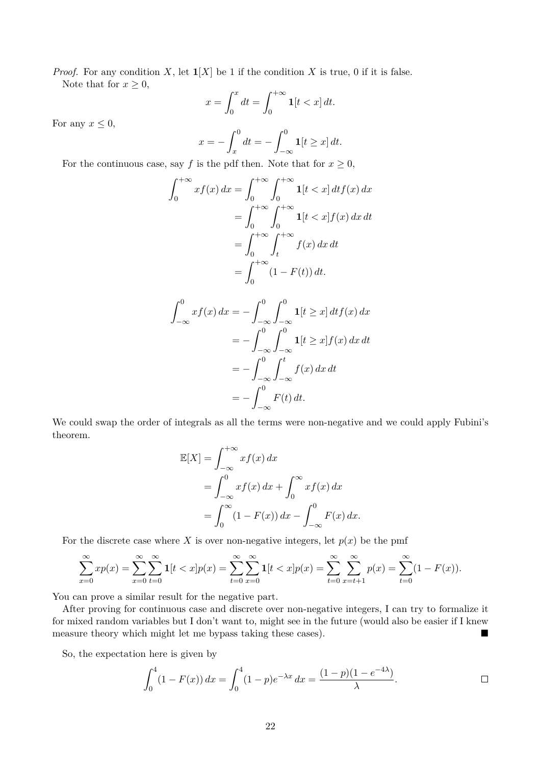*Proof.* For any condition X, let  $\mathbf{1}[X]$  be 1 if the condition X is true, 0 if it is false. Note that for  $x \geq 0$ ,

$$
x = \int_0^x dt = \int_0^{+\infty} \mathbf{1}[t < x] \, dt.
$$

For any  $x \leq 0$ ,

$$
x = -\int_{x}^{0} dt = -\int_{-\infty}^{0} \mathbf{1}[t \geq x] dt.
$$

For the continuous case, say f is the pdf then. Note that for  $x \geq 0$ ,

$$
\int_0^{+\infty} x f(x) dx = \int_0^{+\infty} \int_0^{+\infty} \mathbf{1}[t < x] dt f(x) dx
$$
  
= 
$$
\int_0^{+\infty} \int_0^{+\infty} \mathbf{1}[t < x] f(x) dx dt
$$
  
= 
$$
\int_0^{+\infty} \int_t^{+\infty} f(x) dx dt
$$
  
= 
$$
\int_0^{+\infty} (1 - F(t)) dt.
$$

$$
\int_{-\infty}^{0} x f(x) dx = -\int_{-\infty}^{0} \int_{-\infty}^{0} \mathbf{1}[t \ge x] dt f(x) dx
$$

$$
= -\int_{-\infty}^{0} \int_{-\infty}^{0} \mathbf{1}[t \ge x] f(x) dx dt
$$

$$
= -\int_{-\infty}^{0} \int_{-\infty}^{t} f(x) dx dt
$$

$$
= -\int_{-\infty}^{0} F(t) dt.
$$

We could swap the order of integrals as all the terms were non-negative and we could apply Fubini's theorem.

$$
\mathbb{E}[X] = \int_{-\infty}^{+\infty} x f(x) dx
$$
  
= 
$$
\int_{-\infty}^{0} x f(x) dx + \int_{0}^{\infty} x f(x) dx
$$
  
= 
$$
\int_{0}^{\infty} (1 - F(x)) dx - \int_{-\infty}^{0} F(x) dx.
$$

For the discrete case where X is over non-negative integers, let  $p(x)$  be the pmf

$$
\sum_{x=0}^{\infty} x p(x) = \sum_{x=0}^{\infty} \sum_{t=0}^{\infty} \mathbf{1}[t < x] p(x) = \sum_{t=0}^{\infty} \sum_{x=0}^{\infty} \mathbf{1}[t < x] p(x) = \sum_{t=0}^{\infty} \sum_{x=t+1}^{\infty} p(x) = \sum_{t=0}^{\infty} (1 - F(x)).
$$

You can prove a similar result for the negative part.

After proving for continuous case and discrete over non-negative integers, I can try to formalize it for mixed random variables but I don't want to, might see in the future (would also be easier if I knew measure theory which might let me bypass taking these cases).

So, the expectation here is given by

$$
\int_0^4 (1 - F(x)) dx = \int_0^4 (1 - p)e^{-\lambda x} dx = \frac{(1 - p)(1 - e^{-4\lambda})}{\lambda}.
$$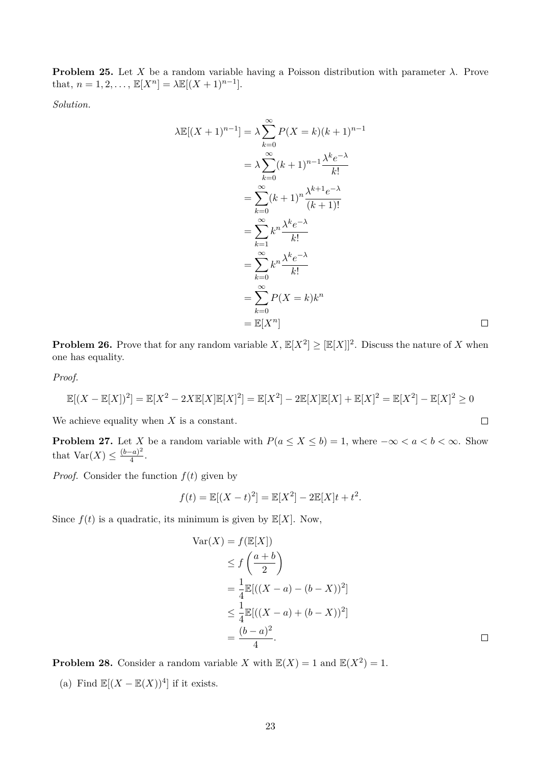**Problem 25.** Let X be a random variable having a Poisson distribution with parameter  $\lambda$ . Prove that,  $n = 1, 2, ..., \mathbb{E}[X^n] = \lambda \mathbb{E}[(X+1)^{n-1}].$ 

*Solution.*

$$
\lambda \mathbb{E}[(X+1)^{n-1}] = \lambda \sum_{k=0}^{\infty} P(X=k)(k+1)^{n-1}
$$
  
=  $\lambda \sum_{k=0}^{\infty} (k+1)^{n-1} \frac{\lambda^k e^{-\lambda}}{k!}$   
=  $\sum_{k=0}^{\infty} (k+1)^n \frac{\lambda^{k+1} e^{-\lambda}}{(k+1)!}$   
=  $\sum_{k=1}^{\infty} k^n \frac{\lambda^k e^{-\lambda}}{k!}$   
=  $\sum_{k=0}^{\infty} k^n \frac{\lambda^k e^{-\lambda}}{k!}$   
=  $\sum_{k=0}^{\infty} P(X=k) k^n$   
=  $\mathbb{E}[X^n]$ 

**Problem 26.** Prove that for any random variable  $X$ ,  $\mathbb{E}[X^2] \geq [\mathbb{E}[X]]^2$ . Discuss the nature of X when one has equality.

*Proof.*

$$
\mathbb{E}[(X - \mathbb{E}[X])^2] = \mathbb{E}[X^2 - 2X\mathbb{E}[X]\mathbb{E}[X]^2] = \mathbb{E}[X^2] - 2\mathbb{E}[X]\mathbb{E}[X] + \mathbb{E}[X]^2 = \mathbb{E}[X^2] - \mathbb{E}[X]^2 \ge 0
$$

We achieve equality when  $X$  is a constant.

**Problem 27.** Let X be a random variable with  $P(a \le X \le b) = 1$ , where  $-\infty < a < b < \infty$ . Show that  $Var(X) \leq \frac{(b-a)^2}{4}$  $\frac{-a)^{-}}{4}$ .

*Proof.* Consider the function  $f(t)$  given by

$$
f(t) = \mathbb{E}[(X - t)^2] = \mathbb{E}[X^2] - 2\mathbb{E}[X]t + t^2.
$$

Since  $f(t)$  is a quadratic, its minimum is given by  $\mathbb{E}[X]$ . Now,

Var(X) = f(E[X])  
\n≤ f 
$$
\left(\frac{a+b}{2}\right)
$$
  
\n=  $\frac{1}{4}$ E[( $(X-a) - (b-X)$ )<sup>2</sup>]  
\n≤  $\frac{1}{4}$ E[( $(X-a) + (b-X)$ )<sup>2</sup>]  
\n=  $\frac{(b-a)^2}{4}$ .

 $\Box$ 

 $\Box$ 

**Problem 28.** Consider a random variable X with  $\mathbb{E}(X) = 1$  and  $\mathbb{E}(X^2) = 1$ .

(a) Find  $\mathbb{E}[(X - \mathbb{E}(X))^4]$  if it exists.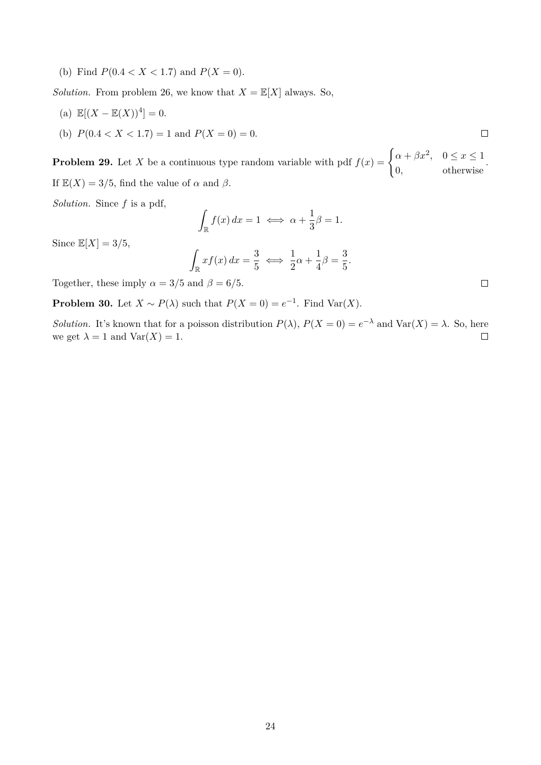(b) Find  $P(0.4 < X < 1.7)$  and  $P(X = 0)$ .

*Solution.* From problem 26, we know that  $X = \mathbb{E}[X]$  always. So,

- (a)  $\mathbb{E}[(X \mathbb{E}(X))^4] = 0.$
- (b)  $P(0.4 < X < 1.7) = 1$  and  $P(X = 0) = 0$ .

**Problem 29.** Let X be a continuous type random variable with pdf  $f(x) = \begin{cases} \alpha + \beta x^2, & 0 \leq x \leq 1 \end{cases}$ 0, otherwise . If  $\mathbb{E}(X) = 3/5$ , find the value of  $\alpha$  and  $\beta$ .

*Solution.* Since f is a pdf,

$$
\int_{\mathbb{R}} f(x) dx = 1 \iff \alpha + \frac{1}{3}\beta = 1.
$$

Since  $\mathbb{E}[X] = 3/5$ ,

$$
\int_{\mathbb{R}} x f(x) dx = \frac{3}{5} \iff \frac{1}{2}\alpha + \frac{1}{4}\beta = \frac{3}{5}.
$$

Together, these imply  $\alpha = 3/5$  and  $\beta = 6/5$ .

**Problem 30.** Let  $X \sim P(\lambda)$  such that  $P(X = 0) = e^{-1}$ . Find Var $(X)$ .

*Solution.* It's known that for a poisson distribution  $P(\lambda)$ ,  $P(X = 0) = e^{-\lambda}$  and  $Var(X) = \lambda$ . So, here we get  $\lambda = 1$  and  $\text{Var}(X) = 1$ .  $\Box$ 

 $\Box$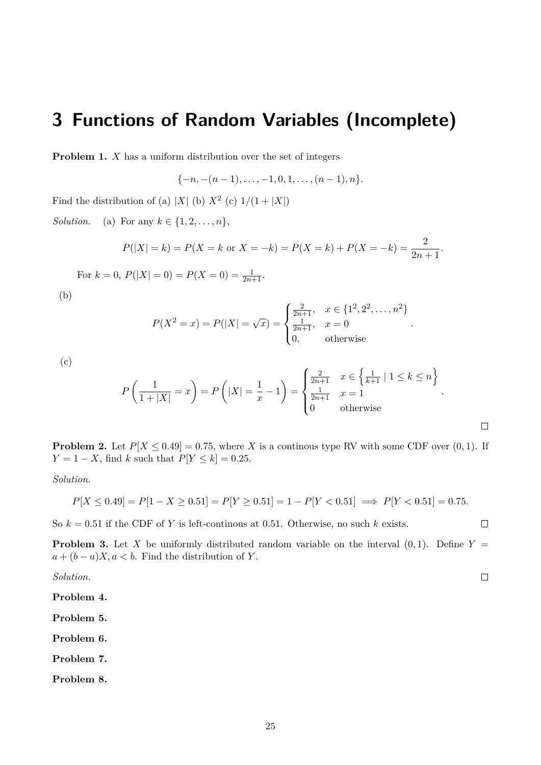## <span id="page-24-0"></span>**3 Functions of Random Variables (Incomplete)**

**Problem 1.** X has a uniform distribution over the set of integers

$$
\{-n,-(n-1),\ldots,-1,0,1,\ldots,(n-1),n\}.
$$

Find the distribution of (a) |X| (b)  $X^2$  (c)  $1/(1+|X|)$ 

*Solution.* (a) For any  $k \in \{1, 2, \ldots, n\},\$ 

$$
P(|X| = k) = P(X = k \text{ or } X = -k) = P(X = k) + P(X = -k) = \frac{2}{2n+1}.
$$

For  $k = 0$ ,  $P(|X| = 0) = P(X = 0) = \frac{1}{2n+1}$ .

(b)

$$
P(X^{2} = x) = P(|X| = \sqrt{x}) = \begin{cases} \frac{2}{2n+1}, & x \in \{1^{2}, 2^{2}, \dots, n^{2}\} \\ \frac{1}{2n+1}, & x = 0 \\ 0, & \text{otherwise} \end{cases}
$$

(c)

$$
P\left(\frac{1}{1+|X|} = x\right) = P\left(|X| = \frac{1}{x} - 1\right) = \begin{cases} \frac{2}{2n+1} & x \in \left\{\frac{1}{k+1} \mid 1 \le k \le n\right\} \\ \frac{1}{2n+1} & x = 1 \\ 0 & \text{otherwise} \end{cases}.
$$

**Problem 2.** Let  $P[X \le 0.49] = 0.75$ , where X is a continous type RV with some CDF over  $(0, 1)$ . If  $Y = 1 - X$ , find k such that  $P[Y \le k] = 0.25$ .

*Solution.*

$$
P[X \le 0.49] = P[1 - X \ge 0.51] = P[Y \ge 0.51] = 1 - P[Y < 0.51] \implies P[Y < 0.51] = 0.75.
$$

So  $k = 0.51$  if the CDF of Y is left-continous at 0.51. Otherwise, no such k exists.

**Problem 3.** Let X be uniformly distributed random variable on the interval  $(0, 1)$ . Define Y =  $a + (b - a)X, a < b$ . Find the distribution of Y.

*Solution.*

**Problem 4.**

**Problem 5.**

**Problem 6.**

**Problem 7.**

**Problem 8.**

 $\Box$ 

 $\Box$ 

 $\Box$ 

.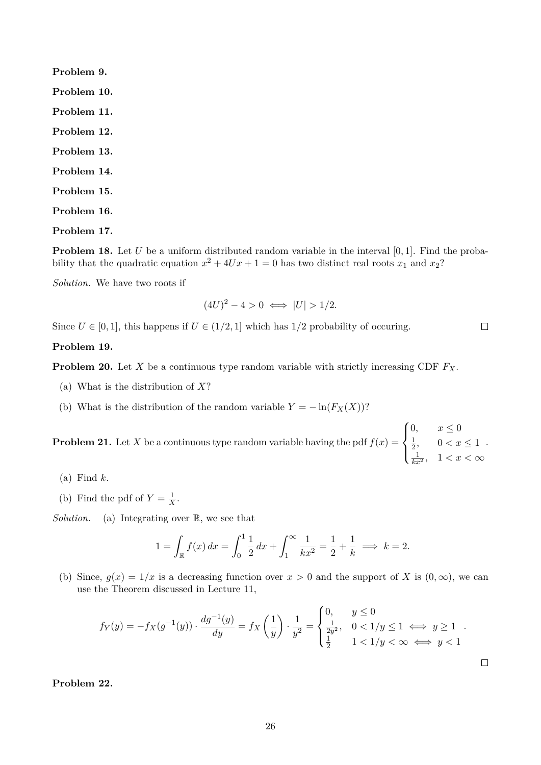**Problem 9. Problem 10. Problem 11. Problem 12. Problem 13. Problem 14. Problem 15. Problem 16. Problem 17.**

**Problem 18.** Let U be a uniform distributed random variable in the interval  $[0, 1]$ . Find the probability that the quadratic equation  $x^2 + 4Ux + 1 = 0$  has two distinct real roots  $x_1$  and  $x_2$ ?

*Solution.* We have two roots if

$$
(4U)^2 - 4 > 0 \iff |U| > 1/2.
$$

 $\Box$ 

 $\Box$ 

Since  $U \in [0, 1]$ , this happens if  $U \in (1/2, 1]$  which has  $1/2$  probability of occuring.

#### **Problem 19.**

**Problem 20.** Let X be a continuous type random variable with strictly increasing CDF  $F_X$ .

- (a) What is the distribution of  $X$ ?
- (b) What is the distribution of the random variable  $Y = -\ln(F_X(X))$ ?

**Problem 21.** Let X be a continuous type random variable having the pdf  $f(x) =$  $\sqrt{ }$  $\int$  $\overline{\mathcal{L}}$ 0,  $x \leq 0$ 1  $\frac{1}{2}$ ,  $0 < x \leq 1$  $\frac{1}{kx^2}$ ,  $1 < x < \infty$ .

- $(a)$  Find  $k$ .
- (b) Find the pdf of  $Y = \frac{1}{X}$  $\frac{1}{X}$ .

*Solution.* (a) Integrating over R, we see that

$$
1 = \int_{\mathbb{R}} f(x) dx = \int_0^1 \frac{1}{2} dx + \int_1^\infty \frac{1}{kx^2} dx = \frac{1}{2} + \frac{1}{k} \implies k = 2.
$$

(b) Since,  $g(x) = 1/x$  is a decreasing function over  $x > 0$  and the support of X is  $(0, \infty)$ , we can use the Theorem discussed in Lecture 11,

$$
f_Y(y) = -f_X(g^{-1}(y)) \cdot \frac{dg^{-1}(y)}{dy} = f_X\left(\frac{1}{y}\right) \cdot \frac{1}{y^2} = \begin{cases} 0, & y \le 0 \\ \frac{1}{2y^2}, & 0 < 1/y \le 1 \iff y \ge 1 \\ \frac{1}{2} & 1 < 1/y < \infty \iff y < 1 \end{cases}
$$

**Problem 22.**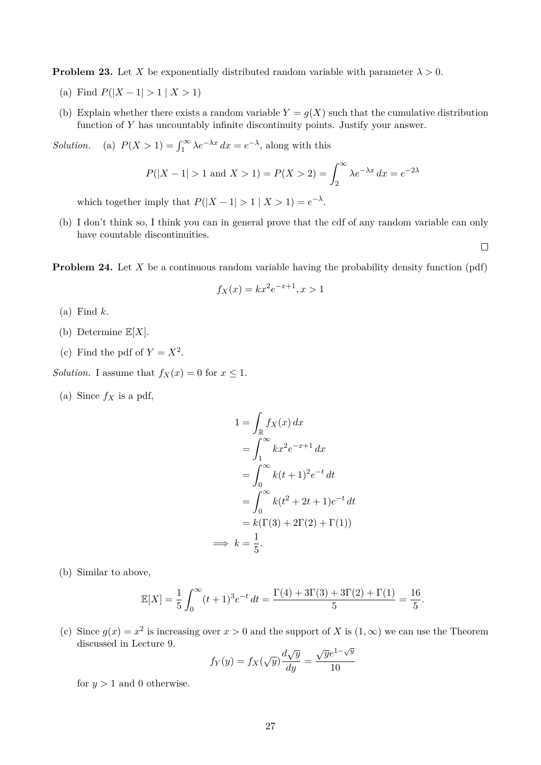**Problem 23.** Let X be exponentially distributed random variable with parameter  $\lambda > 0$ .

- (a) Find  $P(|X 1| > 1 | X > 1)$
- (b) Explain whether there exists a random variable  $Y = g(X)$  such that the cumulative distribution function of Y has uncountably infinite discontinuity points. Justify your answer.

*Solution.* (a)  $P(X > 1) = \int_1^\infty \lambda e^{-\lambda x} dx = e^{-\lambda}$ , along with this

$$
P(|X - 1| > 1
$$
 and  $X > 1) = P(X > 2) = \int_{2}^{\infty} \lambda e^{-\lambda x} dx = e^{-2\lambda}$ 

which together imply that  $P(|X - 1| > 1 | X > 1) = e^{-\lambda}$ .

(b) I don't think so, I think you can in general prove that the cdf of any random variable can only have countable discontinuities.

**Problem 24.** Let X be a continuous random variable having the probability density function (pdf)

$$
f_X(x) = kx^2 e^{-x+1}, x > 1
$$

- $(a)$  Find  $k$ .
- (b) Determine  $\mathbb{E}[X]$ .
- (c) Find the pdf of  $Y = X^2$ .

*Solution.* I assume that  $f_X(x) = 0$  for  $x \le 1$ .

(a) Since  $f_X$  is a pdf,

$$
1 = \int_{\mathbb{R}} f_X(x) dx
$$
  
= 
$$
\int_{1}^{\infty} kx^2 e^{-x+1} dx
$$
  
= 
$$
\int_{0}^{\infty} k(t+1)^2 e^{-t} dt
$$
  
= 
$$
\int_{0}^{\infty} k(t^2 + 2t + 1)e^{-t} dt
$$
  
= 
$$
k(\Gamma(3) + 2\Gamma(2) + \Gamma(1))
$$
  

$$
\implies k = \frac{1}{5}.
$$

(b) Similar to above,

$$
\mathbb{E}[X] = \frac{1}{5} \int_0^\infty (t+1)^3 e^{-t} dt = \frac{\Gamma(4) + 3\Gamma(3) + 3\Gamma(2) + \Gamma(1)}{5} = \frac{16}{5}.
$$

(c) Since  $g(x) = x^2$  is increasing over  $x > 0$  and the support of X is  $(1, \infty)$  we can use the Theorem discussed in Lecture 9.  $\sqrt{y}$ 

$$
f_Y(y) = f_X(\sqrt{y}) \frac{d\sqrt{y}}{dy} = \frac{\sqrt{y}e^{1-\sqrt{y}}}{10}
$$

for  $y > 1$  and 0 otherwise.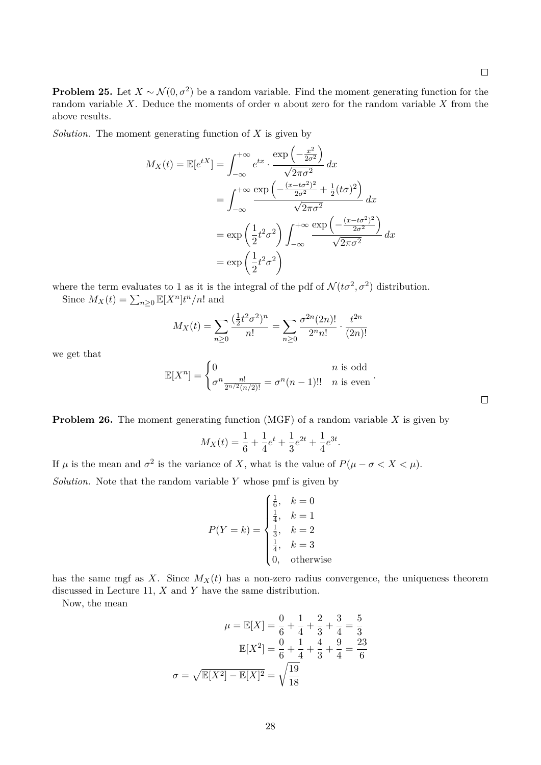**Problem 25.** Let  $X \sim \mathcal{N}(0, \sigma^2)$  be a random variable. Find the moment generating function for the random variable  $X$ . Deduce the moments of order  $n$  about zero for the random variable  $X$  from the above results.

*Solution*. The moment generating function of  $X$  is given by

$$
M_X(t) = \mathbb{E}[e^{tX}] = \int_{-\infty}^{+\infty} e^{tx} \cdot \frac{\exp\left(-\frac{x^2}{2\sigma^2}\right)}{\sqrt{2\pi\sigma^2}} dx
$$
  

$$
= \int_{-\infty}^{+\infty} \frac{\exp\left(-\frac{(x-t\sigma^2)^2}{2\sigma^2} + \frac{1}{2}(t\sigma)^2\right)}{\sqrt{2\pi\sigma^2}} dx
$$
  

$$
= \exp\left(\frac{1}{2}t^2\sigma^2\right) \int_{-\infty}^{+\infty} \frac{\exp\left(-\frac{(x-t\sigma^2)^2}{2\sigma^2}\right)}{\sqrt{2\pi\sigma^2}} dx
$$
  

$$
= \exp\left(\frac{1}{2}t^2\sigma^2\right)
$$

where the term evaluates to 1 as it is the integral of the pdf of  $\mathcal{N}(t\sigma^2, \sigma^2)$  distribution.

Since  $M_X(t) = \sum_{n\geq 0} \mathbb{E}[X^n] t^n/n!$  and

$$
M_X(t) = \sum_{n\geq 0} \frac{(\frac{1}{2}t^2 \sigma^2)^n}{n!} = \sum_{n\geq 0} \frac{\sigma^{2n}(2n)!}{2^n n!} \cdot \frac{t^{2n}}{(2n)!}
$$

we get that

$$
\mathbb{E}[X^n] = \begin{cases} 0 & n \text{ is odd} \\ \sigma^n \frac{n!}{2^{n/2}(n/2)!} = \sigma^n (n-1)!! & n \text{ is even} \end{cases}
$$

**Problem 26.** The moment generating function (MGF) of a random variable X is given by

$$
M_X(t) = \frac{1}{6} + \frac{1}{4}e^t + \frac{1}{3}e^{2t} + \frac{1}{4}e^{3t}.
$$

If  $\mu$  is the mean and  $\sigma^2$  is the variance of X, what is the value of  $P(\mu - \sigma < X < \mu)$ . *Solution.* Note that the random variable Y whose pmf is given by

$$
P(Y = k) = \begin{cases} \frac{1}{6}, & k = 0\\ \frac{1}{4}, & k = 1\\ \frac{1}{3}, & k = 2\\ \frac{1}{4}, & k = 3\\ 0, & \text{otherwise} \end{cases}
$$

has the same mgf as X. Since  $M_X(t)$  has a non-zero radius convergence, the uniqueness theorem discussed in Lecture 11,  $X$  and  $Y$  have the same distribution.

Now, the mean

$$
\mu = \mathbb{E}[X] = \frac{0}{6} + \frac{1}{4} + \frac{2}{3} + \frac{3}{4} = \frac{5}{3}
$$

$$
\mathbb{E}[X^2] = \frac{0}{6} + \frac{1}{4} + \frac{4}{3} + \frac{9}{4} = \frac{23}{6}
$$

$$
\sigma = \sqrt{\mathbb{E}[X^2] - \mathbb{E}[X]^2} = \sqrt{\frac{19}{18}}
$$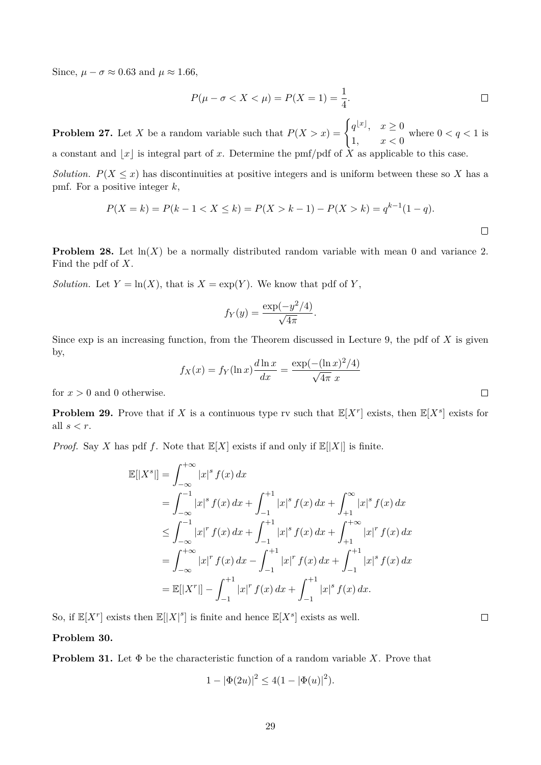Since,  $\mu - \sigma \approx 0.63$  and  $\mu \approx 1.66$ ,

$$
P(\mu - \sigma < X < \mu) = P(X = 1) = \frac{1}{4}.\tag{}
$$

**Problem 27.** Let X be a random variable such that  $P(X > x) = \begin{cases} q^{\lfloor x \rfloor}, & x \geq 0 \\ 0 & x \end{cases}$ 1,  $x < 0$ where  $0 < q < 1$  is a constant and |x| is integral part of x. Determine the pmf/pdf of  $\tilde{X}$  as applicable to this case.

*Solution.*  $P(X \leq x)$  has discontinuities at positive integers and is uniform between these so X has a pmf. For a positive integer  $k$ ,

$$
P(X = k) = P(k - 1 < X \le k) = P(X > k - 1) - P(X > k) = q^{k-1}(1 - q).
$$

**Problem 28.** Let  $\ln(X)$  be a normally distributed random variable with mean 0 and variance 2. Find the pdf of X.

*Solution.* Let  $Y = \ln(X)$ , that is  $X = \exp(Y)$ . We know that pdf of Y,

$$
f_Y(y) = \frac{\exp(-y^2/4)}{\sqrt{4\pi}}.
$$

Since  $\exp$  is an increasing function, from the Theorem discussed in Lecture 9, the pdf of X is given by,

$$
f_X(x) = f_Y(\ln x) \frac{d \ln x}{dx} = \frac{\exp(-( \ln x)^2/4)}{\sqrt{4\pi} x}
$$

for  $x > 0$  and 0 otherwise.

**Problem 29.** Prove that if X is a continuous type rv such that  $\mathbb{E}[X^r]$  exists, then  $\mathbb{E}[X^s]$  exists for all  $s < r$ .

*Proof.* Say X has pdf f. Note that  $\mathbb{E}[X]$  exists if and only if  $\mathbb{E}[|X|]$  is finite.

$$
\mathbb{E}[|X^s|] = \int_{-\infty}^{+\infty} |x|^s f(x) dx
$$
  
\n
$$
= \int_{-\infty}^{-1} |x|^s f(x) dx + \int_{-1}^{+1} |x|^s f(x) dx + \int_{+1}^{\infty} |x|^s f(x) dx
$$
  
\n
$$
\leq \int_{-\infty}^{-1} |x|^r f(x) dx + \int_{-1}^{+1} |x|^s f(x) dx + \int_{+1}^{+\infty} |x|^r f(x) dx
$$
  
\n
$$
= \int_{-\infty}^{+\infty} |x|^r f(x) dx - \int_{-1}^{+1} |x|^r f(x) dx + \int_{-1}^{+1} |x|^s f(x) dx
$$
  
\n
$$
= \mathbb{E}[|X^r|] - \int_{-1}^{+1} |x|^r f(x) dx + \int_{-1}^{+1} |x|^s f(x) dx.
$$

So, if  $\mathbb{E}[X^r]$  exists then  $\mathbb{E}[|X|^s]$  is finite and hence  $\mathbb{E}[X^s]$  exists as well.

**Problem 30.**

**Problem 31.** Let  $\Phi$  be the characteristic function of a random variable X. Prove that

$$
1 - |\Phi(2u)|^2 \le 4(1 - |\Phi(u)|^2).
$$

 $\Box$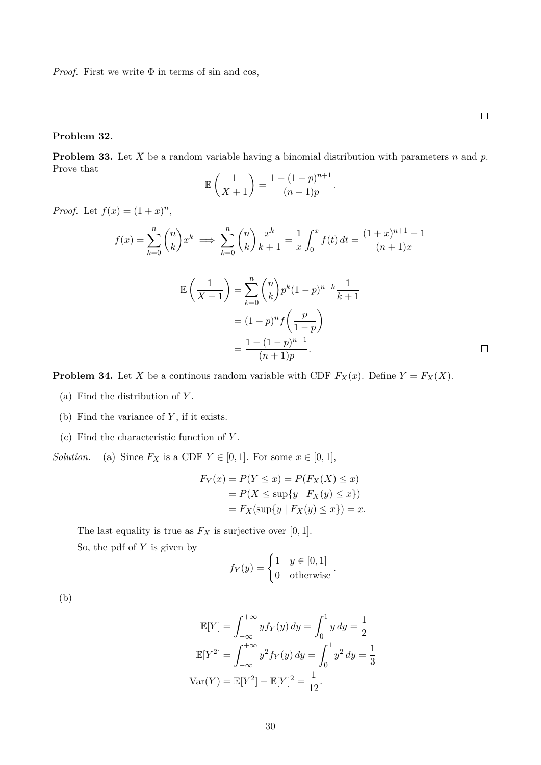*Proof.* First we write  $\Phi$  in terms of sin and cos,

#### **Problem 32.**

**Problem 33.** Let  $X$  be a random variable having a binomial distribution with parameters  $n$  and  $p$ . Prove that

$$
\mathbb{E}\left(\frac{1}{X+1}\right) = \frac{1 - (1-p)^{n+1}}{(n+1)p}.
$$

*Proof.* Let  $f(x) = (1+x)^n$ ,

$$
f(x) = \sum_{k=0}^{n} {n \choose k} x^{k} \implies \sum_{k=0}^{n} {n \choose k} \frac{x^{k}}{k+1} = \frac{1}{x} \int_{0}^{x} f(t) dt = \frac{(1+x)^{n+1} - 1}{(n+1)x}
$$

$$
\mathbb{E}\left(\frac{1}{X+1}\right) = \sum_{k=0}^{n} {n \choose k} p^{k} (1-p)^{n-k} \frac{1}{k+1}
$$

$$
= (1-p)^{n} f\left(\frac{p}{1-p}\right)
$$

$$
= \frac{1 - (1-p)^{n+1}}{(n+1)p}.
$$

**Problem 34.** Let X be a continuous random variable with CDF  $F_X(x)$ . Define  $Y = F_X(X)$ .

- (a) Find the distribution of  $Y$ .
- (b) Find the variance of  $Y$ , if it exists.
- (c) Find the characteristic function of Y .

*Solution.* (a) Since  $F_X$  is a CDF  $Y \in [0, 1]$ . For some  $x \in [0, 1]$ ,

$$
F_Y(x) = P(Y \le x) = P(F_X(X) \le x)
$$
  
= 
$$
P(X \le \sup\{y \mid F_X(y) \le x\})
$$
  
= 
$$
F_X(\sup\{y \mid F_X(y) \le x\}) = x.
$$

The last equality is true as  $F_X$  is surjective over [0, 1].

So, the pdf of  $Y$  is given by

$$
f_Y(y) = \begin{cases} 1 & y \in [0,1] \\ 0 & \text{otherwise} \end{cases}.
$$

(b)

$$
\mathbb{E}[Y] = \int_{-\infty}^{+\infty} y f_Y(y) \, dy = \int_0^1 y \, dy = \frac{1}{2}
$$

$$
\mathbb{E}[Y^2] = \int_{-\infty}^{+\infty} y^2 f_Y(y) \, dy = \int_0^1 y^2 \, dy = \frac{1}{3}
$$

$$
\text{Var}(Y) = \mathbb{E}[Y^2] - \mathbb{E}[Y]^2 = \frac{1}{12}.
$$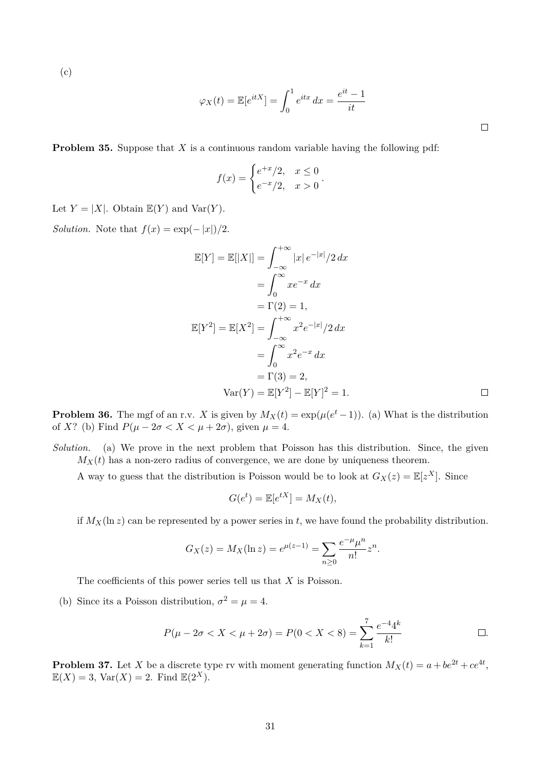(c)

$$
\varphi_X(t) = \mathbb{E}[e^{itX}] = \int_0^1 e^{itx} dx = \frac{e^{it} - 1}{it}
$$

**Problem 35.** Suppose that X is a continuous random variable having the following pdf:

$$
f(x) = \begin{cases} e^{+x}/2, & x \le 0 \\ e^{-x}/2, & x > 0 \end{cases}.
$$

Let  $Y = |X|$ . Obtain  $\mathbb{E}(Y)$  and  $\text{Var}(Y)$ .

*Solution.* Note that  $f(x) = \exp(-|x|)/2$ .

$$
\mathbb{E}[Y] = \mathbb{E}[|X|] = \int_{-\infty}^{+\infty} |x| e^{-|x|} / 2 dx
$$
  
\n
$$
= \int_{0}^{\infty} x e^{-x} dx
$$
  
\n
$$
= \Gamma(2) = 1,
$$
  
\n
$$
\mathbb{E}[Y^2] = \mathbb{E}[X^2] = \int_{-\infty}^{+\infty} x^2 e^{-|x|} / 2 dx
$$
  
\n
$$
= \int_{0}^{\infty} x^2 e^{-x} dx
$$
  
\n
$$
= \Gamma(3) = 2,
$$
  
\n
$$
\text{Var}(Y) = \mathbb{E}[Y^2] - \mathbb{E}[Y]^2 = 1.
$$

**Problem 36.** The mgf of an r.v. X is given by  $M_X(t) = \exp(\mu(e^t - 1))$ . (a) What is the distribution of X? (b) Find  $P(\mu - 2\sigma < X < \mu + 2\sigma)$ , given  $\mu = 4$ .

*Solution.* (a) We prove in the next problem that Poisson has this distribution. Since, the given  $M_X(t)$  has a non-zero radius of convergence, we are done by uniqueness theorem.

A way to guess that the distribution is Poisson would be to look at  $G_X(z) = \mathbb{E}[z^X]$ . Since

$$
G(e^t) = \mathbb{E}[e^{tX}] = M_X(t),
$$

if  $M_X(\ln z)$  can be represented by a power series in t, we have found the probability distribution.

$$
G_X(z) = M_X(\ln z) = e^{\mu(z-1)} = \sum_{n \ge 0} \frac{e^{-\mu} \mu^n}{n!} z^n.
$$

The coefficients of this power series tell us that  $X$  is Poisson.

(b) Since its a Poisson distribution,  $\sigma^2 = \mu = 4$ .

$$
P(\mu - 2\sigma < X < \mu + 2\sigma) = P(0 < X < 8) = \sum_{k=1}^{7} \frac{e^{-4}4^k}{k!} \qquad \Box.
$$

**Problem 37.** Let X be a discrete type rv with moment generating function  $M_X(t) = a + be^{2t} + ce^{4t}$ ,  $\mathbb{E}(X) = 3$ ,  $\text{Var}(X) = 2$ . Find  $\mathbb{E}(2^X)$ .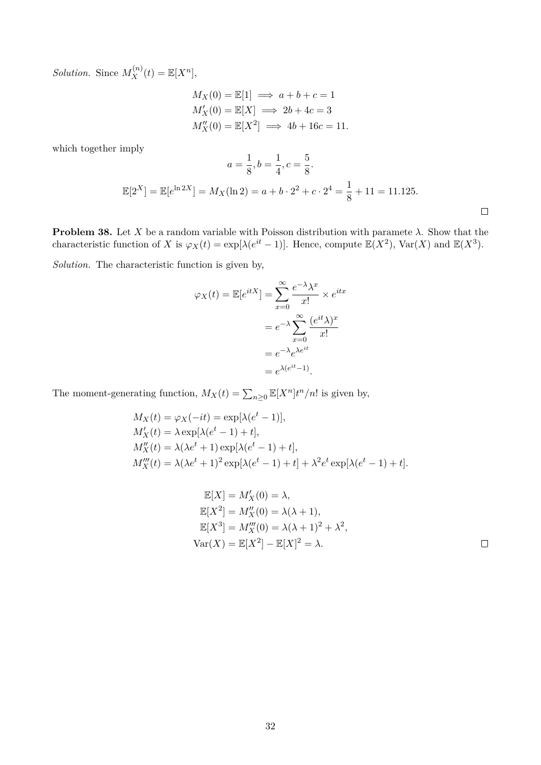*Solution.* Since  $M_X^{(n)}(t) = \mathbb{E}[X^n]$ ,

$$
M_X(0) = \mathbb{E}[1] \implies a + b + c = 1
$$
  
\n
$$
M'_X(0) = \mathbb{E}[X] \implies 2b + 4c = 3
$$
  
\n
$$
M''_X(0) = \mathbb{E}[X^2] \implies 4b + 16c = 11.
$$

which together imply

$$
a = \frac{1}{8}, b = \frac{1}{4}, c = \frac{5}{8}.
$$

$$
\mathbb{E}[2^X] = \mathbb{E}[e^{\ln 2X}] = M_X(\ln 2) = a + b \cdot 2^2 + c \cdot 2^4 = \frac{1}{8} + 11 = 11.125.
$$

**Problem 38.** Let X be a random variable with Poisson distribution with paramete  $\lambda$ . Show that the characteristic function of X is  $\varphi_X(t) = \exp[\lambda(e^{it} - 1)]$ . Hence, compute  $\mathbb{E}(X^2)$ , Var $(X)$  and  $\mathbb{E}(X^3)$ .

*Solution.* The characteristic function is given by,

$$
\varphi_X(t) = \mathbb{E}[e^{itX}] = \sum_{x=0}^{\infty} \frac{e^{-\lambda} \lambda^x}{x!} \times e^{itx}
$$

$$
= e^{-\lambda} \sum_{x=0}^{\infty} \frac{(e^{it}\lambda)^x}{x!}
$$

$$
= e^{-\lambda} e^{\lambda e^{it}}
$$

$$
= e^{\lambda (e^{it} - 1)}.
$$

The moment-generating function,  $M_X(t) = \sum_{n \geq 0} \mathbb{E}[X^n] t^n/n!$  is given by,

$$
M_X(t) = \varphi_X(-it) = \exp[\lambda(e^t - 1)],
$$
  
\n
$$
M'_X(t) = \lambda \exp[\lambda(e^t - 1) + t],
$$
  
\n
$$
M''_X(t) = \lambda(\lambda e^t + 1) \exp[\lambda(e^t - 1) + t],
$$
  
\n
$$
M''_X(t) = \lambda(\lambda e^t + 1)^2 \exp[\lambda(e^t - 1) + t] + \lambda^2 e^t \exp[\lambda(e^t - 1) + t].
$$

$$
\mathbb{E}[X] = M'_X(0) = \lambda,
$$
  
\n
$$
\mathbb{E}[X^2] = M''_X(0) = \lambda(\lambda + 1),
$$
  
\n
$$
\mathbb{E}[X^3] = M'''_X(0) = \lambda(\lambda + 1)^2 + \lambda^2,
$$
  
\n
$$
Var(X) = \mathbb{E}[X^2] - \mathbb{E}[X]^2 = \lambda.
$$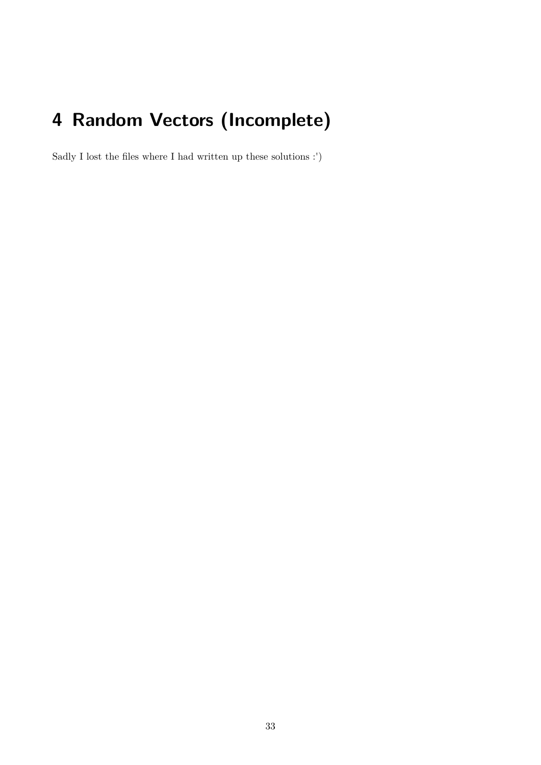# <span id="page-32-0"></span>**4 Random Vectors (Incomplete)**

Sadly I lost the files where I had written up these solutions :')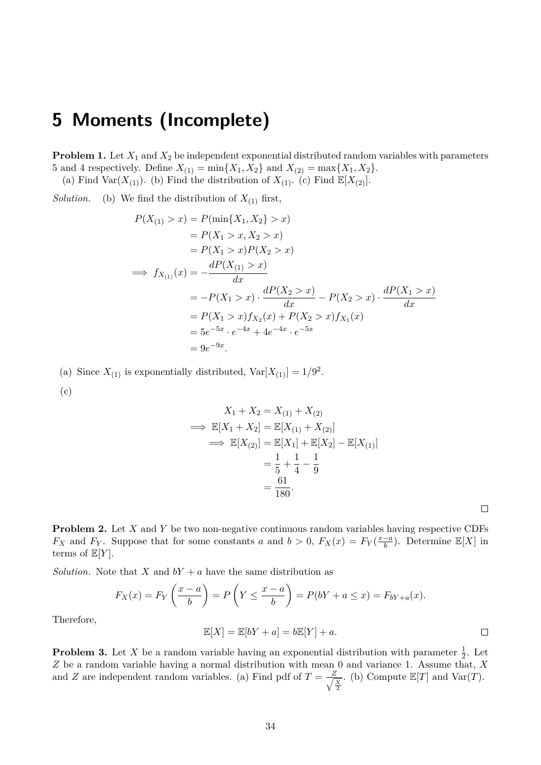### <span id="page-33-0"></span>**5 Moments (Incomplete)**

**Problem 1.** Let  $X_1$  and  $X_2$  be independent exponential distributed random variables with parameters 5 and 4 respectively. Define  $X_{(1)} = \min\{X_1, X_2\}$  and  $X_{(2)} = \max\{X_1, X_2\}.$ 

(a) Find Var $(X_{(1)})$ . (b) Find the distribution of  $X_{(1)}$ . (c) Find  $\mathbb{E}[X_{(2)}]$ .

*Solution.* (b) We find the distribution of  $X_{(1)}$  first,

$$
P(X_{(1)} > x) = P(\min\{X_1, X_2\} > x)
$$
  
=  $P(X_1 > x, X_2 > x)$   
=  $P(X_1 > x)P(X_2 > x)$   
 $\implies f_{X_{(1)}}(x) = -\frac{dP(X_{(1)} > x)}{dx}$   
=  $-P(X_1 > x) \cdot \frac{dP(X_2 > x)}{dx} - P(X_2 > x) \cdot \frac{dP(X_1 > x)}{dx}$   
=  $P(X_1 > x) f_{X_2}(x) + P(X_2 > x) f_{X_1}(x)$   
=  $5e^{-5x} \cdot e^{-4x} + 4e^{-4x} \cdot e^{-5x}$   
=  $9e^{-9x}$ .

(a) Since  $X_{(1)}$  is exponentially distributed,  $Var[X_{(1)}] = 1/9^2$ .

(c)

$$
X_1 + X_2 = X_{(1)} + X_{(2)}
$$
  
\n
$$
\implies \mathbb{E}[X_1 + X_2] = \mathbb{E}[X_{(1)} + X_{(2)}]
$$
  
\n
$$
\implies \mathbb{E}[X_{(2)}] = \mathbb{E}[X_1] + \mathbb{E}[X_2] - \mathbb{E}[X_{(1)}]
$$
  
\n
$$
= \frac{1}{5} + \frac{1}{4} - \frac{1}{9}
$$
  
\n
$$
= \frac{61}{180}.
$$

 $\Box$ 

**Problem 2.** Let X and Y be two non-negative continuous random variables having respective CDFs  $F_X$  and  $F_Y$ . Suppose that for some constants a and  $b > 0$ ,  $F_X(x) = F_Y(\frac{x-a}{b})$  $\frac{-a}{b}$ ). Determine  $\mathbb{E}[X]$  in terms of  $\mathbb{E}[Y]$ .

*Solution.* Note that X and  $bY + a$  have the same distribution as

$$
F_X(x) = F_Y\left(\frac{x-a}{b}\right) = P\left(Y \le \frac{x-a}{b}\right) = P(bY + a \le x) = F_{bY + a}(x).
$$

Therefore,

$$
\mathbb{E}[X] = \mathbb{E}[bY + a] = b\mathbb{E}[Y] + a.
$$

**Problem 3.** Let X be a random variable having an exponential distribution with parameter  $\frac{1}{2}$ . Let Z be a random variable having a normal distribution with mean 0 and variance 1. Assume that, X and Z are independent random variables. (a) Find pdf of  $T = \frac{Z}{\sqrt{2}}$  $\frac{X}{2}$ . (b) Compute  $\mathbb{E}[T]$  and  $\text{Var}(T)$ .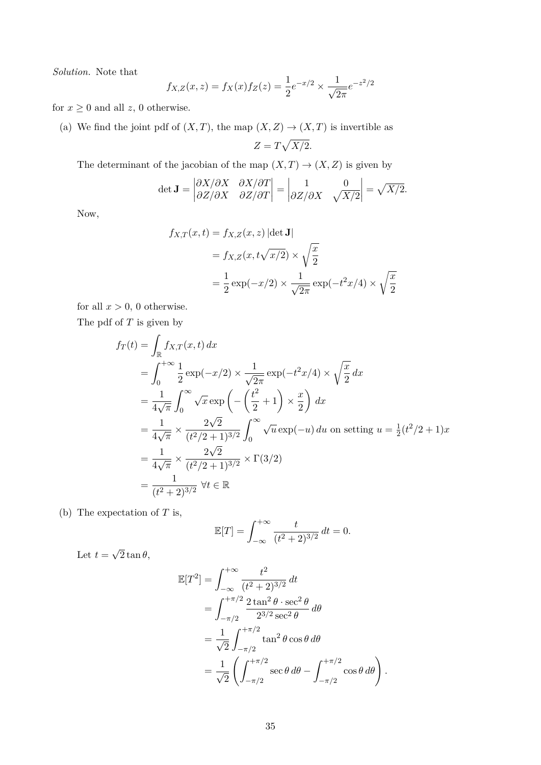*Solution.* Note that

$$
f_{X,Z}(x, z) = f_X(x) f_Z(z) = \frac{1}{2} e^{-x/2} \times \frac{1}{\sqrt{2\pi}} e^{-z^2/2}
$$

for  $x \geq 0$  and all  $z$ , 0 otherwise.

(a) We find the joint pdf of  $(X, T)$ , the map  $(X, Z) \to (X, T)$  is invertible as  $Z = T\sqrt{X/2}.$ 

The determinant of the jacobian of the map  $(X,T) \to (X,Z)$  is given by

$$
\det \mathbf{J} = \begin{vmatrix} \partial X/\partial X & \partial X/\partial T \\ \partial Z/\partial X & \partial Z/\partial T \end{vmatrix} = \begin{vmatrix} 1 & 0 \\ \partial Z/\partial X & \sqrt{X/2} \end{vmatrix} = \sqrt{X/2}.
$$

Now,

$$
f_{X,T}(x,t) = f_{X,Z}(x,z) |\det \mathbf{J}|
$$
  
=  $f_{X,Z}(x, t\sqrt{x/2}) \times \sqrt{\frac{x}{2}}$   
=  $\frac{1}{2} \exp(-x/2) \times \frac{1}{\sqrt{2\pi}} \exp(-t^2 x/4) \times \sqrt{\frac{x}{2}}$ 

for all  $x > 0$ , 0 otherwise.

The pdf of  $T$  is given by

$$
f_T(t) = \int_{\mathbb{R}} f_{X,T}(x, t) dx
$$
  
=  $\int_0^{+\infty} \frac{1}{2} \exp(-x/2) \times \frac{1}{\sqrt{2\pi}} \exp(-t^2 x/4) \times \sqrt{\frac{x}{2}} dx$   
=  $\frac{1}{4\sqrt{\pi}} \int_0^{\infty} \sqrt{x} \exp\left(-\left(\frac{t^2}{2} + 1\right) \times \frac{x}{2}\right) dx$   
=  $\frac{1}{4\sqrt{\pi}} \times \frac{2\sqrt{2}}{(t^2/2 + 1)^{3/2}} \int_0^{\infty} \sqrt{u} \exp(-u) du$  on setting  $u = \frac{1}{2} (t^2/2 + 1)x$   
=  $\frac{1}{4\sqrt{\pi}} \times \frac{2\sqrt{2}}{(t^2/2 + 1)^{3/2}} \times \Gamma(3/2)$   
=  $\frac{1}{(t^2 + 2)^{3/2}} \forall t \in \mathbb{R}$ 

(b) The expectation of  $T$  is,

$$
\mathbb{E}[T] = \int_{-\infty}^{+\infty} \frac{t}{(t^2 + 2)^{3/2}} dt = 0.
$$

Let  $t =$ √  $2 \tan \theta,$ 

$$
\mathbb{E}[T^2] = \int_{-\infty}^{+\infty} \frac{t^2}{(t^2 + 2)^{3/2}} dt \n= \int_{-\pi/2}^{+\pi/2} \frac{2 \tan^2 \theta \cdot \sec^2 \theta}{2^{3/2} \sec^2 \theta} d\theta \n= \frac{1}{\sqrt{2}} \int_{-\pi/2}^{+\pi/2} \tan^2 \theta \cos \theta d\theta \n= \frac{1}{\sqrt{2}} \left( \int_{-\pi/2}^{+\pi/2} \sec \theta d\theta - \int_{-\pi/2}^{+\pi/2} \cos \theta d\theta \right)
$$

.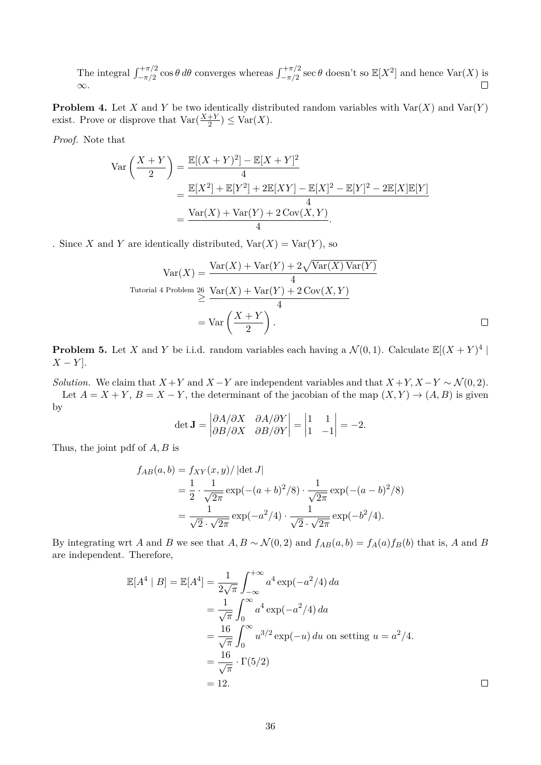The integral  $\int_{-\pi/2}^{+\pi/2} \cos \theta \, d\theta$  converges whereas  $\int_{-\pi/2}^{+\pi/2} \sec \theta$  doesn't so  $\mathbb{E}[X^2]$  and hence  $\text{Var}(X)$  is  $\Box$ ∞.

**Problem 4.** Let X and Y be two identically distributed random variables with  $\text{Var}(X)$  and  $\text{Var}(Y)$ exist. Prove or disprove that  $\text{Var}(\frac{X+Y}{2}) \leq \text{Var}(X)$ .

*Proof.* Note that

$$
\begin{split} \text{Var}\left(\frac{X+Y}{2}\right) &= \frac{\mathbb{E}[(X+Y)^2] - \mathbb{E}[X+Y]^2}{4} \\ &= \frac{\mathbb{E}[X^2] + \mathbb{E}[Y^2] + 2\mathbb{E}[XY] - \mathbb{E}[X]^2 - \mathbb{E}[Y]^2 - 2\mathbb{E}[X]\mathbb{E}[Y]}{4} \\ &= \frac{\text{Var}(X) + \text{Var}(Y) + 2\text{Cov}(X,Y)}{4}. \end{split}
$$

. Since X and Y are identically distributed,  $Var(X) = Var(Y)$ , so

$$
Var(X) = \frac{Var(X) + Var(Y) + 2\sqrt{Var(X)Var(Y)}}{4}
$$
  
Tutorial 4 Problem 26 
$$
\geq \frac{Var(X) + Var(Y) + 2Cov(X, Y)}{4}
$$

$$
= Var\left(\frac{X + Y}{2}\right).
$$

**Problem 5.** Let X and Y be i.i.d. random variables each having a  $\mathcal{N}(0,1)$ . Calculate  $\mathbb{E}[(X+Y)^4]$  $X - Y$ ].

*Solution.* We claim that  $X + Y$  and  $X - Y$  are independent variables and that  $X + Y$ ,  $X - Y \sim \mathcal{N}(0, 2)$ . Let  $A = X + Y$ ,  $B = X - Y$ , the determinant of the jacobian of the map  $(X, Y) \rightarrow (A, B)$  is given by

$$
\det \mathbf{J} = \begin{vmatrix} \partial A/\partial X & \partial A/\partial Y \\ \partial B/\partial X & \partial B/\partial Y \end{vmatrix} = \begin{vmatrix} 1 & 1 \\ 1 & -1 \end{vmatrix} = -2.
$$

Thus, the joint pdf of A, B is

$$
f_{AB}(a,b) = f_{XY}(x,y) / |\det J|
$$
  
=  $\frac{1}{2} \cdot \frac{1}{\sqrt{2\pi}} \exp(-(a+b)^2/8) \cdot \frac{1}{\sqrt{2\pi}} \exp(-(a-b)^2/8)$   
=  $\frac{1}{\sqrt{2} \cdot \sqrt{2\pi}} \exp(-a^2/4) \cdot \frac{1}{\sqrt{2} \cdot \sqrt{2\pi}} \exp(-b^2/4).$ 

By integrating wrt A and B we see that  $A, B \sim \mathcal{N}(0, 2)$  and  $f_{AB}(a, b) = f_A(a) f_B(b)$  that is, A and B are independent. Therefore,

$$
\mathbb{E}[A^4 | B] = \mathbb{E}[A^4] = \frac{1}{2\sqrt{\pi}} \int_{-\infty}^{+\infty} a^4 \exp(-a^2/4) da
$$
  
=  $\frac{1}{\sqrt{\pi}} \int_{0}^{\infty} a^4 \exp(-a^2/4) da$   
=  $\frac{16}{\sqrt{\pi}} \int_{0}^{\infty} u^{3/2} \exp(-u) du$  on setting  $u = a^2/4$ .  
=  $\frac{16}{\sqrt{\pi}} \cdot \Gamma(5/2)$   
= 12.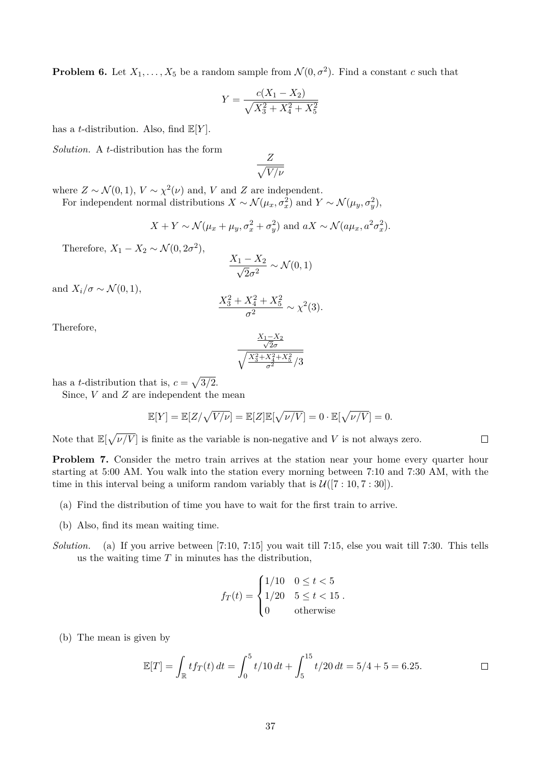**Problem 6.** Let  $X_1, \ldots, X_5$  be a random sample from  $\mathcal{N}(0, \sigma^2)$ . Find a constant c such that

$$
Y = \frac{c(X_1 - X_2)}{\sqrt{X_3^2 + X_4^2 + X_5^2}}
$$

has a *t*-distribution. Also, find  $\mathbb{E}[Y]$ .

*Solution.* A t-distribution has the form

$$
\frac{Z}{\sqrt{V/\nu}}
$$

where  $Z \sim \mathcal{N}(0, 1)$ ,  $V \sim \chi^2(\nu)$  and, V and Z are independent.

For independent normal distributions  $X \sim \mathcal{N}(\mu_x, \sigma_x^2)$  and  $Y \sim \mathcal{N}(\mu_y, \sigma_y^2)$ ,

$$
X + Y \sim \mathcal{N}(\mu_x + \mu_y, \sigma_x^2 + \sigma_y^2)
$$
 and  $aX \sim \mathcal{N}(a\mu_x, a^2\sigma_x^2)$ .

Therefore,  $X_1 - X_2 \sim \mathcal{N}(0, 2\sigma^2)$ ,

$$
\frac{X_1 - X_2}{\sqrt{2}\sigma^2} \sim \mathcal{N}(0, 1)
$$

and  $X_i/\sigma \sim \mathcal{N}(0,1),$ 

$$
\frac{X_3^2 + X_4^2 + X_5^2}{\sigma^2} \sim \chi^2(3).
$$

Therefore,

$$
\frac{\frac{X_1 - X_2}{\sqrt{2}\sigma}}{\sqrt{\frac{X_3^2 + X_4^2 + X_5^2}{\sigma^2}}/3}
$$

has a *t*-distribution that is,  $c = \sqrt{3/2}$ .

Since,  $V$  and  $Z$  are independent the mean

$$
\mathbb{E}[Y] = \mathbb{E}[Z/\sqrt{V/\nu}] = \mathbb{E}[Z]\mathbb{E}[\sqrt{\nu/V}] = 0 \cdot \mathbb{E}[\sqrt{\nu/V}] = 0.
$$

Note that  $\mathbb{E}[\sqrt{\nu/V}]$  is finite as the variable is non-negative and V is not always zero.

**Problem 7.** Consider the metro train arrives at the station near your home every quarter hour starting at 5:00 AM. You walk into the station every morning between 7:10 and 7:30 AM, with the time in this interval being a uniform random variably that is  $\mathcal{U}([7:10, 7:30])$ .

- (a) Find the distribution of time you have to wait for the first train to arrive.
- (b) Also, find its mean waiting time.
- *Solution.* (a) If you arrive between [7:10, 7:15] you wait till 7:15, else you wait till 7:30. This tells us the waiting time  $T$  in minutes has the distribution,

$$
f_T(t) = \begin{cases} 1/10 & 0 \le t < 5 \\ 1/20 & 5 \le t < 15 \\ 0 & \text{otherwise} \end{cases}.
$$

(b) The mean is given by

$$
\mathbb{E}[T] = \int_{\mathbb{R}} t f_T(t) dt = \int_0^5 t/10 dt + \int_5^{15} t/20 dt = 5/4 + 5 = 6.25.
$$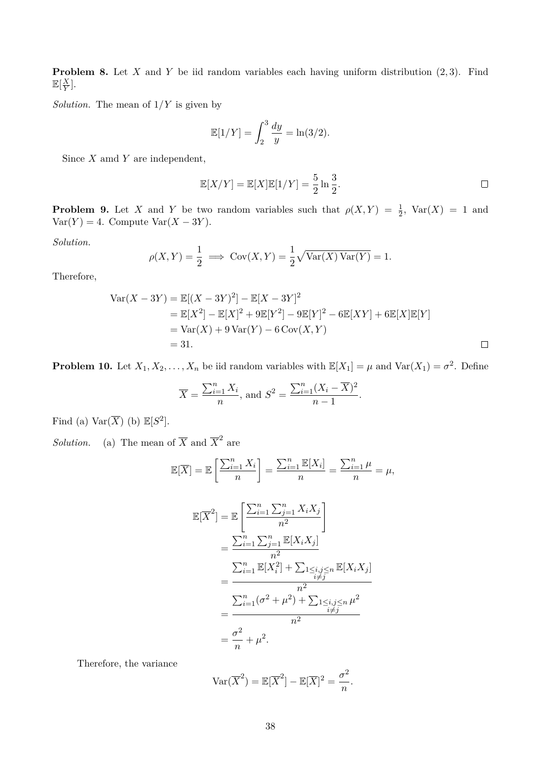**Problem 8.** Let X and Y be iid random variables each having uniform distribution  $(2, 3)$ . Find  $\mathbb{E}[\frac{X}{V}$  $\frac{X}{Y}$ .

*Solution*. The mean of  $1/Y$  is given by

$$
\mathbb{E}[1/Y] = \int_2^3 \frac{dy}{y} = \ln(3/2).
$$

Since  $X$  amd  $Y$  are independent,

$$
\mathbb{E}[X/Y] = \mathbb{E}[X]\mathbb{E}[1/Y] = \frac{5}{2}\ln\frac{3}{2}.
$$

**Problem 9.** Let X and Y be two random variables such that  $\rho(X,Y) = \frac{1}{2}$ ,  $Var(X) = 1$  and  $Var(Y) = 4$ . Compute  $Var(X - 3Y)$ .

*Solution.*

$$
\rho(X,Y) = \frac{1}{2} \implies \text{Cov}(X,Y) = \frac{1}{2}\sqrt{\text{Var}(X)\text{Var}(Y)} = 1.
$$

Therefore,

$$
\begin{aligned} \text{Var}(X - 3Y) &= \mathbb{E}[(X - 3Y)^2] - \mathbb{E}[X - 3Y]^2 \\ &= \mathbb{E}[X^2] - \mathbb{E}[X]^2 + 9\mathbb{E}[Y^2] - 9\mathbb{E}[Y]^2 - 6\mathbb{E}[XY] + 6\mathbb{E}[X]\mathbb{E}[Y] \\ &= \text{Var}(X) + 9\,\text{Var}(Y) - 6\,\text{Cov}(X, Y) \\ &= 31. \end{aligned}
$$

**Problem 10.** Let  $X_1, X_2, \ldots, X_n$  be iid random variables with  $\mathbb{E}[X_1] = \mu$  and  $\text{Var}(X_1) = \sigma^2$ . Define

$$
\overline{X} = \frac{\sum_{i=1}^{n} X_i}{n}
$$
, and  $S^2 = \frac{\sum_{i=1}^{n} (X_i - \overline{X})^2}{n-1}$ .

Find (a)  $\text{Var}(\overline{X})$  (b)  $\mathbb{E}[S^2]$ .

*Solution.* (a) The mean of  $\overline{X}$  and  $\overline{X}^2$  are

$$
\mathbb{E}[\overline{X}] = \mathbb{E}\left[\frac{\sum_{i=1}^{n} X_i}{n}\right] = \frac{\sum_{i=1}^{n} \mathbb{E}[X_i]}{n} = \frac{\sum_{i=1}^{n} \mu}{n} = \mu,
$$

$$
\mathbb{E}[\overline{X}^2] = \mathbb{E}\left[\frac{\sum_{i=1}^n \sum_{j=1}^n X_i X_j}{n^2}\right] \n= \frac{\sum_{i=1}^n \sum_{j=1}^n \mathbb{E}[X_i X_j]}{n^2} \n= \frac{\sum_{i=1}^n \mathbb{E}[X_i^2] + \sum_{\substack{1 \le i,j \le n \\ i \ne j}} \mathbb{E}[X_i X_j]}{n^2} \n= \frac{\sum_{i=1}^n (\sigma^2 + \mu^2) + \sum_{\substack{1 \le i,j \le n \\ i \ne j}} \mu^2}{n^2} \n= \frac{\sigma^2}{n} + \mu^2.
$$

Therefore, the variance

 $\text{Var}(\overline{X}^2) = \mathbb{E}[\overline{X}^2] - \mathbb{E}[\overline{X}]^2 = \frac{\sigma^2}{2}$  $\frac{n}{n}$ .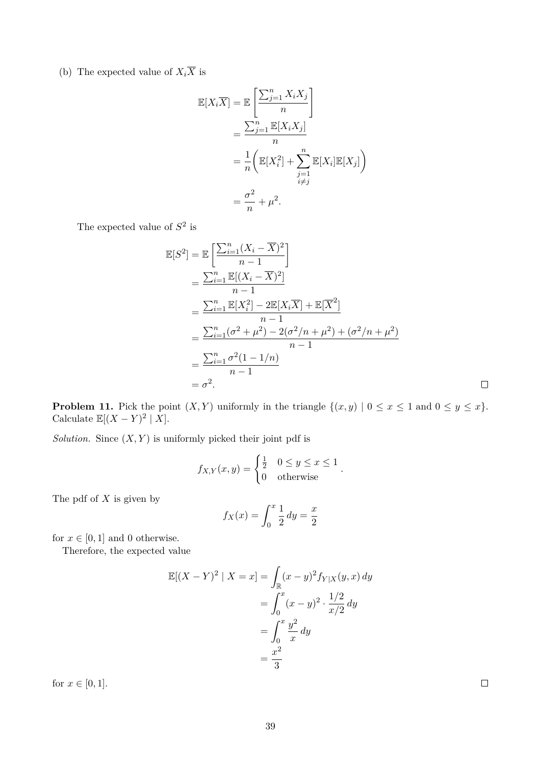(b) The expected value of  $X_i\overline{X}$  is

$$
\mathbb{E}[X_i\overline{X}] = \mathbb{E}\left[\frac{\sum_{j=1}^n X_i X_j}{n}\right]
$$

$$
= \frac{\sum_{j=1}^n \mathbb{E}[X_i X_j]}{n}
$$

$$
= \frac{1}{n} \left(\mathbb{E}[X_i^2] + \sum_{\substack{j=1 \ i \neq j}}^n \mathbb{E}[X_i] \mathbb{E}[X_j]\right)
$$

$$
= \frac{\sigma^2}{n} + \mu^2.
$$

The expected value of  $S^2$  is

$$
\mathbb{E}[S^2] = \mathbb{E}\left[\frac{\sum_{i=1}^n (X_i - \overline{X})^2}{n-1}\right]
$$
  
\n
$$
= \frac{\sum_{i=1}^n \mathbb{E}[(X_i - \overline{X})^2]}{n-1}
$$
  
\n
$$
= \frac{\sum_{i=1}^n \mathbb{E}[X_i^2] - 2\mathbb{E}[X_i\overline{X}] + \mathbb{E}[\overline{X}^2]}{n-1}
$$
  
\n
$$
= \frac{\sum_{i=1}^n (\sigma^2 + \mu^2) - 2(\sigma^2/n + \mu^2) + (\sigma^2/n + \mu^2)}{n-1}
$$
  
\n
$$
= \frac{\sum_{i=1}^n \sigma^2(1 - 1/n)}{n-1}
$$
  
\n
$$
= \sigma^2.
$$

**Problem 11.** Pick the point  $(X, Y)$  uniformly in the triangle  $\{(x, y) | 0 \le x \le 1 \text{ and } 0 \le y \le x\}.$ Calculate  $\mathbb{E}[(X-Y)^2 | X].$ 

*Solution.* Since  $(X, Y)$  is uniformly picked their joint pdf is

$$
f_{X,Y}(x,y) = \begin{cases} \frac{1}{2} & 0 \le y \le x \le 1 \\ 0 & \text{otherwise} \end{cases}.
$$

The pdf of  $X$  is given by

$$
f_X(x) = \int_0^x \frac{1}{2} \, dy = \frac{x}{2}
$$

for  $x \in [0, 1]$  and 0 otherwise.

Therefore, the expected value

$$
\mathbb{E}[(X - Y)^2 | X = x] = \int_{\mathbb{R}} (x - y)^2 f_{Y|X}(y, x) dy
$$
  
= 
$$
\int_0^x (x - y)^2 \cdot \frac{1/2}{x/2} dy
$$
  
= 
$$
\int_0^x \frac{y^2}{x} dy
$$
  
= 
$$
\frac{x^2}{3}
$$

for  $x \in [0,1]$ .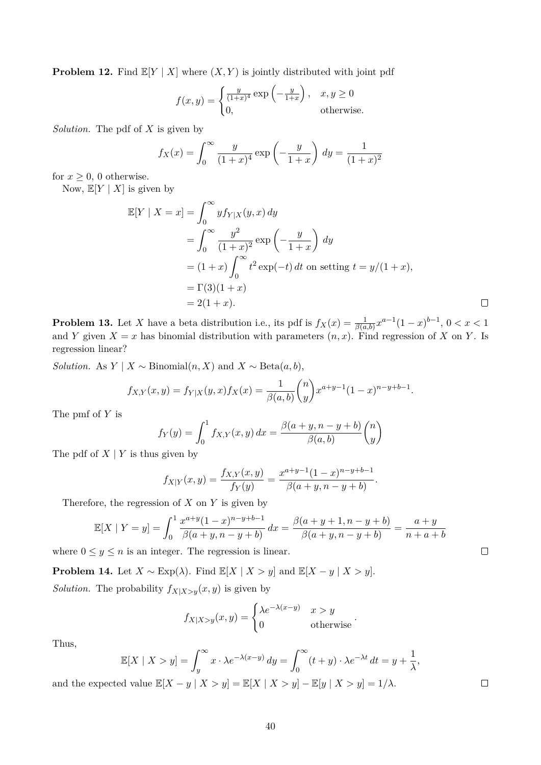**Problem 12.** Find  $\mathbb{E}[Y | X]$  where  $(X, Y)$  is jointly distributed with joint pdf

$$
f(x,y) = \begin{cases} \frac{y}{(1+x)^4} \exp\left(-\frac{y}{1+x}\right), & x, y \ge 0\\ 0, & \text{otherwise.} \end{cases}
$$

*Solution.* The pdf of X is given by

$$
f_X(x) = \int_0^\infty \frac{y}{(1+x)^4} \exp\left(-\frac{y}{1+x}\right) dy = \frac{1}{(1+x)^2}
$$

for  $x \geq 0$ , 0 otherwise.

Now,  $\mathbb{E}[Y \mid X]$  is given by

$$
\mathbb{E}[Y \mid X = x] = \int_0^\infty y f_{Y|X}(y, x) dy
$$
  
= 
$$
\int_0^\infty \frac{y^2}{(1+x)^2} \exp\left(-\frac{y}{1+x}\right) dy
$$
  
= 
$$
(1+x) \int_0^\infty t^2 \exp(-t) dt
$$
 on setting  $t = y/(1+x)$ ,  
= 
$$
\Gamma(3)(1+x)
$$
  
= 
$$
2(1+x).
$$

**Problem 13.** Let X have a beta distribution i.e., its pdf is  $f_X(x) = \frac{1}{\beta(a,b)} x^{a-1} (1-x)^{b-1}$ ,  $0 < x < 1$ and Y given  $X = x$  has binomial distribution with parameters  $(n, x)$ . Find regression of X on Y. Is regression linear?

*Solution.* As  $Y \mid X \sim \text{Binomial}(n, X)$  and  $X \sim \text{Beta}(a, b)$ ,

$$
f_{X,Y}(x,y) = f_{Y|X}(y,x) f_X(x) = \frac{1}{\beta(a,b)} \binom{n}{y} x^{a+y-1} (1-x)^{n-y+b-1}.
$$

The pmf of Y is

$$
f_Y(y) = \int_0^1 f_{X,Y}(x, y) dx = \frac{\beta(a + y, n - y + b)}{\beta(a, b)} {n \choose y}
$$

The pdf of  $X \mid Y$  is thus given by

$$
f_{X|Y}(x,y) = \frac{f_{X,Y}(x,y)}{f_Y(y)} = \frac{x^{a+y-1}(1-x)^{n-y+b-1}}{\beta(a+y, n-y+b)}.
$$

Therefore, the regression of  $X$  on  $Y$  is given by

$$
\mathbb{E}[X \mid Y = y] = \int_0^1 \frac{x^{a+y}(1-x)^{n-y+b-1}}{\beta(a+y, n-y+b)} dx = \frac{\beta(a+y+1, n-y+b)}{\beta(a+y, n-y+b)} = \frac{a+y}{n+a+b}
$$

where  $0 \leq y \leq n$  is an integer. The regression is linear.

**Problem 14.** Let  $X \sim \text{Exp}(\lambda)$ . Find  $\mathbb{E}[X | X > y]$  and  $\mathbb{E}[X - y | X > y]$ .

*Solution.* The probability  $f_{X|X>y}(x, y)$  is given by

$$
f_{X|X>y}(x,y) = \begin{cases} \lambda e^{-\lambda(x-y)} & x > y \\ 0 & \text{otherwise} \end{cases}
$$

.

Thus,

$$
\mathbb{E}[X \mid X > y] = \int_{y}^{\infty} x \cdot \lambda e^{-\lambda(x-y)} dy = \int_{0}^{\infty} (t+y) \cdot \lambda e^{-\lambda t} dt = y + \frac{1}{\lambda},
$$

and the expected value  $\mathbb{E}[X - y | X > y] = \mathbb{E}[X | X > y] - \mathbb{E}[y | X > y] = 1/\lambda$ .

 $\Box$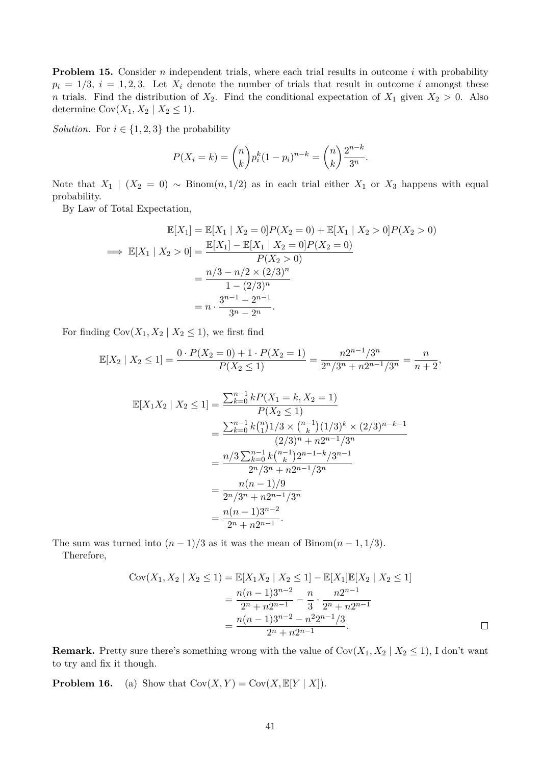**Problem 15.** Consider *n* independent trials, where each trial results in outcome *i* with probability  $p_i = 1/3$ ,  $i = 1, 2, 3$ . Let  $X_i$  denote the number of trials that result in outcome i amongst these n trials. Find the distribution of  $X_2$ . Find the conditional expectation of  $X_1$  given  $X_2 > 0$ . Also determine  $Cov(X_1, X_2 | X_2 \leq 1)$ .

*Solution.* For  $i \in \{1, 2, 3\}$  the probability

$$
P(X_i = k) = \binom{n}{k} p_i^k (1 - p_i)^{n-k} = \binom{n}{k} \frac{2^{n-k}}{3^n}.
$$

Note that  $X_1 \mid (X_2 = 0) \sim \text{Binom}(n, 1/2)$  as in each trial either  $X_1$  or  $X_3$  happens with equal probability.

By Law of Total Expectation,

$$
\mathbb{E}[X_1] = \mathbb{E}[X_1 | X_2 = 0]P(X_2 = 0) + \mathbb{E}[X_1 | X_2 > 0]P(X_2 > 0)
$$
  
\n
$$
\implies \mathbb{E}[X_1 | X_2 > 0] = \frac{\mathbb{E}[X_1] - \mathbb{E}[X_1 | X_2 = 0]P(X_2 = 0)}{P(X_2 > 0)}
$$
  
\n
$$
= \frac{n/3 - n/2 \times (2/3)^n}{1 - (2/3)^n}
$$
  
\n
$$
= n \cdot \frac{3^{n-1} - 2^{n-1}}{3^n - 2^n}.
$$

For finding  $Cov(X_1, X_2 | X_2 \leq 1)$ , we first find

$$
\mathbb{E}[X_2 \mid X_2 \le 1] = \frac{0 \cdot P(X_2 = 0) + 1 \cdot P(X_2 = 1)}{P(X_2 \le 1)} = \frac{n2^{n-1}/3^n}{2^n/3^n + n2^{n-1}/3^n} = \frac{n}{n+2},
$$

$$
\mathbb{E}[X_1 X_2 | X_2 \le 1] = \frac{\sum_{k=0}^{n-1} k P(X_1 = k, X_2 = 1)}{P(X_2 \le 1)}
$$
  
= 
$$
\frac{\sum_{k=0}^{n-1} k {n \choose 1} 1/3 \times {n-1 \choose k} (1/3)^k \times (2/3)^{n-k-1}}{(2/3)^n + n2^{n-1}/3^n}
$$
  
= 
$$
\frac{n/3 \sum_{k=0}^{n-1} k {n-1 \choose k} 2^{n-1-k} / 3^{n-1}}{2^n / 3^n + n2^{n-1} / 3^n}
$$
  
= 
$$
\frac{n(n-1)/9}{2^n / 3^n + n2^{n-1} / 3^n}
$$
  
= 
$$
\frac{n(n-1)3^{n-2}}{2^n + n2^{n-1}}.
$$

The sum was turned into  $(n-1)/3$  as it was the mean of Binom $(n-1,1/3)$ . Therefore,

$$
Cov(X_1, X_2 | X_2 \le 1) = \mathbb{E}[X_1 X_2 | X_2 \le 1] - \mathbb{E}[X_1] \mathbb{E}[X_2 | X_2 \le 1]
$$
  
= 
$$
\frac{n(n-1)3^{n-2}}{2^n + n2^{n-1}} - \frac{n}{3} \cdot \frac{n2^{n-1}}{2^n + n2^{n-1}}
$$
  
= 
$$
\frac{n(n-1)3^{n-2} - n^2 2^{n-1}}{2^n + n2^{n-1}}.
$$

**Remark.** Pretty sure there's something wrong with the value of  $Cov(X_1, X_2 | X_2 \leq 1)$ , I don't want to try and fix it though.

**Problem 16.** (a) Show that  $Cov(X, Y) = Cov(X, \mathbb{E}[Y | X]).$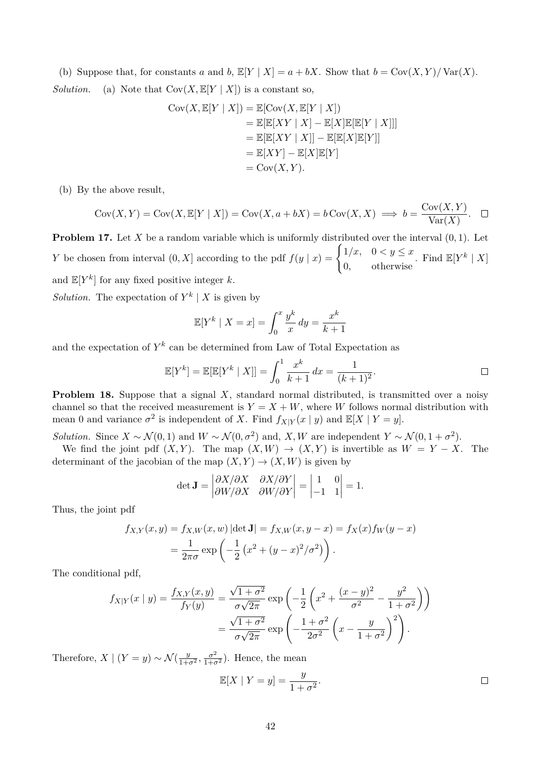(b) Suppose that, for constants a and b,  $\mathbb{E}[Y | X] = a + bX$ . Show that  $b = \text{Cov}(X, Y) / \text{Var}(X)$ . *Solution.* (a) Note that  $Cov(X, E[Y | X])$  is a constant so,

$$
Cov(X, \mathbb{E}[Y | X]) = \mathbb{E}[Cov(X, \mathbb{E}[Y | X])
$$
  
=  $\mathbb{E}[\mathbb{E}[XY | X] - \mathbb{E}[X]\mathbb{E}[\mathbb{E}[Y | X]]]$   
=  $\mathbb{E}[\mathbb{E}[XY | X]] - \mathbb{E}[\mathbb{E}[X]\mathbb{E}[Y]]$   
=  $\mathbb{E}[XY] - \mathbb{E}[X]\mathbb{E}[Y]$   
=  $Cov(X, Y)$ .

(b) By the above result,

$$
Cov(X, Y) = Cov(X, \mathbb{E}[Y | X]) = Cov(X, a + bX) = b Cov(X, X) \implies b = \frac{Cov(X, Y)}{Var(X)}.
$$

**Problem 17.** Let X be a random variable which is uniformly distributed over the interval  $(0, 1)$ . Let Y be chosen from interval  $(0, X]$  according to the pdf  $f(y | x) = \begin{cases} 1/x, & 0 < y \leq x \\ 0, & \text{otherwise} \end{cases}$ 0, otherwise . Find  $\mathbb{E}[Y^k | X]$ and  $\mathbb{E}[Y^k]$  for any fixed positive integer k.

*Solution*. The expectation of  $Y^k \mid X$  is given by

$$
\mathbb{E}[Y^k \mid X = x] = \int_0^x \frac{y^k}{x} dy = \frac{x^k}{k+1}
$$

and the expectation of  $Y^k$  can be determined from Law of Total Expectation as

$$
\mathbb{E}[Y^k] = \mathbb{E}[\mathbb{E}[Y^k | X]] = \int_0^1 \frac{x^k}{k+1} dx = \frac{1}{(k+1)^2}.
$$

**Problem 18.** Suppose that a signal X, standard normal distributed, is transmitted over a noisy channel so that the received measurement is  $Y = X + W$ , where W follows normal distribution with mean 0 and variance  $\sigma^2$  is independent of X. Find  $f_{X|Y}(x | y)$  and  $\mathbb{E}[X | Y = y]$ .

*Solution.* Since  $X \sim \mathcal{N}(0, 1)$  and  $W \sim \mathcal{N}(0, \sigma^2)$  and, X, W are independent  $Y \sim \mathcal{N}(0, 1 + \sigma^2)$ .

We find the joint pdf  $(X, Y)$ . The map  $(X, W) \to (X, Y)$  is invertible as  $W = Y - X$ . The determinant of the jacobian of the map  $(X, Y) \to (X, W)$  is given by

$$
\det \mathbf{J} = \begin{vmatrix} \partial X/\partial X & \partial X/\partial Y \\ \partial W/\partial X & \partial W/\partial Y \end{vmatrix} = \begin{vmatrix} 1 & 0 \\ -1 & 1 \end{vmatrix} = 1.
$$

Thus, the joint pdf

$$
f_{X,Y}(x,y) = f_{X,W}(x,w) |\det \mathbf{J}| = f_{X,W}(x,y-x) = f_X(x) f_W(y-x)
$$
  
=  $\frac{1}{2\pi\sigma} \exp\left(-\frac{1}{2}(x^2 + (y-x)^2/\sigma^2)\right).$ 

The conditional pdf,

$$
f_{X|Y}(x \mid y) = \frac{f_{X,Y}(x,y)}{f_Y(y)} = \frac{\sqrt{1+\sigma^2}}{\sigma\sqrt{2\pi}} \exp\left(-\frac{1}{2}\left(x^2 + \frac{(x-y)^2}{\sigma^2} - \frac{y^2}{1+\sigma^2}\right)\right)
$$

$$
= \frac{\sqrt{1+\sigma^2}}{\sigma\sqrt{2\pi}} \exp\left(-\frac{1+\sigma^2}{2\sigma^2}\left(x - \frac{y}{1+\sigma^2}\right)^2\right).
$$

Therefore,  $X | (Y = y) \sim \mathcal{N}(\frac{y}{1+\sigma^2}, \frac{\sigma^2}{1+\sigma^2})$ . Hence, the mean

$$
\mathbb{E}[X \mid Y=y] = \frac{y}{1+\sigma^2}.
$$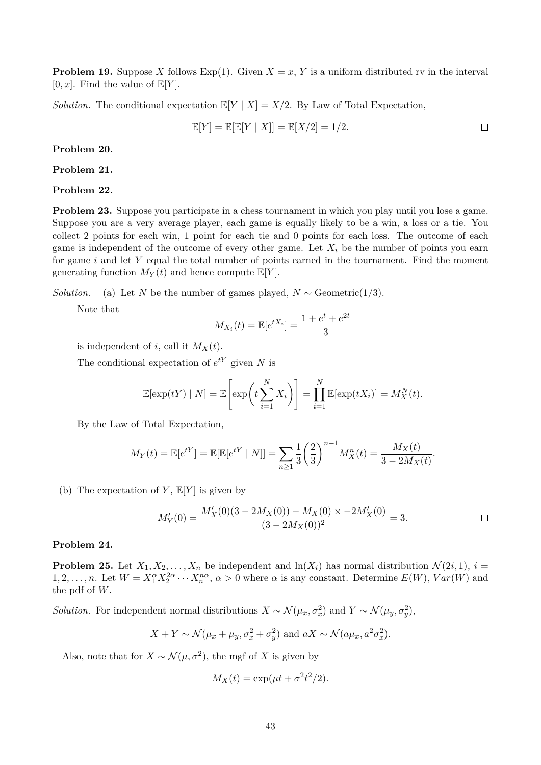**Problem 19.** Suppose X follows Exp(1). Given  $X = x$ , Y is a uniform distributed rv in the interval  $[0, x]$ . Find the value of  $\mathbb{E}[Y]$ .

*Solution.* The conditional expectation  $\mathbb{E}[Y | X] = X/2$ . By Law of Total Expectation,

$$
\mathbb{E}[Y] = \mathbb{E}[\mathbb{E}[Y \mid X]] = \mathbb{E}[X/2] = 1/2.
$$

**Problem 20.**

**Problem 21.**

**Problem 22.**

**Problem 23.** Suppose you participate in a chess tournament in which you play until you lose a game. Suppose you are a very average player, each game is equally likely to be a win, a loss or a tie. You collect 2 points for each win, 1 point for each tie and 0 points for each loss. The outcome of each game is independent of the outcome of every other game. Let  $X_i$  be the number of points you earn for game  $i$  and let  $Y$  equal the total number of points earned in the tournament. Find the moment generating function  $M_Y(t)$  and hence compute  $\mathbb{E}[Y]$ .

*Solution.* (a) Let N be the number of games played,  $N \sim$  Geometric(1/3).

Note that

$$
M_{X_i}(t) = \mathbb{E}[e^{tX_i}] = \frac{1 + e^t + e^{2t}}{3}
$$

is independent of i, call it  $M_X(t)$ .

The conditional expectation of  $e^{tY}$  given N is

$$
\mathbb{E}[\exp(tY) | N] = \mathbb{E}\left[\exp\left(t\sum_{i=1}^{N} X_i\right)\right] = \prod_{i=1}^{N} \mathbb{E}[\exp(tX_i)] = M_X^N(t).
$$

By the Law of Total Expectation,

$$
M_Y(t) = \mathbb{E}[e^{tY}] = \mathbb{E}[\mathbb{E}[e^{tY} | N]] = \sum_{n \ge 1} \frac{1}{3} \left(\frac{2}{3}\right)^{n-1} M_X^n(t) = \frac{M_X(t)}{3 - 2M_X(t)}.
$$

(b) The expectation of Y,  $\mathbb{E}[Y]$  is given by

$$
M'_{Y}(0) = \frac{M'_{X}(0)(3 - 2M_{X}(0)) - M_{X}(0) \times -2M'_{X}(0)}{(3 - 2M_{X}(0))^{2}} = 3.
$$

### **Problem 24.**

**Problem 25.** Let  $X_1, X_2, \ldots, X_n$  be independent and  $\ln(X_i)$  has normal distribution  $\mathcal{N}(2i, 1)$ ,  $i =$ 1, 2, ..., n. Let  $W = X_1^{\alpha} X_2^{2\alpha} \cdots X_n^{n\alpha}$ ,  $\alpha > 0$  where  $\alpha$  is any constant. Determine  $E(W)$ ,  $Var(W)$  and the pdf of W.

*Solution.* For independent normal distributions  $X \sim \mathcal{N}(\mu_x, \sigma_x^2)$  and  $Y \sim \mathcal{N}(\mu_y, \sigma_y^2)$ ,

$$
X + Y \sim \mathcal{N}(\mu_x + \mu_y, \sigma_x^2 + \sigma_y^2)
$$
 and  $aX \sim \mathcal{N}(a\mu_x, a^2\sigma_x^2)$ .

Also, note that for  $X \sim \mathcal{N}(\mu, \sigma^2)$ , the mgf of X is given by

$$
M_X(t) = \exp(\mu t + \sigma^2 t^2/2).
$$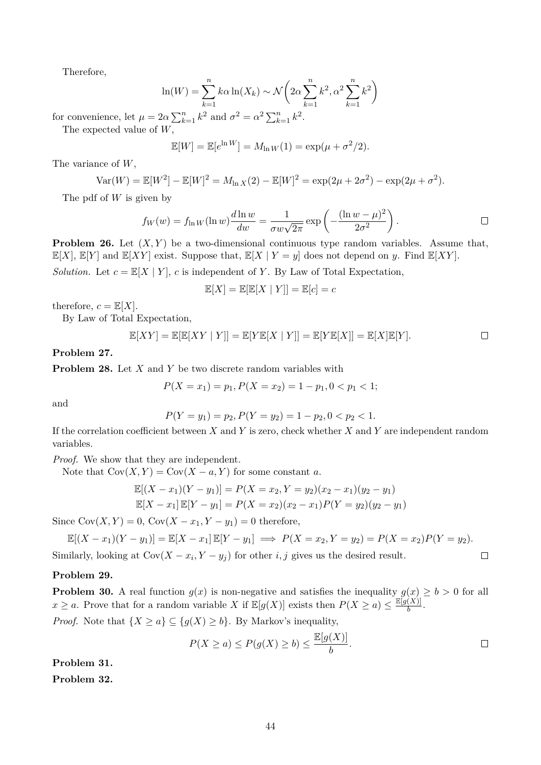Therefore,

$$
\ln(W) = \sum_{k=1}^{n} k\alpha \ln(X_k) \sim \mathcal{N}\left(2\alpha \sum_{k=1}^{n} k^2, \alpha^2 \sum_{k=1}^{n} k^2\right)
$$

for convenience, let  $\mu = 2\alpha \sum_{k=1}^n k^2$  and  $\sigma^2 = \alpha^2 \sum_{k=1}^n k^2$ . The expected value of W,

$$
\mathbb{E}[W] = \mathbb{E}[e^{\ln W}] = M_{\ln W}(1) = \exp(\mu + \sigma^2/2).
$$

The variance of  $W$ ,

$$
Var(W) = \mathbb{E}[W^2] - \mathbb{E}[W]^2 = M_{\ln X}(2) - \mathbb{E}[W]^2 = \exp(2\mu + 2\sigma^2) - \exp(2\mu + \sigma^2).
$$

The pdf of  $W$  is given by

$$
f_W(w) = f_{\ln W}(\ln w) \frac{d \ln w}{dw} = \frac{1}{\sigma w \sqrt{2\pi}} \exp\left(-\frac{(\ln w - \mu)^2}{2\sigma^2}\right).
$$

**Problem 26.** Let  $(X, Y)$  be a two-dimensional continuous type random variables. Assume that,  $\mathbb{E}[X], \mathbb{E}[Y]$  and  $\mathbb{E}[XY]$  exist. Suppose that,  $\mathbb{E}[X | Y = y]$  does not depend on y. Find  $\mathbb{E}[XY]$ . *Solution.* Let  $c = \mathbb{E}[X | Y]$ , c is independent of Y. By Law of Total Expectation,

$$
\mathbb{E}[X] = \mathbb{E}[\mathbb{E}[X \mid Y]] = \mathbb{E}[c] = c
$$

therefore,  $c = \mathbb{E}[X]$ .

By Law of Total Expectation,

$$
\mathbb{E}[XY] = \mathbb{E}[\mathbb{E}[XY \mid Y]] = \mathbb{E}[Y\mathbb{E}[X \mid Y]] = \mathbb{E}[Y\mathbb{E}[X]] = \mathbb{E}[X]\mathbb{E}[Y].
$$

**Problem 27.**

**Problem 28.** Let X and Y be two discrete random variables with

$$
P(X = x_1) = p_1, P(X = x_2) = 1 - p_1, 0 < p_1 < 1;
$$

and

$$
P(Y = y_1) = p_2, P(Y = y_2) = 1 - p_2, 0 < p_2 < 1.
$$

If the correlation coefficient between  $X$  and  $Y$  is zero, check whether  $X$  and  $Y$  are independent random variables.

*Proof.* We show that they are independent.

Note that  $Cov(X, Y) = Cov(X - a, Y)$  for some constant a.

$$
\mathbb{E}[(X - x_1)(Y - y_1)] = P(X = x_2, Y = y_2)(x_2 - x_1)(y_2 - y_1)
$$
  

$$
\mathbb{E}[X - x_1] \mathbb{E}[Y - y_1] = P(X = x_2)(x_2 - x_1)P(Y = y_2)(y_2 - y_1)
$$

Since  $Cov(X, Y) = 0$ ,  $Cov(X - x_1, Y - y_1) = 0$  therefore,

$$
\mathbb{E}[(X - x_1)(Y - y_1)] = \mathbb{E}[X - x_1]\mathbb{E}[Y - y_1] \implies P(X = x_2, Y = y_2) = P(X = x_2)P(Y = y_2).
$$

Similarly, looking at  $Cov(X - x_i, Y - y_j)$  for other *i*, *j* gives us the desired result.

### **Problem 29.**

**Problem 30.** A real function  $g(x)$  is non-negative and satisfies the inequality  $g(x) \ge b > 0$  for all  $x \ge a$ . Prove that for a random variable X if  $\mathbb{E}[g(X)]$  exists then  $P(X \ge a) \le \frac{\mathbb{E}[g(X)]}{b}$  $\frac{(A)}{b}$ . *Proof.* Note that  $\{X \ge a\} \subseteq \{g(X) \ge b\}$ . By Markov's inequality,

$$
P(X \ge a) \le P(g(X) \ge b) \le \frac{\mathbb{E}[g(X)]}{b}.
$$

 $\Box$ 

**Problem 31.**

**Problem 32.**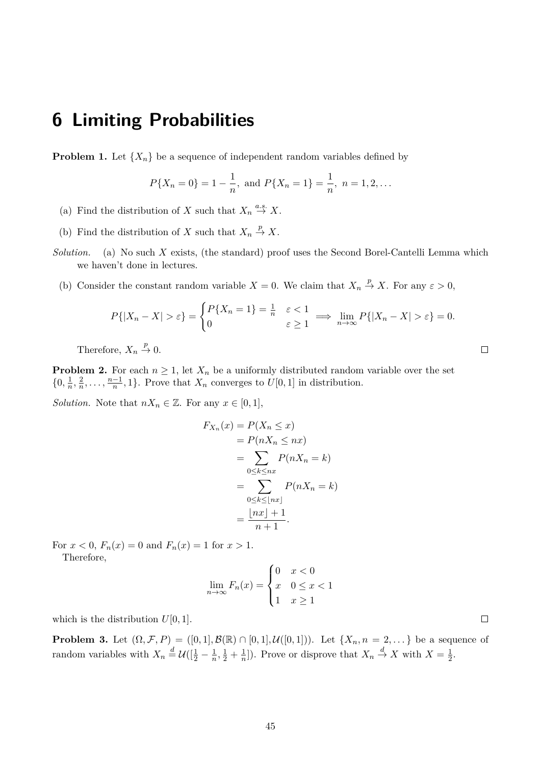## **6 Limiting Probabilities**

**Problem 1.** Let  $\{X_n\}$  be a sequence of independent random variables defined by

$$
P{X_n = 0} = 1 - \frac{1}{n}
$$
, and  $P{X_n = 1} = \frac{1}{n}$ ,  $n = 1, 2, ...$ 

- (a) Find the distribution of X such that  $X_n \stackrel{a.s.}{\to} X$ .
- (b) Find the distribution of X such that  $X_n \stackrel{p}{\to} X$ .
- *Solution.* (a) No such X exists, (the standard) proof uses the Second Borel-Cantelli Lemma which we haven't done in lectures.
	- (b) Consider the constant random variable  $X = 0$ . We claim that  $X_n \stackrel{p}{\to} X$ . For any  $\varepsilon > 0$ ,

$$
P\{|X_n - X| > \varepsilon\} = \begin{cases} P\{X_n = 1\} = \frac{1}{n} & \varepsilon < 1 \\ 0 & \varepsilon \ge 1 \end{cases} \implies \lim_{n \to \infty} P\{|X_n - X| > \varepsilon\} = 0.
$$

Therefore,  $X_n \stackrel{p}{\to} 0$ .

**Problem 2.** For each  $n \geq 1$ , let  $X_n$  be a uniformly distributed random variable over the set  $\{0, \frac{1}{n}\}$  $\frac{1}{n}, \frac{2}{n}$  $\frac{2}{n}, \ldots, \frac{n-1}{n}$  $\frac{-1}{n}$ , 1}. Prove that  $X_n$  converges to  $U[0, 1]$  in distribution.

*Solution.* Note that  $nX_n \in \mathbb{Z}$ . For any  $x \in [0,1]$ ,

$$
F_{X_n}(x) = P(X_n \le x)
$$
  
=  $P(nX_n \le nx)$   
= 
$$
\sum_{0 \le k \le nx} P(nX_n = k)
$$
  
= 
$$
\sum_{0 \le k \le \lfloor nx \rfloor} P(nX_n = k)
$$
  
= 
$$
\frac{\lfloor nx \rfloor + 1}{n+1}.
$$

For  $x < 0$ ,  $F_n(x) = 0$  and  $F_n(x) = 1$  for  $x > 1$ . Therefore,

$$
\lim_{n \to \infty} F_n(x) = \begin{cases} 0 & x < 0 \\ x & 0 \le x < 1 \\ 1 & x \ge 1 \end{cases}
$$

which is the distribution  $U[0, 1]$ .

**Problem 3.** Let  $(\Omega, \mathcal{F}, P) = ([0, 1], \mathcal{B}(\mathbb{R}) \cap [0, 1], \mathcal{U}([0, 1]))$ . Let  $\{X_n, n = 2, ...\}$  be a sequence of random variables with  $X_n \stackrel{d}{=} U([\frac{1}{2} - \frac{1}{n}$  $\frac{1}{n}, \frac{1}{2} + \frac{1}{n}$  $\frac{1}{n}$ ]). Prove or disprove that  $X_n \stackrel{d}{\to} X$  with  $X = \frac{1}{2}$  $\frac{1}{2}$ .

 $\Box$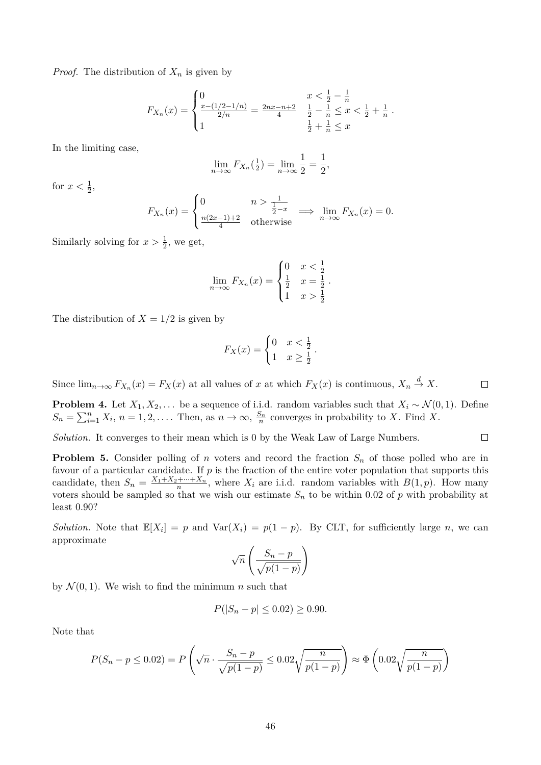*Proof.* The distribution of  $X_n$  is given by

$$
F_{X_n}(x) = \begin{cases} 0 & x < \frac{1}{2} - \frac{1}{n} \\ \frac{x - (1/2 - 1/n)}{2/n} = \frac{2nx - n + 2}{4} & \frac{1}{2} - \frac{1}{n} \le x < \frac{1}{2} + \frac{1}{n} \\ 1 & \frac{1}{2} + \frac{1}{n} \le x \end{cases}
$$

In the limiting case,

$$
\lim_{n \to \infty} F_{X_n}(\frac{1}{2}) = \lim_{n \to \infty} \frac{1}{2} = \frac{1}{2},
$$

for  $x < \frac{1}{2}$ ,

$$
F_{X_n}(x) = \begin{cases} 0 & n > \frac{1}{\frac{1}{2} - x} \\ \frac{n(2x - 1) + 2}{4} & \text{otherwise} \end{cases} \implies \lim_{n \to \infty} F_{X_n}(x) = 0.
$$

Similarly solving for  $x > \frac{1}{2}$ , we get,

$$
\lim_{n \to \infty} F_{X_n}(x) = \begin{cases} 0 & x < \frac{1}{2} \\ \frac{1}{2} & x = \frac{1}{2} \\ 1 & x > \frac{1}{2} \end{cases}
$$

The distribution of  $X = 1/2$  is given by

$$
F_X(x) = \begin{cases} 0 & x < \frac{1}{2} \\ 1 & x \ge \frac{1}{2} \end{cases}.
$$

Since  $\lim_{n\to\infty} F_{X_n}(x) = F_X(x)$  at all values of x at which  $F_X(x)$  is continuous,  $X_n \stackrel{d}{\to} X$ .  $\Box$ 

**Problem 4.** Let  $X_1, X_2, \ldots$  be a sequence of i.i.d. random variables such that  $X_i \sim \mathcal{N}(0, 1)$ . Define  $S_n = \sum_{i=1}^n X_i$ ,  $n = 1, 2, \ldots$  Then, as  $n \to \infty$ ,  $\frac{S_n}{n}$  converges in probability to X. Find X.

*Solution.* It converges to their mean which is 0 by the Weak Law of Large Numbers.  $\Box$ 

**Problem 5.** Consider polling of n voters and record the fraction  $S_n$  of those polled who are in favour of a particular candidate. If  $p$  is the fraction of the entire voter population that supports this candidate, then  $S_n = \frac{X_1 + X_2 + \dots + X_n}{n}$ , where  $X_i$  are i.i.d. random variables with  $B(1,p)$ . How many voters should be sampled so that we wish our estimate  $S_n$  to be within 0.02 of p with probability at least 0.90?

*Solution.* Note that  $\mathbb{E}[X_i] = p$  and  $\text{Var}(X_i) = p(1-p)$ . By CLT, for sufficiently large n, we can approximate

$$
\sqrt{n}\left(\frac{S_n-p}{\sqrt{p(1-p)}}\right)
$$

by  $\mathcal{N}(0, 1)$ . We wish to find the minimum n such that

$$
P(|S_n - p| \le 0.02) \ge 0.90.
$$

Note that

$$
P(S_n - p \le 0.02) = P\left(\sqrt{n} \cdot \frac{S_n - p}{\sqrt{p(1 - p)}} \le 0.02\sqrt{\frac{n}{p(1 - p)}}\right) \approx \Phi\left(0.02\sqrt{\frac{n}{p(1 - p)}}\right)
$$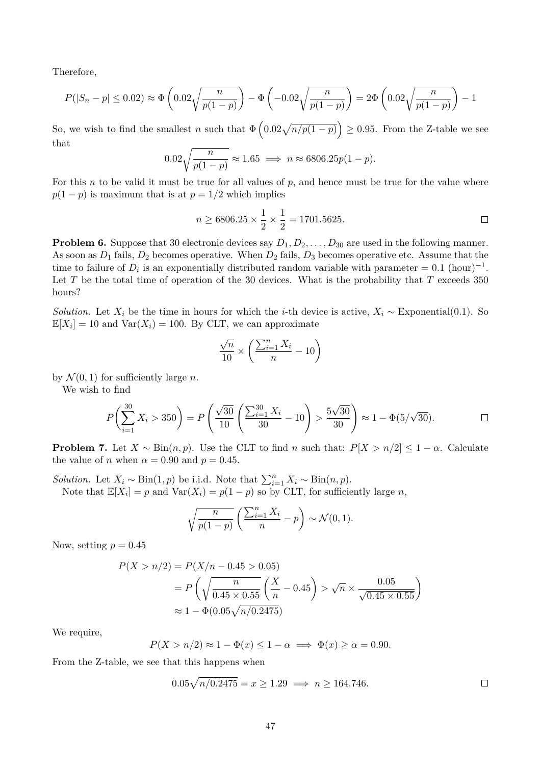Therefore,

$$
P(|S_n - p| \le 0.02) \approx \Phi\left(0.02\sqrt{\frac{n}{p(1-p)}}\right) - \Phi\left(-0.02\sqrt{\frac{n}{p(1-p)}}\right) = 2\Phi\left(0.02\sqrt{\frac{n}{p(1-p)}}\right) - 1
$$

So, we wish to find the smallest n such that  $\Phi\left(0.02\sqrt{n/p(1-p)}\right) \ge 0.95$ . From the Z-table we see that

$$
0.02\sqrt{\frac{n}{p(1-p)}} \approx 1.65 \implies n \approx 6806.25p(1-p).
$$

For this n to be valid it must be true for all values of  $p$ , and hence must be true for the value where  $p(1-p)$  is maximum that is at  $p = 1/2$  which implies

$$
n \ge 6806.25 \times \frac{1}{2} \times \frac{1}{2} = 1701.5625.
$$

**Problem 6.** Suppose that 30 electronic devices say  $D_1, D_2, \ldots, D_{30}$  are used in the following manner. As soon as  $D_1$  fails,  $D_2$  becomes operative. When  $D_2$  fails,  $D_3$  becomes operative etc. Assume that the time to failure of  $D_i$  is an exponentially distributed random variable with parameter = 0.1 (hour)<sup>-1</sup>. Let  $T$  be the total time of operation of the 30 devices. What is the probability that  $T$  exceeds 350 hours?

*Solution.* Let  $X_i$  be the time in hours for which the *i*-th device is active,  $X_i \sim$  Exponential(0.1). So  $\mathbb{E}[X_i] = 10$  and  $\text{Var}(X_i) = 100$ . By CLT, we can approximate

$$
\frac{\sqrt{n}}{10} \times \left( \frac{\sum_{i=1}^{n} X_i}{n} - 10 \right)
$$

by  $\mathcal{N}(0, 1)$  for sufficiently large *n*.

We wish to find

$$
P\left(\sum_{i=1}^{30} X_i > 350\right) = P\left(\frac{\sqrt{30}}{10}\left(\frac{\sum_{i=1}^{30} X_i}{30} - 10\right) > \frac{5\sqrt{30}}{30}\right) \approx 1 - \Phi(5/\sqrt{30}).
$$

**Problem 7.** Let  $X \sim Bin(n, p)$ . Use the CLT to find n such that:  $P[X > n/2] \leq 1 - \alpha$ . Calculate the value of *n* when  $\alpha = 0.90$  and  $p = 0.45$ .

*Solution.* Let  $X_i \sim Bin(1, p)$  be i.i.d. Note that  $\sum_{i=1}^{n} X_i \sim Bin(n, p)$ . Note that  $\mathbb{E}[X_i] = p$  and  $\text{Var}(X_i) = p(1-p)$  so by CLT, for sufficiently large n,

$$
\sqrt{\frac{n}{p(1-p)}} \left( \frac{\sum_{i=1}^{n} X_i}{n} - p \right) \sim \mathcal{N}(0, 1).
$$

Now, setting  $p = 0.45$ 

$$
P(X > n/2) = P(X/n - 0.45 > 0.05)
$$
  
=  $P\left(\sqrt{\frac{n}{0.45 \times 0.55} \left(\frac{X}{n} - 0.45\right)} > \sqrt{n} \times \frac{0.05}{\sqrt{0.45 \times 0.55}}\right)$   
 $\approx 1 - \Phi(0.05\sqrt{n/0.2475})$ 

We require,

$$
P(X > n/2) \approx 1 - \Phi(x) \le 1 - \alpha \implies \Phi(x) \ge \alpha = 0.90.
$$

From the Z-table, we see that this happens when

$$
0.05\sqrt{n/0.2475} = x \ge 1.29 \implies n \ge 164.746. \square
$$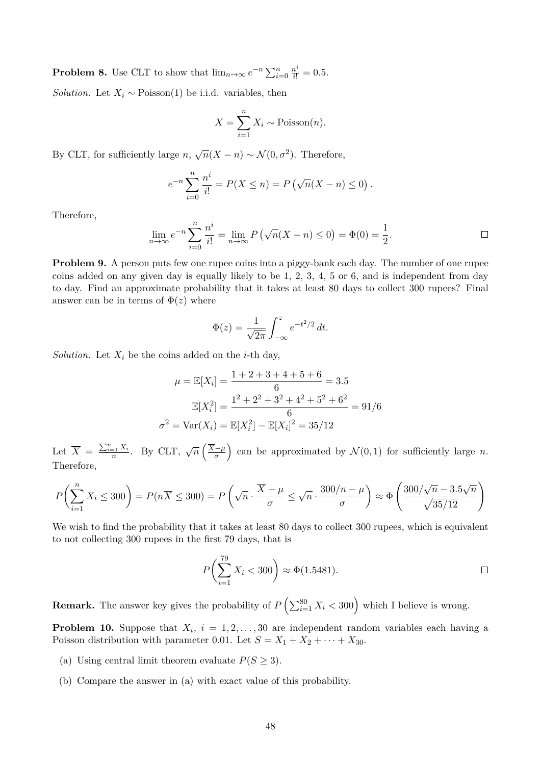**Problem 8.** Use CLT to show that  $\lim_{n\to\infty} e^{-n} \sum_{i=0}^n \frac{n^i}{i!} = 0.5$ .

*Solution.* Let  $X_i \sim \text{Poisson}(1)$  be i.i.d. variables, then

$$
X = \sum_{i=1}^{n} X_i \sim \text{Poisson}(n).
$$

By CLT, for sufficiently large  $n, \sqrt{n}(X - n) \sim \mathcal{N}(0, \sigma^2)$ . Therefore,

$$
e^{-n} \sum_{i=0}^{n} \frac{n^{i}}{i!} = P(X \le n) = P(\sqrt{n}(X - n) \le 0).
$$

Therefore,

$$
\lim_{n \to \infty} e^{-n} \sum_{i=0}^{n} \frac{n^{i}}{i!} = \lim_{n \to \infty} P(\sqrt{n}(X - n) \le 0) = \Phi(0) = \frac{1}{2}.
$$

**Problem 9.** A person puts few one rupee coins into a piggy-bank each day. The number of one rupee coins added on any given day is equally likely to be 1, 2, 3, 4, 5 or 6, and is independent from day to day. Find an approximate probability that it takes at least 80 days to collect 300 rupees? Final answer can be in terms of  $\Phi(z)$  where

$$
\Phi(z) = \frac{1}{\sqrt{2\pi}} \int_{-\infty}^{z} e^{-t^2/2} dt.
$$

*Solution.* Let  $X_i$  be the coins added on the *i*-th day,

$$
\mu = \mathbb{E}[X_i] = \frac{1+2+3+4+5+6}{6} = 3.5
$$

$$
\mathbb{E}[X_i^2] = \frac{1^2+2^2+3^2+4^2+5^2+6^2}{6} = 91/6
$$

$$
\sigma^2 = \text{Var}(X_i) = \mathbb{E}[X_i^2] - \mathbb{E}[X_i]^2 = 35/12
$$

Let  $\overline{X} = \frac{\sum_{i=1}^{n} X_i}{n}$ . By CLT,  $\sqrt{n} \left( \frac{\overline{X} - \mu}{\sigma} \right)$  $\left(\frac{-\mu}{\sigma}\right)$  can be approximated by  $\mathcal{N}(0,1)$  for sufficiently large n. Therefore,

$$
P\left(\sum_{i=1}^{n} X_i \le 300\right) = P(n\overline{X} \le 300) = P\left(\sqrt{n} \cdot \frac{\overline{X} - \mu}{\sigma} \le \sqrt{n} \cdot \frac{300/n - \mu}{\sigma}\right) \approx \Phi\left(\frac{300/\sqrt{n} - 3.5\sqrt{n}}{\sqrt{35/12}}\right)
$$

We wish to find the probability that it takes at least 80 days to collect 300 rupees, which is equivalent to not collecting 300 rupees in the first 79 days, that is

$$
P\left(\sum_{i=1}^{79} X_i < 300\right) \approx \Phi(1.5481). \qquad \qquad \Box
$$

**Remark.** The answer key gives the probability of  $P\left(\sum_{i=1}^{80} X_i < 300\right)$  which I believe is wrong.

**Problem 10.** Suppose that  $X_i$ ,  $i = 1, 2, ..., 30$  are independent random variables each having a Poisson distribution with parameter 0.01. Let  $S = X_1 + X_2 + \cdots + X_{30}$ .

- (a) Using central limit theorem evaluate  $P(S \geq 3)$ .
- (b) Compare the answer in (a) with exact value of this probability.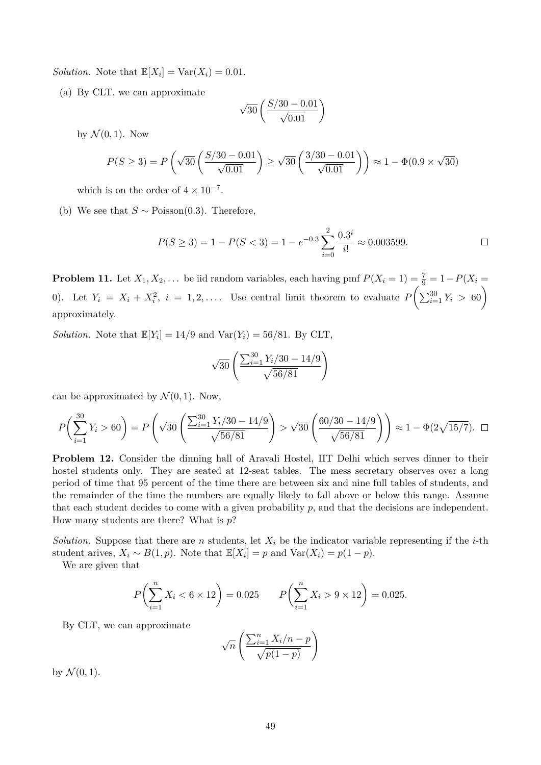*Solution.* Note that  $\mathbb{E}[X_i] = \text{Var}(X_i) = 0.01$ .

(a) By CLT, we can approximate

$$
\sqrt{30}\left(\frac{S/30-0.01}{\sqrt{0.01}}\right)
$$

by  $\mathcal{N}(0, 1)$ . Now

$$
P(S \ge 3) = P\left(\sqrt{30}\left(\frac{S/30 - 0.01}{\sqrt{0.01}}\right) \ge \sqrt{30}\left(\frac{3/30 - 0.01}{\sqrt{0.01}}\right)\right) \approx 1 - \Phi(0.9 \times \sqrt{30})
$$

which is on the order of  $4 \times 10^{-7}$ .

(b) We see that  $S \sim \text{Poisson}(0.3)$ . Therefore,

$$
P(S \ge 3) = 1 - P(S < 3) = 1 - e^{-0.3} \sum_{i=0}^{2} \frac{0.3^i}{i!} \approx 0.003599. \qquad \Box
$$

**Problem 11.** Let  $X_1, X_2, \ldots$  be iid random variables, each having pmf  $P(X_i = 1) = \frac{7}{9} = 1 - P(X_i = 1)$ 0). Let  $Y_i = X_i + X_i^2$ ,  $i = 1, 2, \ldots$  Use central limit theorem to evaluate  $P\left(\sum_{i=1}^{30} Y_i > 60\right)$ approximately.

*Solution.* Note that  $\mathbb{E}[Y_i] = 14/9$  and  $\text{Var}(Y_i) = 56/81$ . By CLT,

$$
\sqrt{30}\left(\frac{\sum_{i=1}^{30}Y_i/30 - 14/9}{\sqrt{56/81}}\right)
$$

can be approximated by  $\mathcal{N}(0, 1)$ . Now,

$$
P\left(\sum_{i=1}^{30} Y_i > 60\right) = P\left(\sqrt{30} \left(\frac{\sum_{i=1}^{30} Y_i/30 - 14/9}{\sqrt{56/81}}\right) > \sqrt{30} \left(\frac{60/30 - 14/9}{\sqrt{56/81}}\right)\right) \approx 1 - \Phi(2\sqrt{15/7}).
$$

**Problem 12.** Consider the dinning hall of Aravali Hostel, IIT Delhi which serves dinner to their hostel students only. They are seated at 12-seat tables. The mess secretary observes over a long period of time that 95 percent of the time there are between six and nine full tables of students, and the remainder of the time the numbers are equally likely to fall above or below this range. Assume that each student decides to come with a given probability  $p$ , and that the decisions are independent. How many students are there? What is  $p$ ?

*Solution.* Suppose that there are n students, let  $X_i$  be the indicator variable representing if the *i*-th student arives,  $X_i \sim B(1, p)$ . Note that  $\mathbb{E}[X_i] = p$  and  $\text{Var}(X_i) = p(1 - p)$ .

We are given that

$$
P\left(\sum_{i=1}^{n} X_i < 6 \times 12\right) = 0.025 \qquad P\left(\sum_{i=1}^{n} X_i > 9 \times 12\right) = 0.025.
$$

By CLT, we can approximate

$$
\sqrt{n}\left(\frac{\sum_{i=1}^{n}X_i/n-p}{\sqrt{p(1-p)}}\right)
$$

by  $\mathcal{N}(0, 1)$ .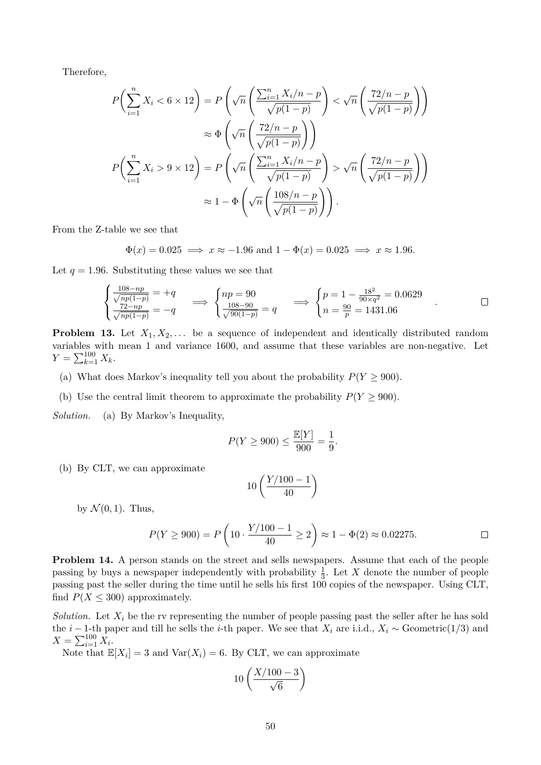Therefore,

$$
P\left(\sum_{i=1}^{n} X_i < 6 \times 12\right) = P\left(\sqrt{n} \left(\frac{\sum_{i=1}^{n} X_i / n - p}{\sqrt{p(1-p)}}\right) < \sqrt{n} \left(\frac{72/n - p}{\sqrt{p(1-p)}}\right)\right)
$$
\n
$$
\approx \Phi\left(\sqrt{n} \left(\frac{72/n - p}{\sqrt{p(1-p)}}\right)\right)
$$
\n
$$
P\left(\sum_{i=1}^{n} X_i > 9 \times 12\right) = P\left(\sqrt{n} \left(\frac{\sum_{i=1}^{n} X_i / n - p}{\sqrt{p(1-p)}}\right) > \sqrt{n} \left(\frac{72/n - p}{\sqrt{p(1-p)}}\right)\right)
$$
\n
$$
\approx 1 - \Phi\left(\sqrt{n} \left(\frac{108/n - p}{\sqrt{p(1-p)}}\right)\right).
$$

From the Z-table we see that

$$
\Phi(x) = 0.025 \implies x \approx -1.96
$$
 and  $1 - \Phi(x) = 0.025 \implies x \approx 1.96$ .

Let  $q = 1.96$ . Substituting these values we see that

$$
\begin{cases} \frac{108 - np}{\sqrt{np(1-p)}} = +q \\ \frac{72 - np}{\sqrt{np(1-p)}} = -q \end{cases} \implies \begin{cases} np = 90 \\ \frac{108 - 90}{\sqrt{90(1-p)}} = q \end{cases} \implies \begin{cases} p = 1 - \frac{18^2}{90 \times q^2} = 0.0629 \\ n = \frac{90}{p} = 1431.06 \end{cases} \quad \Box
$$

**Problem 13.** Let  $X_1, X_2, \ldots$  be a sequence of independent and identically distributed random variables with mean 1 and variance 1600, and assume that these variables are non-negative. Let  $Y = \sum_{k=1}^{100} X_k$ .

- (a) What does Markov's inequality tell you about the probability  $P(Y \ge 900)$ .
- (b) Use the central limit theorem to approximate the probability  $P(Y \ge 900)$ .

*Solution.* (a) By Markov's Inequality,

$$
P(Y \ge 900) \le \frac{\mathbb{E}[Y]}{900} = \frac{1}{9}.
$$

(b) By CLT, we can approximate

$$
10\left(\frac{Y/100-1}{40}\right)
$$

by  $\mathcal{N}(0, 1)$ . Thus,

$$
P(Y \ge 900) = P\left(10 \cdot \frac{Y/100 - 1}{40} \ge 2\right) \approx 1 - \Phi(2) \approx 0.02275.
$$

**Problem 14.** A person stands on the street and sells newspapers. Assume that each of the people passing by buys a newspaper independently with probability  $\frac{1}{3}$ . Let X denote the number of people passing past the seller during the time until he sells his first 100 copies of the newspaper. Using CLT, find  $P(X \leq 300)$  approximately.

*Solution.* Let  $X_i$  be the rv representing the number of people passing past the seller after he has sold the *i* − 1-th paper and till he sells the *i*-th paper. We see that  $X_i$  are i.i.d.,  $X_i \sim$  Geometric(1/3) and  $X = \sum_{i=1}^{100} X_i$ .

Note that  $\mathbb{E}[X_i] = 3$  and  $\text{Var}(X_i) = 6$ . By CLT, we can approximate

$$
10\left(\frac{X/100-3}{\sqrt{6}}\right)
$$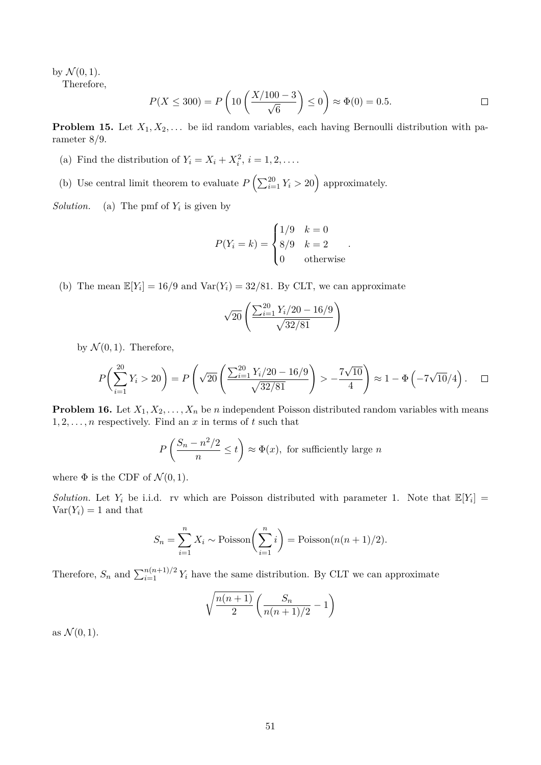by  $\mathcal{N}(0,1)$ .

Therefore,

$$
P(X \le 300) = P\left(10\left(\frac{X/100 - 3}{\sqrt{6}}\right) \le 0\right) \approx \Phi(0) = 0.5.
$$

**Problem 15.** Let  $X_1, X_2, \ldots$  be iid random variables, each having Bernoulli distribution with parameter 8/9.

- (a) Find the distribution of  $Y_i = X_i + X_i^2$ ,  $i = 1, 2, \ldots$ .
- (b) Use central limit theorem to evaluate  $P\left(\sum_{i=1}^{20} Y_i > 20\right)$  approximately.

*Solution.* (a) The pmf of  $Y_i$  is given by

$$
P(Y_i = k) = \begin{cases} 1/9 & k = 0 \\ 8/9 & k = 2 \\ 0 & \text{otherwise} \end{cases}.
$$

(b) The mean  $\mathbb{E}[Y_i] = 16/9$  and  $\text{Var}(Y_i) = 32/81$ . By CLT, we can approximate

$$
\sqrt{20}\left(\frac{\sum_{i=1}^{20} Y_i/20 - 16/9}{\sqrt{32/81}}\right)
$$

by  $\mathcal{N}(0, 1)$ . Therefore,

$$
P\left(\sum_{i=1}^{20} Y_i > 20\right) = P\left(\sqrt{20} \left(\frac{\sum_{i=1}^{20} Y_i/20 - 16/9}{\sqrt{32/81}}\right) > -\frac{7\sqrt{10}}{4}\right) \approx 1 - \Phi\left(-7\sqrt{10}/4\right). \quad \Box
$$

**Problem 16.** Let  $X_1, X_2, \ldots, X_n$  be n independent Poisson distributed random variables with means  $1, 2, \ldots, n$  respectively. Find an x in terms of t such that

$$
P\left(\frac{S_n - n^2/2}{n} \le t\right) \approx \Phi(x), \text{ for sufficiently large } n
$$

where  $\Phi$  is the CDF of  $\mathcal{N}(0, 1)$ .

*Solution.* Let  $Y_i$  be i.i.d. rv which are Poisson distributed with parameter 1. Note that  $\mathbb{E}[Y_i] =$  $Var(Y_i) = 1$  and that

$$
S_n = \sum_{i=1}^n X_i \sim \text{Poisson}\left(\sum_{i=1}^n i\right) = \text{Poisson}(n(n+1)/2).
$$

Therefore,  $S_n$  and  $\sum_{i=1}^{n(n+1)/2} Y_i$  have the same distribution. By CLT we can approximate

$$
\sqrt{\frac{n(n+1)}{2}} \left( \frac{S_n}{n(n+1)/2} - 1 \right)
$$

as  $\mathcal{N}(0,1)$ .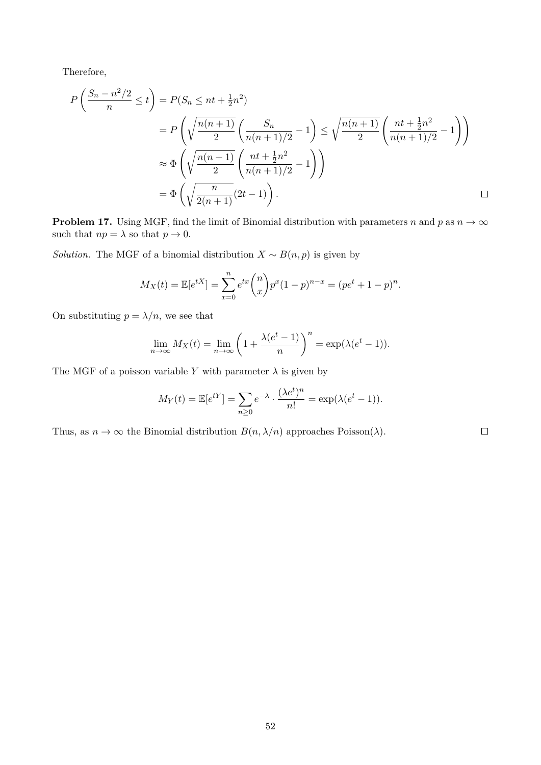Therefore,

$$
P\left(\frac{S_n - n^2/2}{n} \le t\right) = P(S_n \le nt + \frac{1}{2}n^2)
$$
  
=  $P\left(\sqrt{\frac{n(n+1)}{2}} \left(\frac{S_n}{n(n+1)/2} - 1\right) \le \sqrt{\frac{n(n+1)}{2}} \left(\frac{nt + \frac{1}{2}n^2}{n(n+1)/2} - 1\right)\right)$   
 $\approx \Phi\left(\sqrt{\frac{n(n+1)}{2}} \left(\frac{nt + \frac{1}{2}n^2}{n(n+1)/2} - 1\right)\right)$   
=  $\Phi\left(\sqrt{\frac{n}{2(n+1)}}(2t - 1)\right)$ .

**Problem 17.** Using MGF, find the limit of Binomial distribution with parameters n and p as  $n \to \infty$ such that  $np = \lambda$  so that  $p \to 0$ .

*Solution.* The MGF of a binomial distribution  $X \sim B(n, p)$  is given by

$$
M_X(t) = \mathbb{E}[e^{tX}] = \sum_{x=0}^{n} e^{tx} \binom{n}{x} p^x (1-p)^{n-x} = (pe^t + 1 - p)^n.
$$

On substituting  $p = \lambda/n$ , we see that

$$
\lim_{n \to \infty} M_X(t) = \lim_{n \to \infty} \left( 1 + \frac{\lambda(e^t - 1)}{n} \right)^n = \exp(\lambda(e^t - 1)).
$$

The MGF of a poisson variable Y with parameter  $\lambda$  is given by

$$
M_Y(t) = \mathbb{E}[e^{tY}] = \sum_{n\geq 0} e^{-\lambda} \cdot \frac{(\lambda e^t)^n}{n!} = \exp(\lambda(e^t - 1)).
$$

Thus, as  $n \to \infty$  the Binomial distribution  $B(n, \lambda/n)$  approaches Poisson( $\lambda$ ).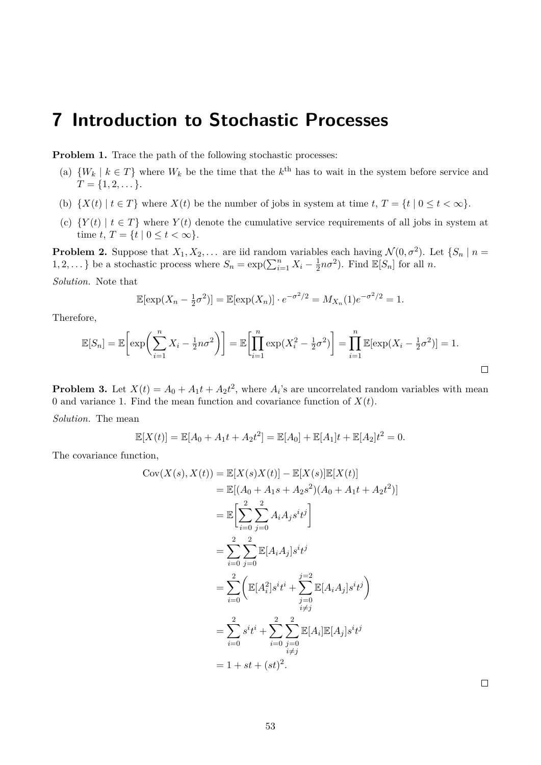# **7 Introduction to Stochastic Processes**

**Problem 1.** Trace the path of the following stochastic processes:

- (a)  $\{W_k \mid k \in T\}$  where  $W_k$  be the time that the  $k^{\text{th}}$  has to wait in the system before service and  $T = \{1, 2, \dots\}.$
- (b)  $\{X(t) | t \in T\}$  where  $X(t)$  be the number of jobs in system at time  $t, T = \{t | 0 \le t < \infty\}$ .
- (c)  $\{Y(t) | t \in T\}$  where  $Y(t)$  denote the cumulative service requirements of all jobs in system at time t,  $T = \{t \mid 0 \le t < \infty\}.$

**Problem 2.** Suppose that  $X_1, X_2, \ldots$  are iid random variables each having  $\mathcal{N}(0, \sigma^2)$ . Let  $\{S_n \mid n =$  $1, 2, \dots$ } be a stochastic process where  $S_n = \exp(\sum_{i=1}^n X_i - \frac{1}{2})$  $\frac{1}{2}n\sigma^2$ ). Find  $\mathbb{E}[S_n]$  for all n.

*Solution.* Note that

$$
\mathbb{E}[\exp(X_n - \frac{1}{2}\sigma^2)] = \mathbb{E}[\exp(X_n)] \cdot e^{-\sigma^2/2} = M_{X_n}(1)e^{-\sigma^2/2} = 1.
$$

Therefore,

$$
\mathbb{E}[S_n] = \mathbb{E}\left[\exp\left(\sum_{i=1}^n X_i - \frac{1}{2}n\sigma^2\right)\right] = \mathbb{E}\left[\prod_{i=1}^n \exp(X_i^2 - \frac{1}{2}\sigma^2)\right] = \prod_{i=1}^n \mathbb{E}[\exp(X_i - \frac{1}{2}\sigma^2)] = 1.
$$

**Problem 3.** Let  $X(t) = A_0 + A_1t + A_2t^2$ , where  $A_i$ 's are uncorrelated random variables with mean 0 and variance 1. Find the mean function and covariance function of  $X(t)$ .

*Solution.* The mean

$$
\mathbb{E}[X(t)] = \mathbb{E}[A_0 + A_1t + A_2t^2] = \mathbb{E}[A_0] + \mathbb{E}[A_1]t + \mathbb{E}[A_2]t^2 = 0.
$$

The covariance function,

$$
Cov(X(s), X(t)) = \mathbb{E}[X(s)X(t)] - \mathbb{E}[X(s)]\mathbb{E}[X(t)]
$$
  
\n
$$
= \mathbb{E}[(A_0 + A_1s + A_2s^2)(A_0 + A_1t + A_2t^2)]
$$
  
\n
$$
= \mathbb{E}\left[\sum_{i=0}^{2}\sum_{j=0}^{2}A_iA_j s^i t^j\right]
$$
  
\n
$$
= \sum_{i=0}^{2}\sum_{j=0}^{2} \mathbb{E}[A_iA_j]s^i t^j
$$
  
\n
$$
= \sum_{i=0}^{2} \left(\mathbb{E}[A_i^2]s^i t^i + \sum_{\substack{j=0 \ i \neq j}}^{j=2} \mathbb{E}[A_iA_j]s^i t^j\right)
$$
  
\n
$$
= \sum_{i=0}^{2} s^i t^i + \sum_{i=0}^{2}\sum_{\substack{j=0 \ i \neq j}}^{2} \mathbb{E}[A_i]\mathbb{E}[A_j]s^i t^j
$$
  
\n
$$
= 1 + st + (st)^2.
$$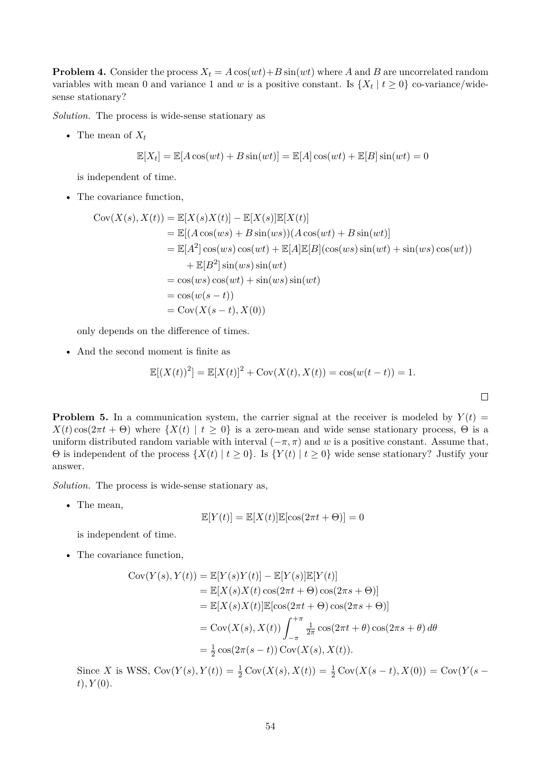**Problem 4.** Consider the process  $X_t = A \cos(wt) + B \sin(wt)$  where A and B are uncorrelated random variables with mean 0 and variance 1 and w is a positive constant. Is  $\{X_t | t \geq 0\}$  co-variance/widesense stationary?

*Solution.* The process is wide-sense stationary as

• The mean of  $X_t$ 

$$
\mathbb{E}[X_t] = \mathbb{E}[A\cos(wt) + B\sin(wt)] = \mathbb{E}[A]\cos(wt) + \mathbb{E}[B]\sin(wt) = 0
$$

is independent of time.

• The covariance function,

$$
Cov(X(s), X(t)) = \mathbb{E}[X(s)X(t)] - \mathbb{E}[X(s)]\mathbb{E}[X(t)]
$$
  
\n
$$
= \mathbb{E}[(A \cos(ws) + B \sin(ws))(A \cos(wt) + B \sin(wt))]
$$
  
\n
$$
= \mathbb{E}[A^2] \cos(ws) \cos(wt) + \mathbb{E}[A]\mathbb{E}[B](\cos(ws) \sin(wt) + \sin(ws) \cos(wt))
$$
  
\n
$$
+ \mathbb{E}[B^2] \sin(ws) \sin(wt)
$$
  
\n
$$
= \cos(ws) \cos(wt) + \sin(ws) \sin(wt)
$$
  
\n
$$
= \cos(w(s - t))
$$
  
\n
$$
= \text{Cov}(X(s - t), X(0))
$$

only depends on the difference of times.

• And the second moment is finite as

$$
\mathbb{E}[(X(t))^{2}] = \mathbb{E}[X(t)]^{2} + \text{Cov}(X(t), X(t)) = \cos(w(t-t)) = 1.
$$

 $\Box$ 

**Problem 5.** In a communication system, the carrier signal at the receiver is modeled by  $Y(t)$  =  $X(t) \cos(2\pi t + \Theta)$  where  $\{X(t) | t \geq 0\}$  is a zero-mean and wide sense stationary process,  $\Theta$  is a uniform distributed random variable with interval  $(-\pi, \pi)$  and w is a positive constant. Assume that,  $\Theta$  is independent of the process  $\{X(t) | t \geq 0\}$ . Is  $\{Y(t) | t \geq 0\}$  wide sense stationary? Justify your answer.

*Solution.* The process is wide-sense stationary as,

• The mean,

$$
\mathbb{E}[Y(t)] = \mathbb{E}[X(t)]\mathbb{E}[\cos(2\pi t + \Theta)] = 0
$$

is independent of time.

• The covariance function,

$$
Cov(Y(s), Y(t)) = \mathbb{E}[Y(s)Y(t)] - \mathbb{E}[Y(s)]\mathbb{E}[Y(t)]
$$
  
\n
$$
= \mathbb{E}[X(s)X(t)\cos(2\pi t + \Theta)\cos(2\pi s + \Theta)]
$$
  
\n
$$
= \mathbb{E}[X(s)X(t)]\mathbb{E}[\cos(2\pi t + \Theta)\cos(2\pi s + \Theta)]
$$
  
\n
$$
= Cov(X(s), X(t)) \int_{-\pi}^{+\pi} \frac{1}{2\pi} \cos(2\pi t + \theta) \cos(2\pi s + \theta) d\theta
$$
  
\n
$$
= \frac{1}{2} \cos(2\pi(s - t)) \text{Cov}(X(s), X(t)).
$$

Since X is WSS,  $Cov(Y(s), Y(t)) = \frac{1}{2} Cov(X(s), X(t)) = \frac{1}{2} Cov(X(s - t), X(0)) = Cov(Y(s - t))$  $t), Y(0).$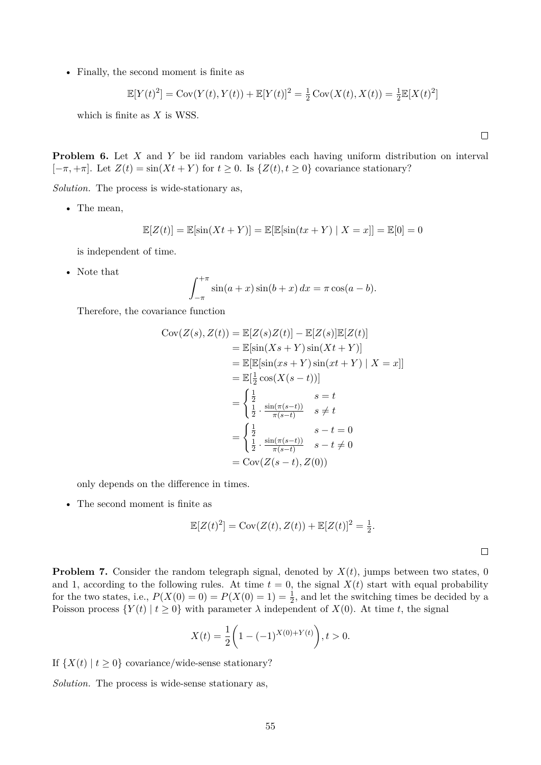• Finally, the second moment is finite as

$$
\mathbb{E}[Y(t)^{2}] = \text{Cov}(Y(t), Y(t)) + \mathbb{E}[Y(t)]^{2} = \frac{1}{2}\text{Cov}(X(t), X(t)) = \frac{1}{2}\mathbb{E}[X(t)^{2}]
$$

which is finite as  $X$  is WSS.

**Problem 6.** Let X and Y be iid random variables each having uniform distribution on interval  $[-\pi, +\pi]$ . Let  $Z(t) = \sin(Xt + Y)$  for  $t \geq 0$ . Is  $\{Z(t), t \geq 0\}$  covariance stationary?

*Solution.* The process is wide-stationary as,

• The mean,

$$
\mathbb{E}[Z(t)] = \mathbb{E}[\sin(Xt+Y)] = \mathbb{E}[\mathbb{E}[\sin(tx+Y) | X = x]] = \mathbb{E}[0] = 0
$$

is independent of time.

• Note that

$$
\int_{-\pi}^{+\pi} \sin(a+x)\sin(b+x) \, dx = \pi \cos(a-b).
$$

Therefore, the covariance function

$$
Cov(Z(s), Z(t)) = \mathbb{E}[Z(s)Z(t)] - \mathbb{E}[Z(s)]\mathbb{E}[Z(t)]
$$
  
\n
$$
= \mathbb{E}[\sin(Xs + Y)\sin(Xt + Y)]
$$
  
\n
$$
= \mathbb{E}[\mathbb{E}[\sin(xs + Y)\sin(xt + Y) | X = x]]
$$
  
\n
$$
= \mathbb{E}[\frac{1}{2}\cos(X(s - t))]
$$
  
\n
$$
= \begin{cases} \frac{1}{2} & s = t \\ \frac{1}{2} \cdot \frac{\sin(\pi(s - t))}{\pi(s - t)} & s \neq t \end{cases}
$$
  
\n
$$
= \begin{cases} \frac{1}{2} & s - t = 0 \\ \frac{1}{2} \cdot \frac{\sin(\pi(s - t))}{\pi(s - t)} & s - t \neq 0 \\ = \text{Cov}(Z(s - t), Z(0)) \end{cases}
$$

only depends on the difference in times.

• The second moment is finite as

$$
\mathbb{E}[Z(t)^{2}] = \text{Cov}(Z(t), Z(t)) + \mathbb{E}[Z(t)]^{2} = \frac{1}{2}.
$$

 $\Box$ 

**Problem 7.** Consider the random telegraph signal, denoted by  $X(t)$ , jumps between two states, 0 and 1, according to the following rules. At time  $t = 0$ , the signal  $X(t)$  start with equal probability for the two states, i.e.,  $P(X(0) = 0) = P(X(0) = 1) = \frac{1}{2}$ , and let the switching times be decided by a Poisson process  $\{Y(t) | t \geq 0\}$  with parameter  $\lambda$  independent of  $X(0)$ . At time t, the signal

$$
X(t) = \frac{1}{2} \left( 1 - (-1)^{X(0) + Y(t)} \right), t > 0.
$$

If  $\{X(t) | t > 0\}$  covariance/wide-sense stationary?

*Solution.* The process is wide-sense stationary as,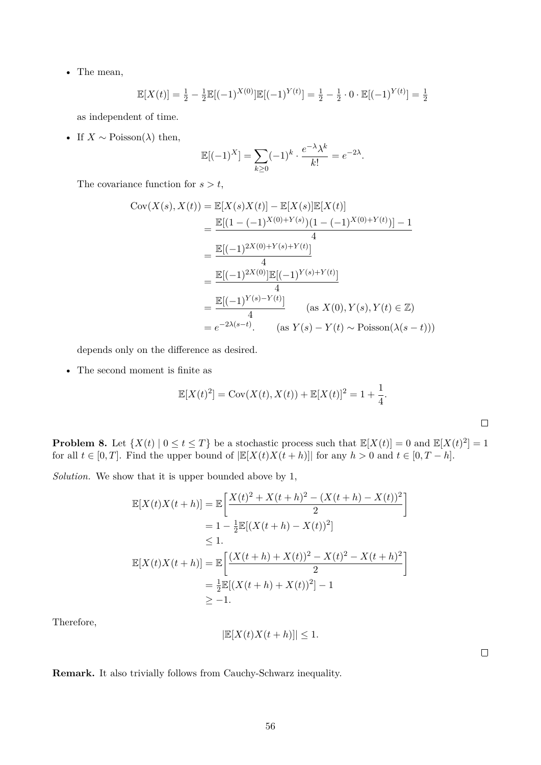• The mean,

$$
\mathbb{E}[X(t)] = \frac{1}{2} - \frac{1}{2}\mathbb{E}[(-1)^{X(0)}]\mathbb{E}[(-1)^{Y(t)}] = \frac{1}{2} - \frac{1}{2} \cdot 0 \cdot \mathbb{E}[(-1)^{Y(t)}] = \frac{1}{2}
$$

as independent of time.

• If  $X \sim \text{Poisson}(\lambda)$  then,

$$
\mathbb{E}[(-1)^{X}] = \sum_{k \ge 0} (-1)^{k} \cdot \frac{e^{-\lambda} \lambda^{k}}{k!} = e^{-2\lambda}.
$$

The covariance function for  $s > t$ ,

$$
Cov(X(s), X(t)) = \mathbb{E}[X(s)X(t)] - \mathbb{E}[X(s)]\mathbb{E}[X(t)]
$$
  
= 
$$
\frac{\mathbb{E}[(1 - (-1)^{X(0) + Y(s)})(1 - (-1)^{X(0) + Y(t)})] - 1}{4}
$$
  
= 
$$
\frac{\mathbb{E}[(-1)^{2X(0) + Y(s) + Y(t)}]}{4}
$$
  
= 
$$
\frac{\mathbb{E}[(-1)^{2X(0)}]\mathbb{E}[(-1)^{Y(s) + Y(t)}]}{4}
$$
  
= 
$$
\frac{\mathbb{E}[(-1)^{Y(s) - Y(t)}]}{4}
$$
 (as  $X(0), Y(s), Y(t) \in \mathbb{Z}$ )  
= 
$$
e^{-2\lambda(s-t)}.
$$
 (as  $Y(s) - Y(t) \sim \text{Poisson}(\lambda(s - t)))$ )

depends only on the difference as desired.

• The second moment is finite as

$$
\mathbb{E}[X(t)^{2}] = \text{Cov}(X(t), X(t)) + \mathbb{E}[X(t)]^{2} = 1 + \frac{1}{4}.
$$

**Problem 8.** Let  $\{X(t) | 0 \le t \le T\}$  be a stochastic process such that  $\mathbb{E}[X(t)] = 0$  and  $\mathbb{E}[X(t)^2] = 1$ for all  $t \in [0, T]$ . Find the upper bound of  $\left| \mathbb{E}[X(t)X(t+h)] \right|$  for any  $h > 0$  and  $t \in [0, T - h]$ .

*Solution.* We show that it is upper bounded above by 1,

$$
\mathbb{E}[X(t)X(t+h)] = \mathbb{E}\left[\frac{X(t)^2 + X(t+h)^2 - (X(t+h) - X(t))^2}{2}\right]
$$
  
\n
$$
= 1 - \frac{1}{2}\mathbb{E}[(X(t+h) - X(t))^2]
$$
  
\n
$$
\leq 1.
$$
  
\n
$$
\mathbb{E}[X(t)X(t+h)] = \mathbb{E}\left[\frac{(X(t+h) + X(t))^2 - X(t)^2 - X(t+h)^2}{2}\right]
$$
  
\n
$$
= \frac{1}{2}\mathbb{E}[(X(t+h) + X(t))^2] - 1
$$
  
\n
$$
\geq -1.
$$

Therefore,

$$
\left| \mathbb{E}[X(t)X(t+h)] \right| \leq 1.
$$

 $\Box$ 

 $\Box$ 

**Remark.** It also trivially follows from Cauchy-Schwarz inequality.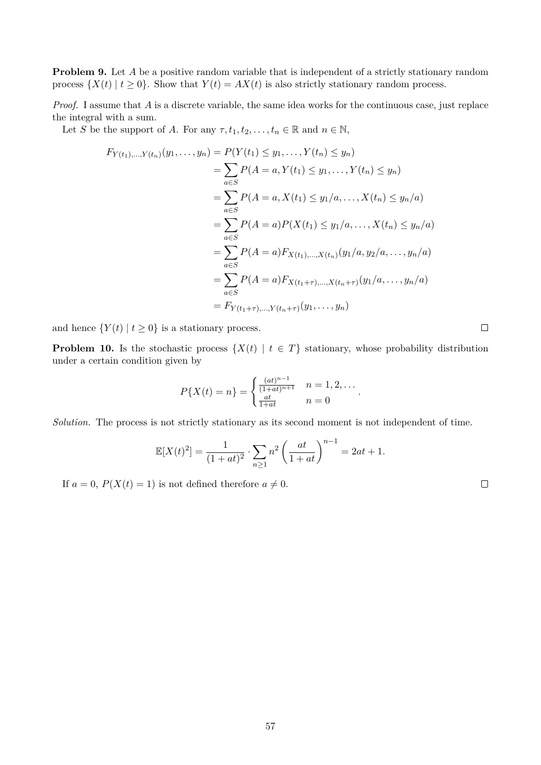**Problem 9.** Let A be a positive random variable that is independent of a strictly stationary random process  $\{X(t) | t \geq 0\}$ . Show that  $Y(t) = AX(t)$  is also strictly stationary random process.

*Proof.* I assume that A is a discrete variable, the same idea works for the continuous case, just replace the integral with a sum.

Let S be the support of A. For any  $\tau, t_1, t_2, \ldots, t_n \in \mathbb{R}$  and  $n \in \mathbb{N}$ ,

$$
F_{Y(t_1),...,Y(t_n)}(y_1,...,y_n) = P(Y(t_1) \le y_1,...,Y(t_n) \le y_n)
$$
  
\n
$$
= \sum_{a \in S} P(A = a, Y(t_1) \le y_1,...,Y(t_n) \le y_n)
$$
  
\n
$$
= \sum_{a \in S} P(A = a, X(t_1) \le y_1/a,...,X(t_n) \le y_n/a)
$$
  
\n
$$
= \sum_{a \in S} P(A = a)P(X(t_1) \le y_1/a,...,X(t_n) \le y_n/a)
$$
  
\n
$$
= \sum_{a \in S} P(A = a)F_{X(t_1),...,X(t_n)}(y_1/a, y_2/a,...,y_n/a)
$$
  
\n
$$
= \sum_{a \in S} P(A = a)F_{X(t_1+\tau),...,X(t_n+\tau)}(y_1/a,...,y_n/a)
$$
  
\n
$$
= F_{Y(t_1+\tau),...,Y(t_n+\tau)}(y_1,...,y_n)
$$

and hence  $\{Y(t) | t \geq 0\}$  is a stationary process.

**Problem 10.** Is the stochastic process  $\{X(t) | t \in T\}$  stationary, whose probability distribution under a certain condition given by

$$
P\{X(t) = n\} = \begin{cases} \frac{(at)^{n-1}}{(1+at)^{n+1}} & n = 1, 2, \dots \\ \frac{at}{1+at} & n = 0 \end{cases}.
$$

*Solution.* The process is not strictly stationary as its second moment is not independent of time.

$$
\mathbb{E}[X(t)^{2}] = \frac{1}{(1+at)^{2}} \cdot \sum_{n\geq 1} n^{2} \left(\frac{at}{1+at}\right)^{n-1} = 2at + 1.
$$

If  $a = 0$ ,  $P(X(t) = 1)$  is not defined therefore  $a \neq 0$ .

 $\Box$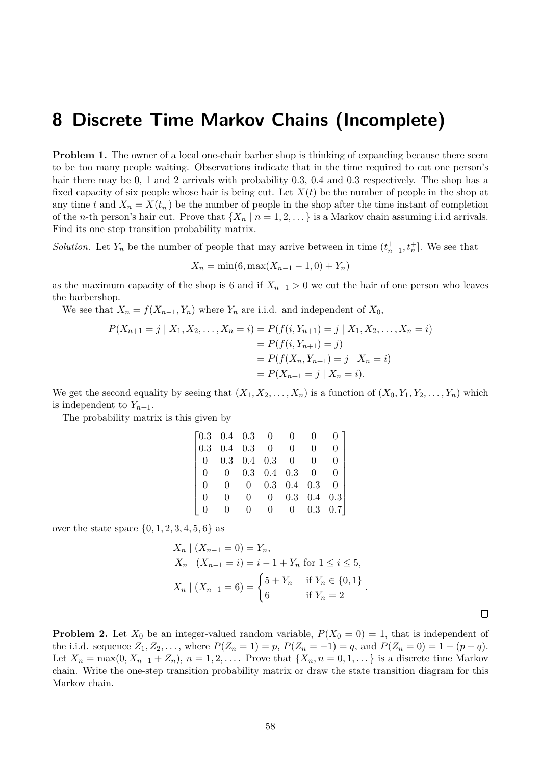## **8 Discrete Time Markov Chains (Incomplete)**

**Problem 1.** The owner of a local one-chair barber shop is thinking of expanding because there seem to be too many people waiting. Observations indicate that in the time required to cut one person's hair there may be 0, 1 and 2 arrivals with probability 0.3, 0.4 and 0.3 respectively. The shop has a fixed capacity of six people whose hair is being cut. Let  $X(t)$  be the number of people in the shop at any time t and  $X_n = X(t_n^+)$  be the number of people in the shop after the time instant of completion of the *n*-th person's hair cut. Prove that  $\{X_n | n = 1, 2, ...\}$  is a Markov chain assuming i.i.d arrivals. Find its one step transition probability matrix.

*Solution*. Let  $Y_n$  be the number of people that may arrive between in time  $(t_{n-1}^+, t_n^+]$ . We see that

$$
X_n = \min(6, \max(X_{n-1} - 1, 0) + Y_n)
$$

as the maximum capacity of the shop is 6 and if  $X_{n-1} > 0$  we cut the hair of one person who leaves the barbershop.

We see that  $X_n = f(X_{n-1}, Y_n)$  where  $Y_n$  are i.i.d. and independent of  $X_0$ ,

$$
P(X_{n+1} = j | X_1, X_2, \dots, X_n = i) = P(f(i, Y_{n+1}) = j | X_1, X_2, \dots, X_n = i)
$$
  
=  $P(f(i, Y_{n+1}) = j)$   
=  $P(f(X_n, Y_{n+1}) = j | X_n = i)$   
=  $P(X_{n+1} = j | X_n = i)$ .

We get the second equality by seeing that  $(X_1, X_2, \ldots, X_n)$  is a function of  $(X_0, Y_1, Y_2, \ldots, Y_n)$  which is independent to  $Y_{n+1}$ .

The probability matrix is this given by

|          | $\begin{bmatrix} 0.3 & 0.4 & 0.3 & 0 \end{bmatrix}$ |                |                          | $\overline{0}$            |                           |                 |
|----------|-----------------------------------------------------|----------------|--------------------------|---------------------------|---------------------------|-----------------|
|          | $\begin{array}{cccc} 0.3 & 0.4 & 0.3 \end{array}$   |                | $\overline{\phantom{0}}$ | 0                         |                           |                 |
| $\Omega$ | $0.3$ 0.4 0.3 0                                     |                |                          |                           |                           |                 |
|          |                                                     |                |                          | $0.3 \quad 0.4 \quad 0.3$ | $\overline{0}$            |                 |
|          |                                                     | $\overline{0}$ |                          |                           | $0.3 \quad 0.4 \quad 0.3$ |                 |
|          |                                                     | $\Omega$       | $\Omega$                 |                           | $0.3 \quad 0.4 \quad 0.3$ |                 |
|          |                                                     |                |                          | $\overline{0}$            |                           | $0.3 \quad 0.7$ |

over the state space  $\{0, 1, 2, 3, 4, 5, 6\}$  as

$$
X_n | (X_{n-1} = 0) = Y_n,
$$
  
\n
$$
X_n | (X_{n-1} = i) = i - 1 + Y_n \text{ for } 1 \le i \le 5,
$$
  
\n
$$
X_n | (X_{n-1} = 6) = \begin{cases} 5 + Y_n & \text{if } Y_n \in \{0, 1\} \\ 6 & \text{if } Y_n = 2 \end{cases}.
$$

**Problem 2.** Let  $X_0$  be an integer-valued random variable,  $P(X_0 = 0) = 1$ , that is independent of the i.i.d. sequence  $Z_1, Z_2, \ldots$ , where  $P(Z_n = 1) = p$ ,  $P(Z_n = -1) = q$ , and  $P(Z_n = 0) = 1 - (p + q)$ . Let  $X_n = \max(0, X_{n-1} + Z_n)$ ,  $n = 1, 2, \ldots$  Prove that  $\{X_n, n = 0, 1, \ldots\}$  is a discrete time Markov chain. Write the one-step transition probability matrix or draw the state transition diagram for this Markov chain.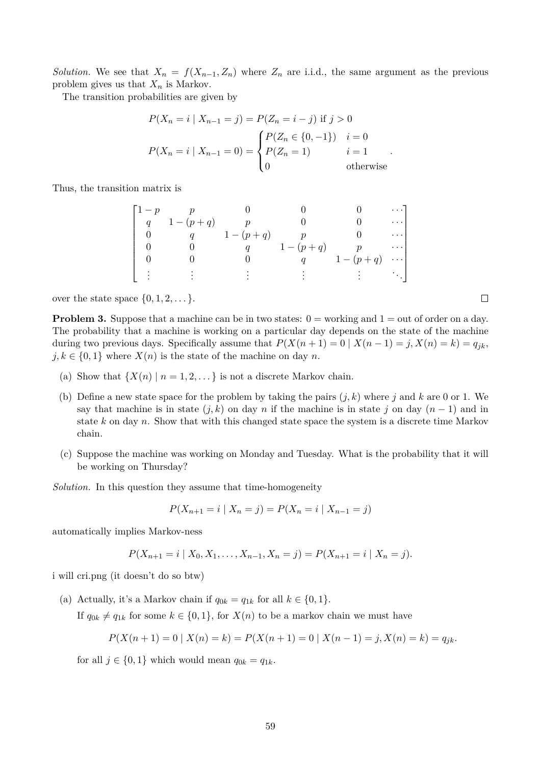*Solution.* We see that  $X_n = f(X_{n-1}, Z_n)$  where  $Z_n$  are i.i.d., the same argument as the previous problem gives us that  $X_n$  is Markov.

The transition probabilities are given by

$$
P(X_n = i | X_{n-1} = j) = P(Z_n = i - j) \text{ if } j > 0
$$
  

$$
P(X_n = i | X_{n-1} = 0) = \begin{cases} P(Z_n \in \{0, -1\}) & i = 0 \\ P(Z_n = 1) & i = 1 \\ 0 & \text{otherwise} \end{cases}.
$$

Thus, the transition matrix is

$$
\begin{bmatrix}\n1-p & p & 0 & 0 & 0 & \cdots \\
q & 1-(p+q) & p & 0 & 0 & \cdots \\
0 & q & 1-(p+q) & p & 0 & \cdots \\
0 & 0 & q & 1-(p+q) & p & \cdots \\
0 & 0 & 0 & q & 1-(p+q) & \cdots \\
\vdots & \vdots & \vdots & \vdots & \vdots & \ddots\n\end{bmatrix}
$$

over the state space  $\{0, 1, 2, \dots\}$ .

**Problem 3.** Suppose that a machine can be in two states:  $0 =$  working and  $1 =$  out of order on a day. The probability that a machine is working on a particular day depends on the state of the machine during two previous days. Specifically assume that  $P(X(n + 1) = 0 | X(n - 1) = j, X(n) = k) = q_{ik}$ ,  $j, k \in \{0, 1\}$  where  $X(n)$  is the state of the machine on day n.

- (a) Show that  $\{X(n) \mid n = 1, 2, \ldots\}$  is not a discrete Markov chain.
- (b) Define a new state space for the problem by taking the pairs  $(j, k)$  where j and k are 0 or 1. We say that machine is in state  $(j, k)$  on day n if the machine is in state j on day  $(n - 1)$  and in state  $k$  on day  $n$ . Show that with this changed state space the system is a discrete time Markov chain.
- (c) Suppose the machine was working on Monday and Tuesday. What is the probability that it will be working on Thursday?

*Solution.* In this question they assume that time-homogeneity

$$
P(X_{n+1} = i \mid X_n = j) = P(X_n = i \mid X_{n-1} = j)
$$

automatically implies Markov-ness

$$
P(X_{n+1} = i | X_0, X_1, \dots, X_{n-1}, X_n = j) = P(X_{n+1} = i | X_n = j).
$$

i will cri.png (it doesn't do so btw)

(a) Actually, it's a Markov chain if  $q_{0k} = q_{1k}$  for all  $k \in \{0, 1\}.$ 

If  $q_{0k} \neq q_{1k}$  for some  $k \in \{0,1\}$ , for  $X(n)$  to be a markov chain we must have

$$
P(X(n + 1) = 0 \mid X(n) = k) = P(X(n + 1) = 0 \mid X(n - 1) = j, X(n) = k) = q_{jk}.
$$

for all  $j \in \{0,1\}$  which would mean  $q_{0k} = q_{1k}$ .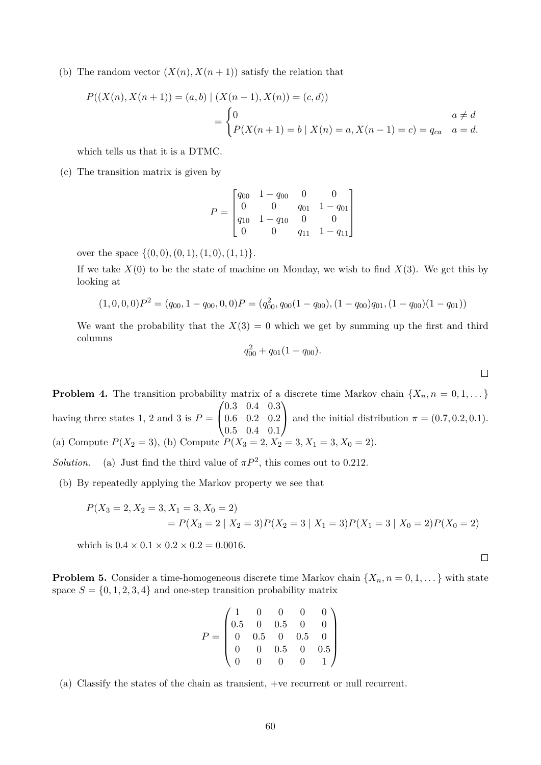(b) The random vector  $(X(n), X(n+1))$  satisfy the relation that

$$
P((X(n), X(n+1)) = (a, b) | (X(n-1), X(n)) = (c, d))
$$
  
= 
$$
\begin{cases} 0 & a \neq d \\ P(X(n+1) = b | X(n) = a, X(n-1) = c) = q_{ca} & a = d. \end{cases}
$$

which tells us that it is a DTMC.

(c) The transition matrix is given by

$$
P = \begin{bmatrix} q_{00} & 1 - q_{00} & 0 & 0 \\ 0 & 0 & q_{01} & 1 - q_{01} \\ q_{10} & 1 - q_{10} & 0 & 0 \\ 0 & 0 & q_{11} & 1 - q_{11} \end{bmatrix}
$$

over the space  $\{(0, 0), (0, 1), (1, 0), (1, 1)\}.$ 

If we take  $X(0)$  to be the state of machine on Monday, we wish to find  $X(3)$ . We get this by looking at

$$
(1,0,0,0)P2 = (q00, 1 - q00, 0, 0)P = (q002, q00(1 - q00), (1 - q00)q01, (1 - q00)(1 - q01))
$$

We want the probability that the  $X(3) = 0$  which we get by summing up the first and third columns  $q_0^2$ 

$$
q_{00}^2 + q_{01}(1 - q_{00}).
$$

**Problem 4.** The transition probability matrix of a discrete time Markov chain  $\{X_n, n = 0, 1, \dots\}$ having three states 1, 2 and 3 is  $P =$  $\sqrt{ }$  $\overline{1}$ 0.3 0.4 0.3 0.6 0.2 0.2 0.5 0.4 0.1  $\setminus$ and the initial distribution  $\pi = (0.7, 0.2, 0.1)$ . (a) Compute  $P(X_2 = 3)$ , (b) Compute  $P(X_3 = 2, X_2 = 3, X_1 = 3, X_0 = 2)$ .

*Solution.* (a) Just find the third value of  $\pi P^2$ , this comes out to 0.212.

(b) By repeatedly applying the Markov property we see that

$$
P(X_3 = 2, X_2 = 3, X_1 = 3, X_0 = 2)
$$
  
=  $P(X_3 = 2 | X_2 = 3)P(X_2 = 3 | X_1 = 3)P(X_1 = 3 | X_0 = 2)P(X_0 = 2)$ 

which is  $0.4 \times 0.1 \times 0.2 \times 0.2 = 0.0016$ .

 $\Box$ 

 $\Box$ 

**Problem 5.** Consider a time-homogeneous discrete time Markov chain  $\{X_n, n = 0, 1, ...\}$  with state space  $S = \{0, 1, 2, 3, 4\}$  and one-step transition probability matrix

$$
P = \begin{pmatrix} 1 & 0 & 0 & 0 & 0 \\ 0.5 & 0 & 0.5 & 0 & 0 \\ 0 & 0.5 & 0 & 0.5 & 0 \\ 0 & 0 & 0.5 & 0 & 0.5 \\ 0 & 0 & 0 & 0 & 1 \end{pmatrix}
$$

(a) Classify the states of the chain as transient, +ve recurrent or null recurrent.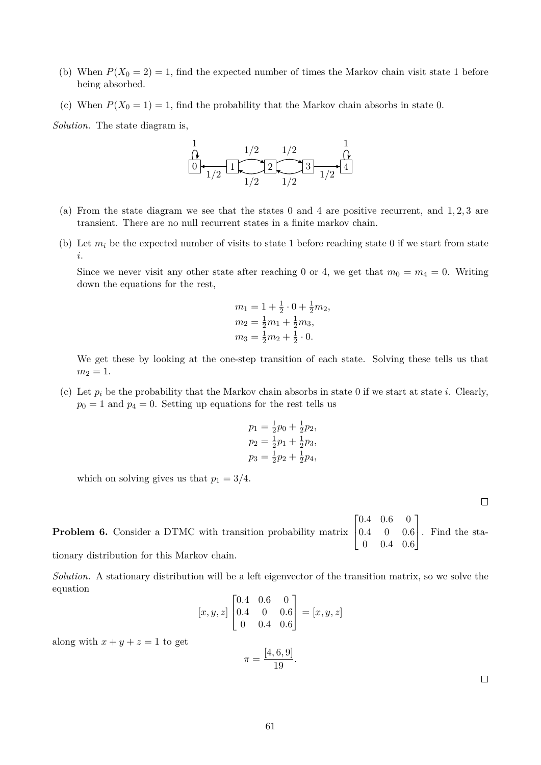- (b) When  $P(X_0 = 2) = 1$ , find the expected number of times the Markov chain visit state 1 before being absorbed.
- (c) When  $P(X_0 = 1) = 1$ , find the probability that the Markov chain absorbs in state 0.

*Solution.* The state diagram is,



- (a) From the state diagram we see that the states 0 and 4 are positive recurrent, and  $1, 2, 3$  are transient. There are no null recurrent states in a finite markov chain.
- (b) Let  $m_i$  be the expected number of visits to state 1 before reaching state 0 if we start from state i.

Since we never visit any other state after reaching 0 or 4, we get that  $m_0 = m_4 = 0$ . Writing down the equations for the rest,

$$
m_1 = 1 + \frac{1}{2} \cdot 0 + \frac{1}{2} m_2,
$$
  
\n
$$
m_2 = \frac{1}{2} m_1 + \frac{1}{2} m_3,
$$
  
\n
$$
m_3 = \frac{1}{2} m_2 + \frac{1}{2} \cdot 0.
$$

We get these by looking at the one-step transition of each state. Solving these tells us that  $m_2 = 1.$ 

(c) Let  $p_i$  be the probability that the Markov chain absorbs in state 0 if we start at state i. Clearly,  $p_0 = 1$  and  $p_4 = 0$ . Setting up equations for the rest tells us

$$
p_1 = \frac{1}{2}p_0 + \frac{1}{2}p_2,
$$
  
\n
$$
p_2 = \frac{1}{2}p_1 + \frac{1}{2}p_3,
$$
  
\n
$$
p_3 = \frac{1}{2}p_2 + \frac{1}{2}p_4,
$$

which on solving gives us that  $p_1 = 3/4$ .

**Problem 6.** Consider a DTMC with transition probability matrix  $\sqrt{ }$  $\overline{\phantom{a}}$ 0.4 0.6 0 0.4 0 0.6 0 0.4 0.6 1 . Find the sta-

tionary distribution for this Markov chain.

*Solution.* A stationary distribution will be a left eigenvector of the transition matrix, so we solve the equation

$$
[x, y, z] \begin{bmatrix} 0.4 & 0.6 & 0 \\ 0.4 & 0 & 0.6 \\ 0 & 0.4 & 0.6 \end{bmatrix} = [x, y, z]
$$

$$
[4, 6, 9]
$$

along with  $x + y + z = 1$  to get

$$
\pi = \frac{[4, 6, 9]}{19}.
$$

 $\Box$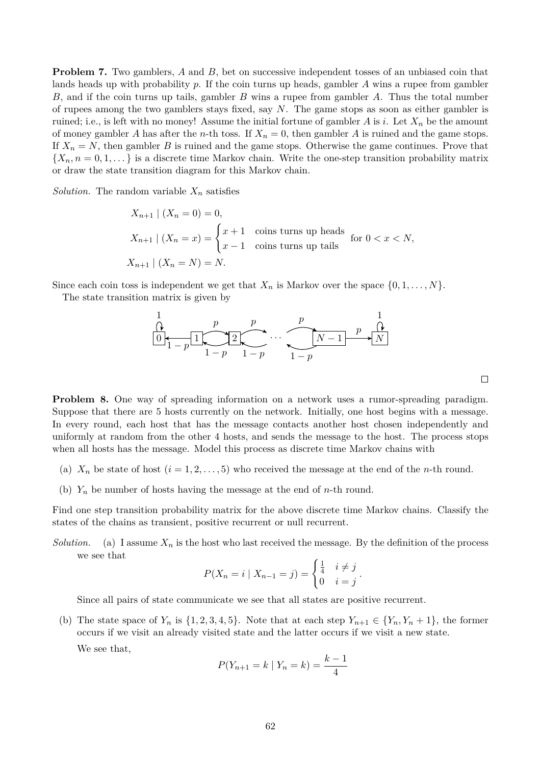**Problem 7.** Two gamblers, A and B, bet on successive independent tosses of an unbiased coin that lands heads up with probability  $p$ . If the coin turns up heads, gambler  $A$  wins a rupee from gambler  $B$ , and if the coin turns up tails, gambler  $B$  wins a rupee from gambler  $A$ . Thus the total number of rupees among the two gamblers stays fixed, say N. The game stops as soon as either gambler is ruined; i.e., is left with no money! Assume the initial fortune of gambler A is i. Let  $X_n$  be the amount of money gambler A has after the *n*-th toss. If  $X_n = 0$ , then gambler A is ruined and the game stops. If  $X_n = N$ , then gambler B is ruined and the game stops. Otherwise the game continues. Prove that  $\{X_n, n = 0, 1, \dots\}$  is a discrete time Markov chain. Write the one-step transition probability matrix or draw the state transition diagram for this Markov chain.

*Solution*. The random variable  $X_n$  satisfies

$$
X_{n+1} | (X_n = 0) = 0,
$$
  
\n
$$
X_{n+1} | (X_n = x) = \begin{cases} x+1 & \text{coins turns up heads} \\ x-1 & \text{coins turns up tails} \end{cases}
$$
 for  $0 < x < N$ ,  
\n
$$
X_{n+1} | (X_n = N) = N.
$$

Since each coin toss is independent we get that  $X_n$  is Markov over the space  $\{0, 1, \ldots, N\}$ .

The state transition matrix is given by



**Problem 8.** One way of spreading information on a network uses a rumor-spreading paradigm. Suppose that there are 5 hosts currently on the network. Initially, one host begins with a message. In every round, each host that has the message contacts another host chosen independently and uniformly at random from the other 4 hosts, and sends the message to the host. The process stops when all hosts has the message. Model this process as discrete time Markov chains with

- (a)  $X_n$  be state of host  $(i = 1, 2, \ldots, 5)$  who received the message at the end of the *n*-th round.
- (b)  $Y_n$  be number of hosts having the message at the end of *n*-th round.

Find one step transition probability matrix for the above discrete time Markov chains. Classify the states of the chains as transient, positive recurrent or null recurrent.

*Solution.* (a) I assume  $X_n$  is the host who last received the message. By the definition of the process we see that

$$
P(X_n = i \mid X_{n-1} = j) = \begin{cases} \frac{1}{4} & i \neq j \\ 0 & i = j \end{cases}.
$$

Since all pairs of state communicate we see that all states are positive recurrent.

(b) The state space of  $Y_n$  is  $\{1, 2, 3, 4, 5\}$ . Note that at each step  $Y_{n+1} \in \{Y_n, Y_n + 1\}$ , the former occurs if we visit an already visited state and the latter occurs if we visit a new state.

We see that,

$$
P(Y_{n+1} = k \mid Y_n = k) = \frac{k-1}{4}
$$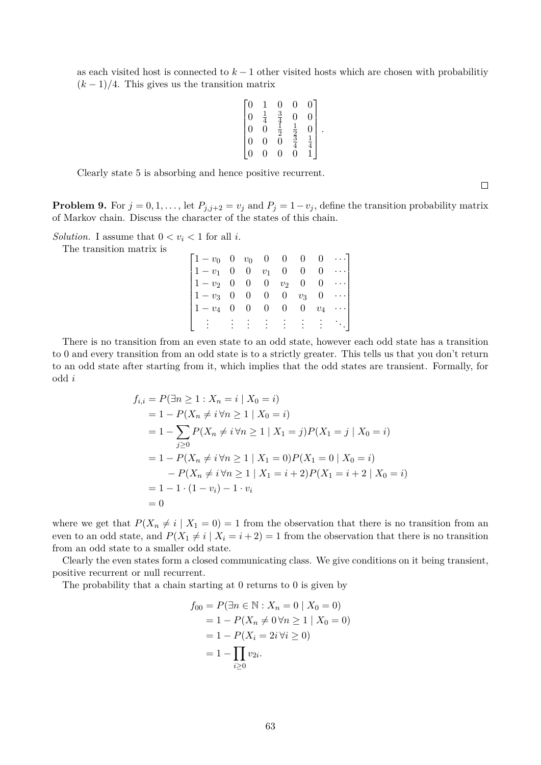as each visited host is connected to  $k - 1$  other visited hosts which are chosen with probabilitiy  $(k-1)/4$ . This gives us the transition matrix

$$
\begin{bmatrix} 0 & 1 & 0 & 0 & 0 \\ 0 & \frac{1}{4} & \frac{3}{4} & 0 & 0 \\ 0 & 0 & \frac{1}{2} & \frac{1}{2} & 0 \\ 0 & 0 & 0 & \frac{3}{4} & \frac{1}{4} \\ 0 & 0 & 0 & 0 & 1 \end{bmatrix}
$$

.

Clearly state 5 is absorbing and hence positive recurrent.

**Problem 9.** For  $j = 0, 1, \ldots$ , let  $P_{j,j+2} = v_j$  and  $P_j = 1 - v_j$ , define the transition probability matrix of Markov chain. Discuss the character of the states of this chain.

*Solution.* I assume that  $0 < v_i < 1$  for all *i*.

The transition matrix is

| $\begin{bmatrix} 1-v_0 & 0 & v_0 & 0 & 0 & 0 & 0 & \cdots \end{bmatrix}$ |  |  |  |                                                 |
|--------------------------------------------------------------------------|--|--|--|-------------------------------------------------|
| $\begin{bmatrix} 1-v_1 & 0 & 0 & v_1 & 0 & 0 \end{bmatrix}$              |  |  |  | $\begin{bmatrix} 0 & \cdots \end{bmatrix}$      |
| $\begin{vmatrix} 1-v_2 & 0 & 0 & 0 & v_2 & 0 \end{vmatrix}$              |  |  |  | $\begin{bmatrix} 0 & \cdots \end{bmatrix}$      |
| $\begin{vmatrix} 1-v_3 & 0 & 0 & 0 & 0 & v_3 & 0 & \cdots \end{vmatrix}$ |  |  |  |                                                 |
| $\begin{bmatrix} 1-v_4 & 0 & 0 & 0 & 0 \end{bmatrix}$                    |  |  |  | $0 \quad v_4 \quad \cdots$                      |
|                                                                          |  |  |  | $\{ \gamma_{\alpha} \}_{\alpha \in \mathbb{N}}$ |

There is no transition from an even state to an odd state, however each odd state has a transition to 0 and every transition from an odd state is to a strictly greater. This tells us that you don't return to an odd state after starting from it, which implies that the odd states are transient. Formally, for odd i

$$
f_{i,i} = P(\exists n \ge 1 : X_n = i \mid X_0 = i)
$$
  
= 1 - P(X<sub>n</sub> \ne i \forall n \ge 1 \mid X\_0 = i)  
= 1 - \sum\_{j \ge 0} P(X\_n \ne i \forall n \ge 1 \mid X\_1 = j) P(X\_1 = j \mid X\_0 = i)  
= 1 - P(X<sub>n</sub> \ne i \forall n \ge 1 \mid X\_1 = 0) P(X\_1 = 0 \mid X\_0 = i)  
- P(X<sub>n</sub> \ne i \forall n \ge 1 \mid X\_1 = i + 2) P(X\_1 = i + 2 \mid X\_0 = i)  
= 1 - 1 \cdot (1 - v\_i) - 1 \cdot v\_i  
= 0

where we get that  $P(X_n \neq i | X_1 = 0) = 1$  from the observation that there is no transition from an even to an odd state, and  $P(X_1 \neq i | X_i = i + 2) = 1$  from the observation that there is no transition from an odd state to a smaller odd state.

Clearly the even states form a closed communicating class. We give conditions on it being transient, positive recurrent or null recurrent.

The probability that a chain starting at 0 returns to 0 is given by

$$
f_{00} = P(\exists n \in \mathbb{N} : X_n = 0 \mid X_0 = 0)
$$
  
= 1 - P(X<sub>n</sub> \neq 0 \forall n \ge 1 \mid X\_0 = 0)  
= 1 - P(X<sub>i</sub> = 2i \forall i \ge 0)  
= 1 - \prod\_{i \ge 0} v\_{2i}.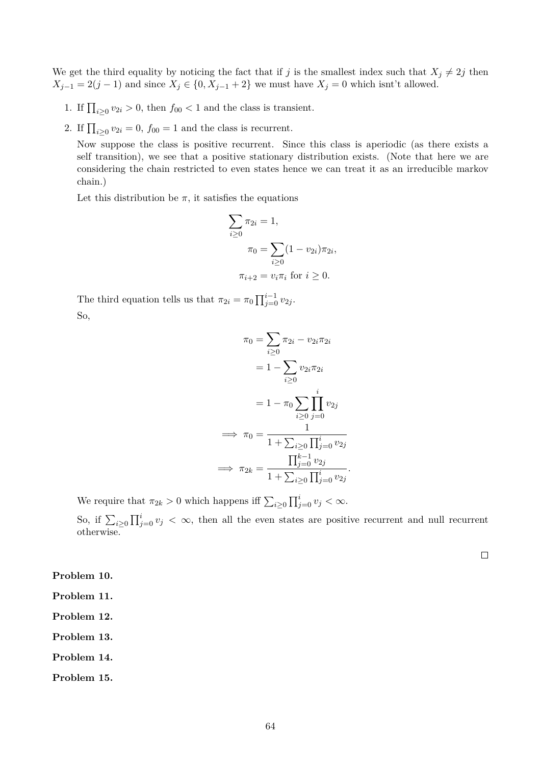We get the third equality by noticing the fact that if j is the smallest index such that  $X_j \neq 2j$  then  $X_{j-1} = 2(j-1)$  and since  $X_j \in \{0, X_{j-1} + 2\}$  we must have  $X_j = 0$  which isnt't allowed.

- 1. If  $\prod_{i\geq 0} v_{2i} > 0$ , then  $f_{00} < 1$  and the class is transient.
- 2. If  $\prod_{i\geq 0} v_{2i} = 0$ ,  $f_{00} = 1$  and the class is recurrent.

Now suppose the class is positive recurrent. Since this class is aperiodic (as there exists a self transition), we see that a positive stationary distribution exists. (Note that here we are considering the chain restricted to even states hence we can treat it as an irreducible markov chain.)

Let this distribution be  $\pi$ , it satisfies the equations

$$
\sum_{i\geq 0} \pi_{2i} = 1,
$$
  
\n
$$
\pi_0 = \sum_{i\geq 0} (1 - v_{2i}) \pi_{2i},
$$
  
\n
$$
\pi_{i+2} = v_i \pi_i \text{ for } i \geq 0.
$$

The third equation tells us that  $\pi_{2i} = \pi_0 \prod_{j=0}^{i-1} v_{2j}$ . So,

$$
\pi_0 = \sum_{i\geq 0} \pi_{2i} - v_{2i}\pi_{2i}
$$

$$
= 1 - \sum_{i\geq 0} v_{2i}\pi_{2i}
$$

$$
= 1 - \pi_0 \sum_{i\geq 0} \prod_{j=0}^i v_{2j}
$$

$$
\implies \pi_0 = \frac{1}{1 + \sum_{i\geq 0} \prod_{j=0}^i v_{2j}}
$$

$$
\implies \pi_{2k} = \frac{\prod_{j=0}^{k-1} v_{2j}}{1 + \sum_{i\geq 0} \prod_{j=0}^i v_{2j}}
$$

.

We require that  $\pi_{2k} > 0$  which happens iff  $\sum_{i \geq 0} \prod_{j=0}^{i} v_j < \infty$ .

So, if  $\sum_{i\geq 0} \prod_{j=0}^i v_j < \infty$ , then all the even states are positive recurrent and null recurrent otherwise.

 $\Box$ 

**Problem 10.**

**Problem 11.**

**Problem 12.**

**Problem 13.**

**Problem 14.**

**Problem 15.**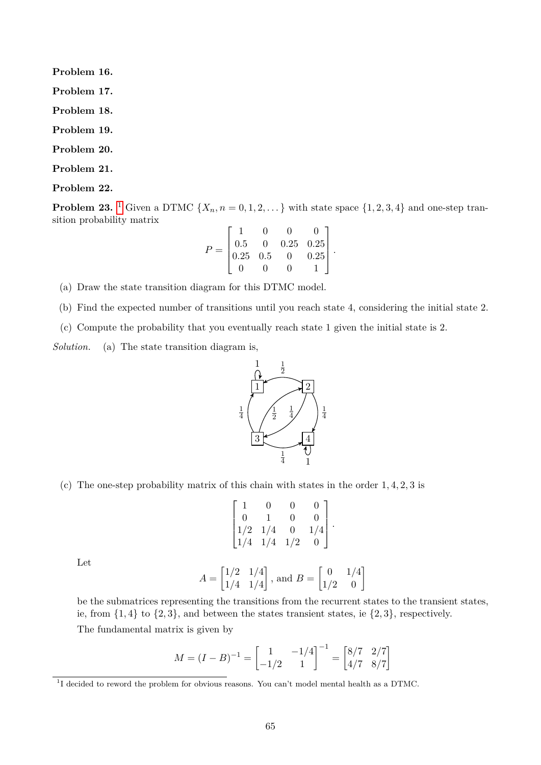**Problem 16. Problem 17. Problem 18. Problem 19. Problem 20.**

**Problem 21.**

**Problem 22.**

**Problem 23.** <sup>[1](#page-64-0)</sup> Given a DTMC  $\{X_n, n = 0, 1, 2, ...\}$  with state space  $\{1, 2, 3, 4\}$  and one-step transition probability matrix

$$
P = \begin{bmatrix} 1 & 0 & 0 & 0 \\ 0.5 & 0 & 0.25 & 0.25 \\ 0.25 & 0.5 & 0 & 0.25 \\ 0 & 0 & 0 & 1 \end{bmatrix}.
$$

(a) Draw the state transition diagram for this DTMC model.

(b) Find the expected number of transitions until you reach state 4, considering the initial state 2.

(c) Compute the probability that you eventually reach state 1 given the initial state is 2.

*Solution.* (a) The state transition diagram is,



(c) The one-step probability matrix of this chain with states in the order 1, 4, 2, 3 is

$$
\begin{bmatrix} 1 & 0 & 0 & 0 \ 0 & 1 & 0 & 0 \ 1/2 & 1/4 & 0 & 1/4 \ 1/4 & 1/4 & 1/2 & 0 \end{bmatrix}.
$$

Let

$$
A = \begin{bmatrix} 1/2 & 1/4 \\ 1/4 & 1/4 \end{bmatrix}, \text{ and } B = \begin{bmatrix} 0 & 1/4 \\ 1/2 & 0 \end{bmatrix}
$$

be the submatrices representing the transitions from the recurrent states to the transient states, ie, from  $\{1,4\}$  to  $\{2,3\}$ , and between the states transient states, ie  $\{2,3\}$ , respectively.

The fundamental matrix is given by

$$
M = (I - B)^{-1} = \begin{bmatrix} 1 & -1/4 \\ -1/2 & 1 \end{bmatrix}^{-1} = \begin{bmatrix} 8/7 & 2/7 \\ 4/7 & 8/7 \end{bmatrix}
$$

<span id="page-64-0"></span><sup>&</sup>lt;sup>1</sup>I decided to reword the problem for obvious reasons. You can't model mental health as a DTMC.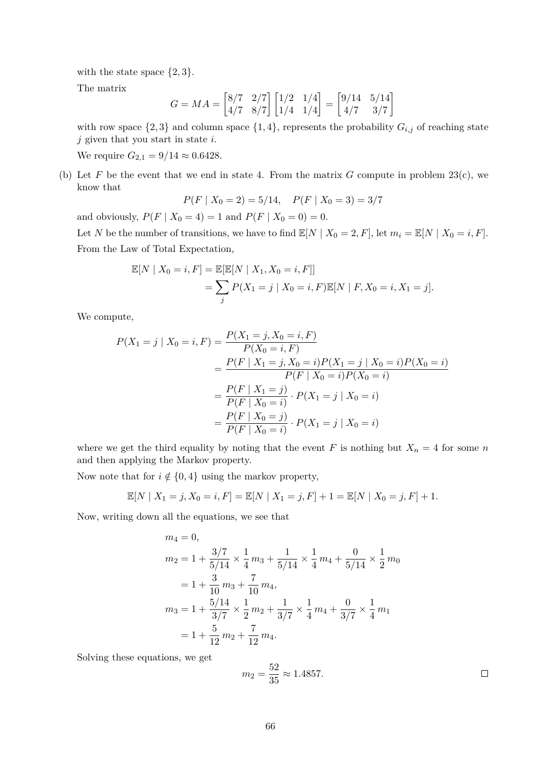with the state space  $\{2,3\}.$ 

The matrix

$$
G = MA = \begin{bmatrix} 8/7 & 2/7 \\ 4/7 & 8/7 \end{bmatrix} \begin{bmatrix} 1/2 & 1/4 \\ 1/4 & 1/4 \end{bmatrix} = \begin{bmatrix} 9/14 & 5/14 \\ 4/7 & 3/7 \end{bmatrix}
$$

with row space  $\{2,3\}$  and column space  $\{1,4\}$ , represents the probability  $G_{i,j}$  of reaching state  $j$  given that you start in state  $i$ .

We require  $G_{2,1} = 9/14 \approx 0.6428$ .

(b) Let F be the event that we end in state 4. From the matrix G compute in problem  $23(c)$ , we know that

$$
P(F \mid X_0 = 2) = 5/14, \quad P(F \mid X_0 = 3) = 3/7
$$

and obviously,  $P(F | X_0 = 4) = 1$  and  $P(F | X_0 = 0) = 0$ .

Let N be the number of transitions, we have to find  $\mathbb{E}[N | X_0 = 2, F]$ , let  $m_i = \mathbb{E}[N | X_0 = i, F]$ . From the Law of Total Expectation,

$$
\mathbb{E}[N \mid X_0 = i, F] = \mathbb{E}[\mathbb{E}[N \mid X_1, X_0 = i, F]]
$$
  
= 
$$
\sum_j P(X_1 = j \mid X_0 = i, F) \mathbb{E}[N \mid F, X_0 = i, X_1 = j].
$$

We compute,

$$
P(X_1 = j | X_0 = i, F) = \frac{P(X_1 = j, X_0 = i, F)}{P(X_0 = i, F)}
$$
  
= 
$$
\frac{P(F | X_1 = j, X_0 = i)P(X_1 = j | X_0 = i)P(X_0 = i)}{P(F | X_0 = i)P(X_0 = i)}
$$
  
= 
$$
\frac{P(F | X_1 = j)}{P(F | X_0 = i)} \cdot P(X_1 = j | X_0 = i)
$$
  
= 
$$
\frac{P(F | X_0 = j)}{P(F | X_0 = i)} \cdot P(X_1 = j | X_0 = i)
$$

where we get the third equality by noting that the event F is nothing but  $X_n = 4$  for some n and then applying the Markov property.

Now note that for  $i \notin \{0, 4\}$  using the markov property,

$$
\mathbb{E}[N \mid X_1 = j, X_0 = i, F] = \mathbb{E}[N \mid X_1 = j, F] + 1 = \mathbb{E}[N \mid X_0 = j, F] + 1.
$$

Now, writing down all the equations, we see that

$$
m_4 = 0,
$$
  
\n
$$
m_2 = 1 + \frac{3/7}{5/14} \times \frac{1}{4} m_3 + \frac{1}{5/14} \times \frac{1}{4} m_4 + \frac{0}{5/14} \times \frac{1}{2} m_0
$$
  
\n
$$
= 1 + \frac{3}{10} m_3 + \frac{7}{10} m_4,
$$
  
\n
$$
m_3 = 1 + \frac{5/14}{3/7} \times \frac{1}{2} m_2 + \frac{1}{3/7} \times \frac{1}{4} m_4 + \frac{0}{3/7} \times \frac{1}{4} m_1
$$
  
\n
$$
= 1 + \frac{5}{12} m_2 + \frac{7}{12} m_4.
$$

Solving these equations, we get

$$
m_2 = \frac{52}{35} \approx 1.4857. \Box
$$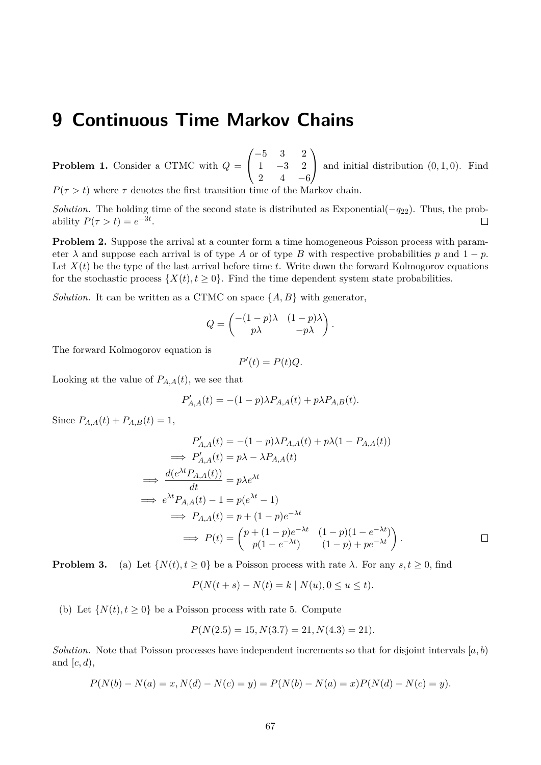# **9 Continuous Time Markov Chains**

**Problem 1.** Consider a CTMC with Q =  $\sqrt{ }$  $\mathcal{L}$ −5 3 2 1 −3 2 2  $4 -6$  $\setminus$ and initial distribution  $(0, 1, 0)$ . Find

 $P(\tau > t)$  where  $\tau$  denotes the first transition time of the Markov chain.

*Solution.* The holding time of the second state is distributed as Exponential( $-q_{22}$ ). Thus, the probability  $P(\tau > t) = e^{-3t}$ .  $\Box$ 

**Problem 2.** Suppose the arrival at a counter form a time homogeneous Poisson process with parameter  $\lambda$  and suppose each arrival is of type A or of type B with respective probabilities p and  $1 - p$ . Let  $X(t)$  be the type of the last arrival before time t. Write down the forward Kolmogorov equations for the stochastic process  $\{X(t), t \geq 0\}$ . Find the time dependent system state probabilities.

*Solution.* It can be written as a CTMC on space  $\{A, B\}$  with generator,

$$
Q = \begin{pmatrix} -(1-p)\lambda & (1-p)\lambda \\ p\lambda & -p\lambda \end{pmatrix}.
$$

The forward Kolmogorov equation is

$$
P'(t) = P(t)Q.
$$

Looking at the value of  $P_{A,A}(t)$ , we see that

$$
P'_{A,A}(t) = -(1-p)\lambda P_{A,A}(t) + p\lambda P_{A,B}(t).
$$

Since  $P_{A,A}(t) + P_{A,B}(t) = 1$ ,

$$
P'_{A,A}(t) = -(1-p)\lambda P_{A,A}(t) + p\lambda(1 - P_{A,A}(t))
$$
  
\n
$$
\implies P'_{A,A}(t) = p\lambda - \lambda P_{A,A}(t)
$$
  
\n
$$
\implies \frac{d(e^{\lambda t}P_{A,A}(t))}{dt} = p\lambda e^{\lambda t}
$$
  
\n
$$
\implies e^{\lambda t}P_{A,A}(t) - 1 = p(e^{\lambda t} - 1)
$$
  
\n
$$
\implies P_{A,A}(t) = p + (1-p)e^{-\lambda t}
$$
  
\n
$$
\implies P(t) = \begin{pmatrix} p + (1-p)e^{-\lambda t} & (1-p)(1 - e^{-\lambda t}) \\ p(1 - e^{-\lambda t}) & (1-p) + pe^{-\lambda t} \end{pmatrix}.
$$

**Problem 3.** (a) Let  $\{N(t), t \ge 0\}$  be a Poisson process with rate  $\lambda$ . For any  $s, t \ge 0$ , find

$$
P(N(t + s) - N(t) = k | N(u), 0 \le u \le t).
$$

(b) Let  $\{N(t), t \geq 0\}$  be a Poisson process with rate 5. Compute

$$
P(N(2.5) = 15, N(3.7) = 21, N(4.3) = 21).
$$

*Solution.* Note that Poisson processes have independent increments so that for disjoint intervals  $[a, b]$ and  $[c, d)$ ,

$$
P(N(b) - N(a) = x, N(d) - N(c) = y) = P(N(b) - N(a) = x)P(N(d) - N(c) = y).
$$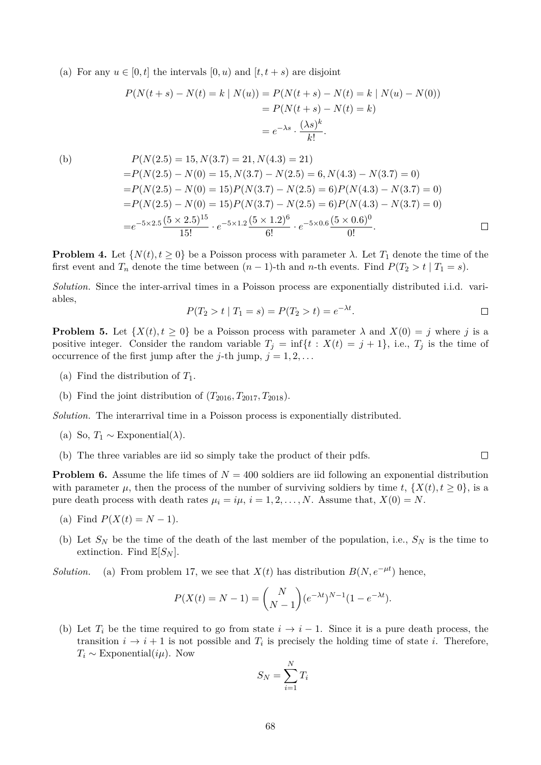(a) For any  $u \in [0, t]$  the intervals  $[0, u)$  and  $[t, t + s]$  are disjoint

$$
P(N(t + s) - N(t) = k | N(u)) = P(N(t + s) - N(t) = k | N(u) - N(0))
$$
  
=  $P(N(t + s) - N(t) = k)$   
=  $e^{-\lambda s} \cdot \frac{(\lambda s)^k}{k!}$ .

(b)  
\n
$$
P(N(2.5) = 15, N(3.7) = 21, N(4.3) = 21)
$$
\n
$$
= P(N(2.5) - N(0) = 15, N(3.7) - N(2.5) = 6, N(4.3) - N(3.7) = 0)
$$
\n
$$
= P(N(2.5) - N(0) = 15)P(N(3.7) - N(2.5) = 6)P(N(4.3) - N(3.7) = 0)
$$
\n
$$
= P(N(2.5) - N(0) = 15)P(N(3.7) - N(2.5) = 6)P(N(4.3) - N(3.7) = 0)
$$
\n
$$
= e^{-5 \times 2.5} \frac{(5 \times 2.5)^{15}}{15!} \cdot e^{-5 \times 1.2} \frac{(5 \times 1.2)^6}{6!} \cdot e^{-5 \times 0.6} \frac{(5 \times 0.6)^0}{0!}.
$$

**Problem 4.** Let  $\{N(t), t \geq 0\}$  be a Poisson process with parameter  $\lambda$ . Let  $T_1$  denote the time of the first event and  $T_n$  denote the time between  $(n-1)$ -th and n-th events. Find  $P(T_2 > t | T_1 = s)$ .

*Solution.* Since the inter-arrival times in a Poisson process are exponentially distributed i.i.d. variables,

$$
P(T_2 > t | T_1 = s) = P(T_2 > t) = e^{-\lambda t}.
$$

 $\Box$ 

**Problem 5.** Let  $\{X(t), t \geq 0\}$  be a Poisson process with parameter  $\lambda$  and  $X(0) = j$  where j is a positive integer. Consider the random variable  $T_j = \inf\{t : X(t) = j + 1\}$ , i.e.,  $T_j$  is the time of occurrence of the first jump after the *j*-th jump,  $j = 1, 2, \ldots$ 

- (a) Find the distribution of  $T_1$ .
- (b) Find the joint distribution of  $(T_{2016}, T_{2017}, T_{2018})$ .

*Solution.* The interarrival time in a Poisson process is exponentially distributed.

- (a) So,  $T_1 \sim \text{Exponential}(\lambda)$ .
- (b) The three variables are iid so simply take the product of their pdfs.

**Problem 6.** Assume the life times of  $N = 400$  soldiers are iid following an exponential distribution with parameter  $\mu$ , then the process of the number of surviving soldiers by time t,  $\{X(t), t \geq 0\}$ , is a pure death process with death rates  $\mu_i = i\mu$ ,  $i = 1, 2, ..., N$ . Assume that,  $X(0) = N$ .

- (a) Find  $P(X(t) = N 1)$ .
- (b) Let  $S_N$  be the time of the death of the last member of the population, i.e.,  $S_N$  is the time to extinction. Find  $\mathbb{E}[S_N]$ .

*Solution.* (a) From problem 17, we see that  $X(t)$  has distribution  $B(N, e^{-\mu t})$  hence,

$$
P(X(t) = N - 1) = {N \choose N-1} (e^{-\lambda t})^{N-1} (1 - e^{-\lambda t}).
$$

(b) Let  $T_i$  be the time required to go from state  $i \to i - 1$ . Since it is a pure death process, the transition  $i \to i+1$  is not possible and  $T_i$  is precisely the holding time of state i. Therefore,  $T_i \sim \text{Exponential}(i\mu)$ . Now

$$
S_N = \sum_{i=1}^N T_i
$$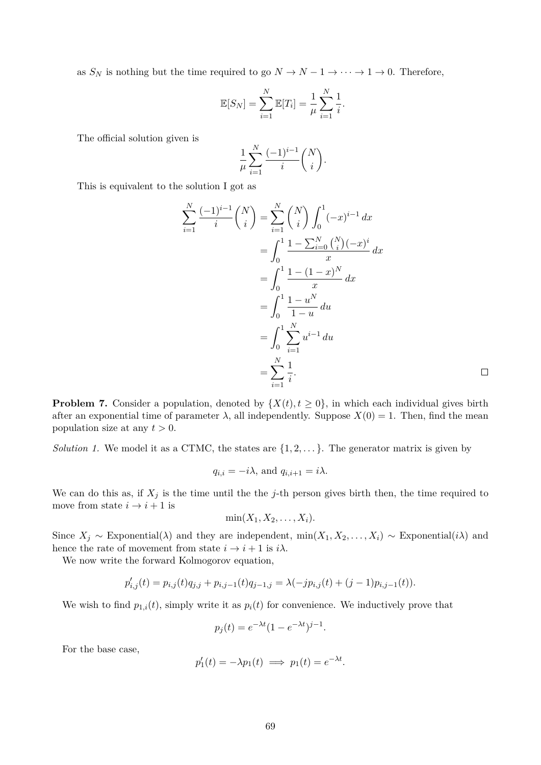as  $S_N$  is nothing but the time required to go  $N \to N-1 \to \cdots \to 1 \to 0$ . Therefore,

$$
\mathbb{E}[S_N] = \sum_{i=1}^N \mathbb{E}[T_i] = \frac{1}{\mu} \sum_{i=1}^N \frac{1}{i}.
$$

The official solution given is

$$
\frac{1}{\mu} \sum_{i=1}^{N} \frac{(-1)^{i-1}}{i} {N \choose i}.
$$

This is equivalent to the solution I got as

$$
\sum_{i=1}^{N} \frac{(-1)^{i-1}}{i} {N \choose i} = \sum_{i=1}^{N} {N \choose i} \int_{0}^{1} (-x)^{i-1} dx
$$
  
= 
$$
\int_{0}^{1} \frac{1 - \sum_{i=0}^{N} {N \choose i} (-x)^{i} }{x} dx
$$
  
= 
$$
\int_{0}^{1} \frac{1 - (1 - x)^{N}}{x} dx
$$
  
= 
$$
\int_{0}^{1} \frac{1 - u^{N}}{1 - u} du
$$
  
= 
$$
\int_{0}^{1} \sum_{i=1}^{N} u^{i-1} du
$$
  
= 
$$
\sum_{i=1}^{N} \frac{1}{i}.
$$

**Problem 7.** Consider a population, denoted by  $\{X(t), t \geq 0\}$ , in which each individual gives birth after an exponential time of parameter  $\lambda$ , all independently. Suppose  $X(0) = 1$ . Then, find the mean population size at any  $t > 0$ .

*Solution 1.* We model it as a CTMC, the states are  $\{1, 2, \ldots\}$ . The generator matrix is given by

$$
q_{i,i} = -i\lambda
$$
, and  $q_{i,i+1} = i\lambda$ .

We can do this as, if  $X_j$  is the time until the the j-th person gives birth then, the time required to move from state  $i \rightarrow i + 1$  is

$$
\min(X_1, X_2, \ldots, X_i).
$$

Since  $X_j \sim \text{Exponential}(\lambda)$  and they are independent, min $(X_1, X_2, \ldots, X_i) \sim \text{Exponential}(i\lambda)$  and hence the rate of movement from state  $i \rightarrow i+1$  is  $i\lambda$ .

We now write the forward Kolmogorov equation,

$$
p'_{i,j}(t) = p_{i,j}(t)q_{j,j} + p_{i,j-1}(t)q_{j-1,j} = \lambda(-jp_{i,j}(t) + (j-1)p_{i,j-1}(t)).
$$

We wish to find  $p_{1,i}(t)$ , simply write it as  $p_i(t)$  for convenience. We inductively prove that

$$
p_j(t) = e^{-\lambda t} (1 - e^{-\lambda t})^{j-1}.
$$

For the base case,

$$
p'_1(t) = -\lambda p_1(t) \implies p_1(t) = e^{-\lambda t}.
$$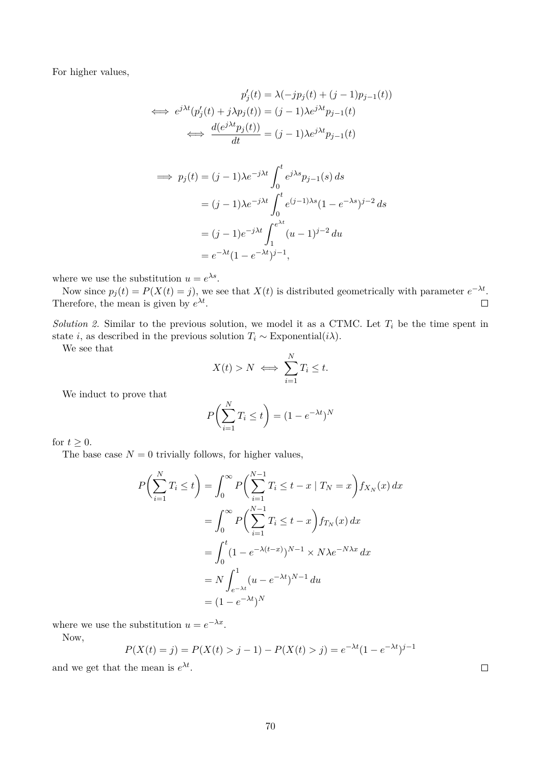For higher values,

$$
p'_j(t) = \lambda(-jp_j(t) + (j-1)p_{j-1}(t))
$$
  
\n
$$
\iff e^{j\lambda t}(p'_j(t) + j\lambda p_j(t)) = (j-1)\lambda e^{j\lambda t}p_{j-1}(t)
$$
  
\n
$$
\iff \frac{d(e^{j\lambda t}p_j(t))}{dt} = (j-1)\lambda e^{j\lambda t}p_{j-1}(t)
$$

$$
\implies p_j(t) = (j-1)\lambda e^{-j\lambda t} \int_0^t e^{j\lambda s} p_{j-1}(s) ds
$$
  

$$
= (j-1)\lambda e^{-j\lambda t} \int_0^t e^{(j-1)\lambda s} (1 - e^{-\lambda s})^{j-2} ds
$$
  

$$
= (j-1)e^{-j\lambda t} \int_1^{e^{\lambda t}} (u-1)^{j-2} du
$$
  

$$
= e^{-\lambda t} (1 - e^{-\lambda t})^{j-1},
$$

where we use the substitution  $u = e^{\lambda s}$ .

Now since  $p_j(t) = P(X(t) = j)$ , we see that  $X(t)$  is distributed geometrically with parameter  $e^{-\lambda t}$ . Therefore, the mean is given by  $e^{\lambda t}$ .  $\Box$ 

*Solution 2.* Similar to the previous solution, we model it as a CTMC. Let  $T_i$  be the time spent in state *i*, as described in the previous solution  $T_i \sim \text{Exponential}(i\lambda)$ .

We see that

$$
X(t) > N \iff \sum_{i=1}^{N} T_i \leq t.
$$

We induct to prove that

$$
P\left(\sum_{i=1}^{N} T_i \le t\right) = (1 - e^{-\lambda t})^N
$$

for  $t \geq 0$ .

The base case  $N = 0$  trivially follows, for higher values,

$$
P\left(\sum_{i=1}^{N} T_i \le t\right) = \int_0^\infty P\left(\sum_{i=1}^{N-1} T_i \le t - x \mid T_N = x\right) f_{X_N}(x) dx
$$
  

$$
= \int_0^\infty P\left(\sum_{i=1}^{N-1} T_i \le t - x\right) f_{T_N}(x) dx
$$
  

$$
= \int_0^t (1 - e^{-\lambda(t-x)})^{N-1} \times N\lambda e^{-N\lambda x} dx
$$
  

$$
= N \int_{e^{-\lambda t}}^1 (u - e^{-\lambda t})^{N-1} du
$$
  

$$
= (1 - e^{-\lambda t})^N
$$

where we use the substitution  $u = e^{-\lambda x}$ .

Now,

$$
P(X(t) = j) = P(X(t) > j - 1) - P(X(t) > j) = e^{-\lambda t} (1 - e^{-\lambda t})^{j - 1}
$$

and we get that the mean is  $e^{\lambda t}$ .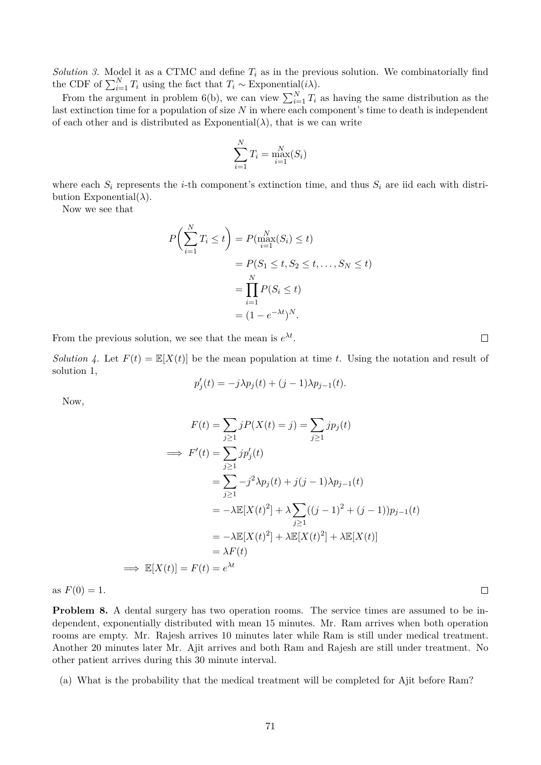*Solution 3.* Model it as a CTMC and define  $T_i$  as in the previous solution. We combinatorially find the CDF of  $\sum_{i=1}^{N} T_i$  using the fact that  $T_i \sim \text{Exponential}(i\lambda)$ .

From the argument in problem 6(b), we can view  $\sum_{i=1}^{N} T_i$  as having the same distribution as the last extinction time for a population of size  $N$  in where each component's time to death is independent of each other and is distributed as  $\text{Exponential}(\lambda)$ , that is we can write

$$
\sum_{i=1}^{N} T_i = \max_{i=1}^{N} (S_i)
$$

where each  $S_i$  represents the *i*-th component's extinction time, and thus  $S_i$  are iid each with distribution Exponential( $\lambda$ ).

Now we see that

$$
P\left(\sum_{i=1}^{N} T_i \le t\right) = P(\max_{i=1}^{N} (S_i) \le t)
$$
  
=  $P(S_1 \le t, S_2 \le t, \dots, S_N \le t)$   
=  $\prod_{i=1}^{N} P(S_i \le t)$   
=  $(1 - e^{-\lambda t})^N$ .

From the previous solution, we see that the mean is  $e^{\lambda t}$ .

*Solution 4.* Let  $F(t) = \mathbb{E}[X(t)]$  be the mean population at time t. Using the notation and result of solution 1,

$$
p'_{j}(t) = -j\lambda p_{j}(t) + (j-1)\lambda p_{j-1}(t).
$$

Now,

$$
F(t) = \sum_{j\geq 1} jP(X(t) = j) = \sum_{j\geq 1} jp_j(t)
$$
  
\n
$$
\implies F'(t) = \sum_{j\geq 1} jp_j'(t)
$$
  
\n
$$
= \sum_{j\geq 1} -j^2 \lambda p_j(t) + j(j-1)\lambda p_{j-1}(t)
$$
  
\n
$$
= -\lambda \mathbb{E}[X(t)^2] + \lambda \sum_{j\geq 1} ((j-1)^2 + (j-1))p_{j-1}(t)
$$
  
\n
$$
= -\lambda \mathbb{E}[X(t)^2] + \lambda \mathbb{E}[X(t)^2] + \lambda \mathbb{E}[X(t)]
$$
  
\n
$$
= \lambda F(t)
$$
  
\n
$$
\implies \mathbb{E}[X(t)] = F(t) = e^{\lambda t}
$$

as  $F(0) = 1$ .

**Problem 8.** A dental surgery has two operation rooms. The service times are assumed to be independent, exponentially distributed with mean 15 minutes. Mr. Ram arrives when both operation rooms are empty. Mr. Rajesh arrives 10 minutes later while Ram is still under medical treatment. Another 20 minutes later Mr. Ajit arrives and both Ram and Rajesh are still under treatment. No other patient arrives during this 30 minute interval.

(a) What is the probability that the medical treatment will be completed for Ajit before Ram?

 $\Box$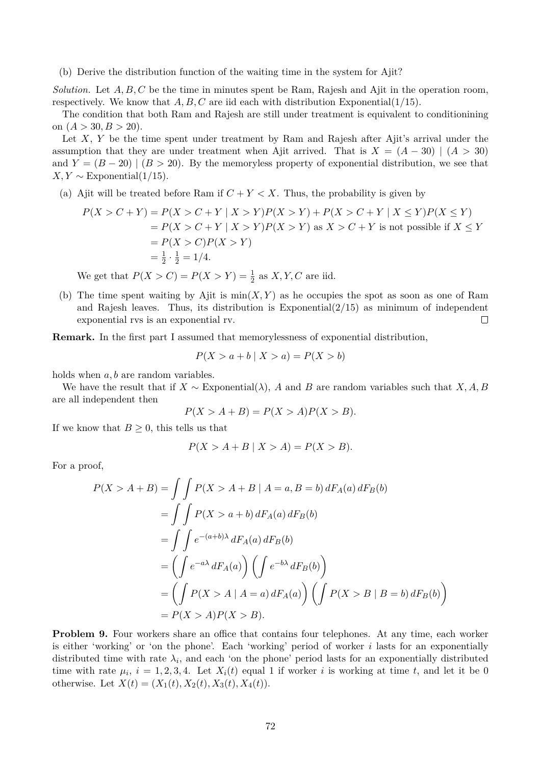(b) Derive the distribution function of the waiting time in the system for Ajit?

*Solution.* Let  $A, B, C$  be the time in minutes spent be Ram, Rajesh and Ajit in the operation room, respectively. We know that  $A, B, C$  are iid each with distribution Exponential(1/15).

The condition that both Ram and Rajesh are still under treatment is equivalent to conditionining on  $(A > 30, B > 20)$ .

Let X, Y be the time spent under treatment by Ram and Rajesh after Ajit's arrival under the assumption that they are under treatment when Ajit arrived. That is  $X = (A - 30) \mid (A > 30)$ and  $Y = (B - 20)$  |  $(B > 20)$ . By the memoryless property of exponential distribution, we see that  $X, Y \sim$  Exponential(1/15).

(a) Ajit will be treated before Ram if  $C + Y < X$ . Thus, the probability is given by

$$
P(X > C + Y) = P(X > C + Y | X > Y)P(X > Y) + P(X > C + Y | X \le Y)P(X \le Y)
$$
  
=  $P(X > C + Y | X > Y)P(X > Y)$  as  $X > C + Y$  is not possible if  $X \le Y$   
=  $P(X > C)P(X > Y)$   
=  $\frac{1}{2} \cdot \frac{1}{2} = 1/4$ .

We get that  $P(X > C) = P(X > Y) = \frac{1}{2}$  as  $X, Y, C$  are iid.

(b) The time spent waiting by Ajit is  $min(X, Y)$  as he occupies the spot as soon as one of Ram and Rajesh leaves. Thus, its distribution is Exponential $(2/15)$  as minimum of independent exponential rvs is an exponential rv.  $\Box$ 

**Remark.** In the first part I assumed that memorylessness of exponential distribution,

$$
P(X > a + b | X > a) = P(X > b)
$$

holds when  $a, b$  are random variables.

We have the result that if  $X \sim$  Exponential( $\lambda$ ), A and B are random variables such that X, A, B are all independent then

$$
P(X > A + B) = P(X > A)P(X > B).
$$

If we know that  $B \geq 0$ , this tells us that

$$
P(X > A + B \mid X > A) = P(X > B).
$$

For a proof,

$$
P(X > A + B) = \int \int P(X > A + B | A = a, B = b) dF_A(a) dF_B(b)
$$
  
= 
$$
\int \int P(X > a + b) dF_A(a) dF_B(b)
$$
  
= 
$$
\int \int e^{-(a+b)\lambda} dF_A(a) dF_B(b)
$$
  
= 
$$
\left( \int e^{-a\lambda} dF_A(a) \right) \left( \int e^{-b\lambda} dF_B(b) \right)
$$
  
= 
$$
\left( \int P(X > A | A = a) dF_A(a) \right) \left( \int P(X > B | B = b) dF_B(b) \right)
$$
  
= 
$$
P(X > A)P(X > B).
$$

**Problem 9.** Four workers share an office that contains four telephones. At any time, each worker is either 'working' or 'on the phone'. Each 'working' period of worker  $i$  lasts for an exponentially distributed time with rate  $\lambda_i$ , and each 'on the phone' period lasts for an exponentially distributed time with rate  $\mu_i$ ,  $i = 1, 2, 3, 4$ . Let  $X_i(t)$  equal 1 if worker i is working at time t, and let it be 0 otherwise. Let  $X(t) = (X_1(t), X_2(t), X_3(t), X_4(t)).$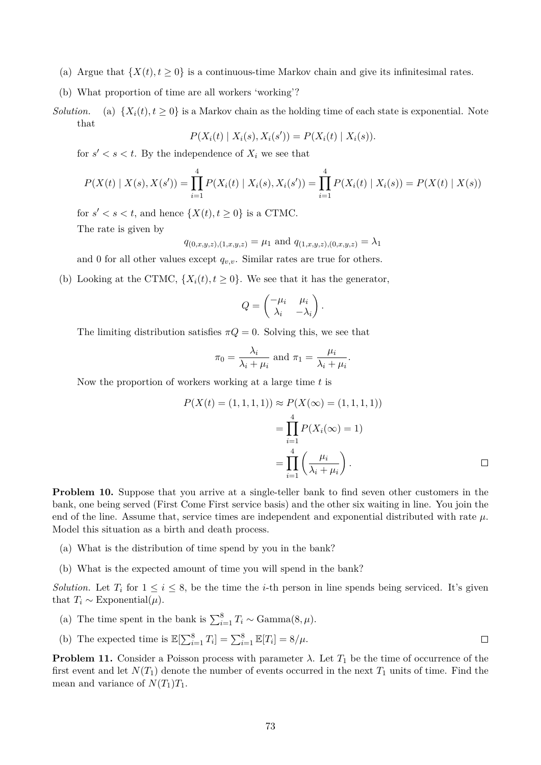- (a) Argue that  $\{X(t), t \geq 0\}$  is a continuous-time Markov chain and give its infinitesimal rates.
- (b) What proportion of time are all workers 'working'?
- *Solution.* (a)  $\{X_i(t), t \geq 0\}$  is a Markov chain as the holding time of each state is exponential. Note that

$$
P(X_i(t) | X_i(s), X_i(s')) = P(X_i(t) | X_i(s)).
$$

for  $s' < s < t$ . By the independence of  $X_i$  we see that

$$
P(X(t) | X(s), X(s')) = \prod_{i=1}^{4} P(X_i(t) | X_i(s), X_i(s')) = \prod_{i=1}^{4} P(X_i(t) | X_i(s)) = P(X(t) | X(s))
$$

for  $s' < s < t$ , and hence  $\{X(t), t \geq 0\}$  is a CTMC. The rate is given by

$$
q_{(0,x,y,z),(1,x,y,z)} = \mu_1
$$
 and  $q_{(1,x,y,z),(0,x,y,z)} = \lambda_1$ 

and 0 for all other values except  $q_{v,v}$ . Similar rates are true for others.

(b) Looking at the CTMC,  $\{X_i(t), t \geq 0\}$ . We see that it has the generator,

$$
Q = \begin{pmatrix} -\mu_i & \mu_i \\ \lambda_i & -\lambda_i \end{pmatrix}
$$

The limiting distribution satisfies  $\pi Q = 0$ . Solving this, we see that

$$
\pi_0 = \frac{\lambda_i}{\lambda_i + \mu_i} \text{ and } \pi_1 = \frac{\mu_i}{\lambda_i + \mu_i}.
$$

Now the proportion of workers working at a large time  $t$  is

$$
P(X(t) = (1, 1, 1, 1)) \approx P(X(\infty) = (1, 1, 1, 1))
$$
  
= 
$$
\prod_{i=1}^{4} P(X_i(\infty) = 1)
$$
  
= 
$$
\prod_{i=1}^{4} \left(\frac{\mu_i}{\lambda_i + \mu_i}\right).
$$

.

**Problem 10.** Suppose that you arrive at a single-teller bank to find seven other customers in the bank, one being served (First Come First service basis) and the other six waiting in line. You join the end of the line. Assume that, service times are independent and exponential distributed with rate  $\mu$ . Model this situation as a birth and death process.

- (a) What is the distribution of time spend by you in the bank?
- (b) What is the expected amount of time you will spend in the bank?

*Solution.* Let  $T_i$  for  $1 \leq i \leq 8$ , be the time the *i*-th person in line spends being serviced. It's given that  $T_i \sim \text{Exponential}(\mu)$ .

- (a) The time spent in the bank is  $\sum_{i=1}^{8} T_i \sim \text{Gamma}(8, \mu)$ .
- (b) The expected time is  $\mathbb{E}[\sum_{i=1}^{8} T_i] = \sum_{i=1}^{8} \mathbb{E}[T_i] = 8/\mu$ .  $\Box$

**Problem 11.** Consider a Poisson process with parameter  $\lambda$ . Let  $T_1$  be the time of occurrence of the first event and let  $N(T_1)$  denote the number of events occurred in the next  $T_1$  units of time. Find the mean and variance of  $N(T_1)T_1$ .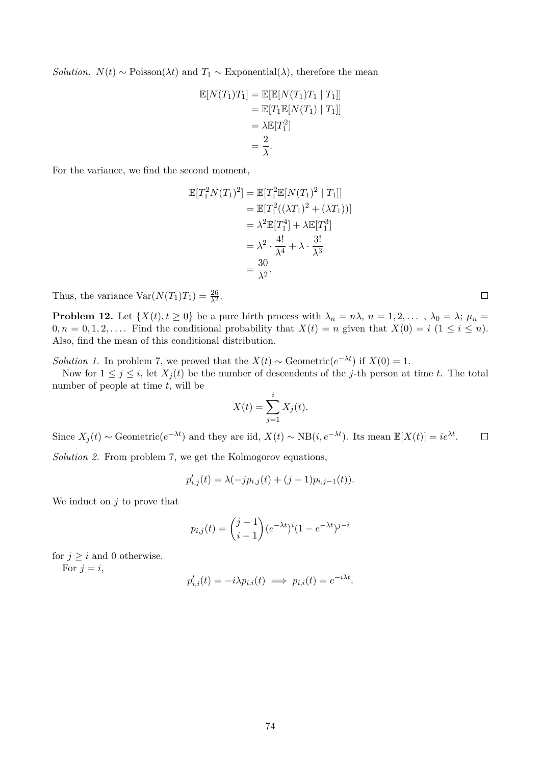*Solution.*  $N(t) \sim \text{Poisson}(\lambda t)$  and  $T_1 \sim \text{Exponential}(\lambda)$ , therefore the mean

$$
\mathbb{E}[N(T_1)T_1] = \mathbb{E}[\mathbb{E}[N(T_1)T_1 | T_1]]
$$
  
=  $\mathbb{E}[T_1\mathbb{E}[N(T_1) | T_1]]$   
=  $\lambda \mathbb{E}[T_1^2]$   
=  $\frac{2}{\lambda}$ .

For the variance, we find the second moment,

$$
\mathbb{E}[T_1^2 N(T_1)^2] = \mathbb{E}[T_1^2 \mathbb{E}[N(T_1)^2 | T_1]]
$$
  
=  $\mathbb{E}[T_1^2((\lambda T_1)^2 + (\lambda T_1))]$   
=  $\lambda^2 \mathbb{E}[T_1^4] + \lambda \mathbb{E}[T_1^3]$   
=  $\lambda^2 \cdot \frac{4!}{\lambda^4} + \lambda \cdot \frac{3!}{\lambda^3}$   
=  $\frac{30}{\lambda^2}$ .

Thus, the variance  $Var(N(T_1)T_1) = \frac{26}{\lambda^2}$ .

**Problem 12.** Let  $\{X(t), t \geq 0\}$  be a pure birth process with  $\lambda_n = n\lambda$ ,  $n = 1, 2, \ldots$ ,  $\lambda_0 = \lambda$ ;  $\mu_n =$  $0, n = 0, 1, 2, \ldots$  Find the conditional probability that  $X(t) = n$  given that  $X(0) = i \ (1 \leq i \leq n)$ . Also, find the mean of this conditional distribution.

*Solution 1.* In problem 7, we proved that the  $X(t) \sim$  Geometric $(e^{-\lambda t})$  if  $X(0) = 1$ .

Now for  $1 \leq j \leq i$ , let  $X_i(t)$  be the number of descendents of the j-th person at time t. The total number of people at time  $t$ , will be

$$
X(t) = \sum_{j=1}^{i} X_j(t).
$$

Since  $X_j(t) \sim \text{Geometric}(e^{-\lambda t})$  and they are iid,  $X(t) \sim NB(i, e^{-\lambda t})$ . Its mean  $\mathbb{E}[X(t)] = ie^{\lambda t}$ .  $\Box$ *Solution 2.* From problem 7, we get the Kolmogorov equations,

$$
p'_{i,j}(t) = \lambda(-jp_{i,j}(t) + (j-1)p_{i,j-1}(t)).
$$

We induct on  $j$  to prove that

$$
p_{i,j}(t) = \binom{j-1}{i-1} (e^{-\lambda t})^i (1 - e^{-\lambda t})^{j-i}
$$

for  $j \geq i$  and 0 otherwise. For  $j = i$ ,

$$
p'_{i,i}(t) = -i\lambda p_{i,i}(t) \implies p_{i,i}(t) = e^{-i\lambda t}.
$$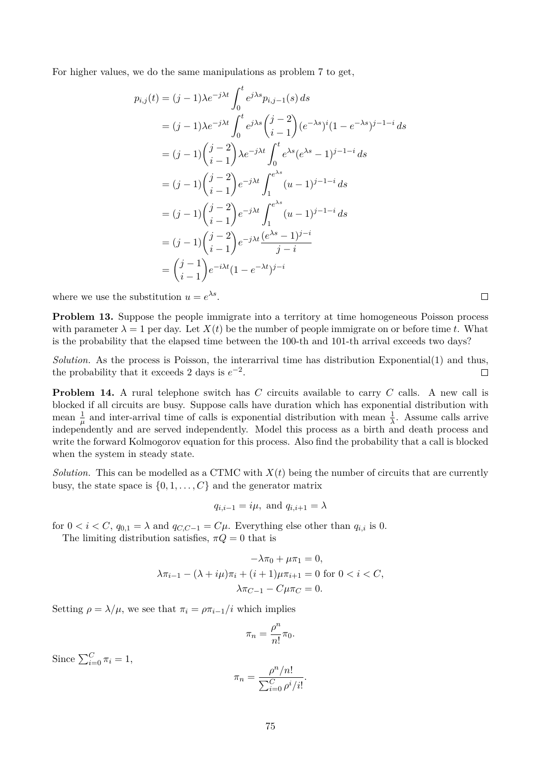For higher values, we do the same manipulations as problem 7 to get,

$$
p_{i,j}(t) = (j-1)\lambda e^{-j\lambda t} \int_0^t e^{j\lambda s} p_{i,j-1}(s) ds
$$
  
\n
$$
= (j-1)\lambda e^{-j\lambda t} \int_0^t e^{j\lambda s} {j-2 \choose i-1} (e^{-\lambda s})^i (1 - e^{-\lambda s})^{j-1-i} ds
$$
  
\n
$$
= (j-1) {j-2 \choose i-1} \lambda e^{-j\lambda t} \int_0^t e^{\lambda s} (e^{\lambda s} - 1)^{j-1-i} ds
$$
  
\n
$$
= (j-1) {j-2 \choose i-1} e^{-j\lambda t} \int_1^{e^{\lambda s}} (u-1)^{j-1-i} ds
$$
  
\n
$$
= (j-1) {j-2 \choose i-1} e^{-j\lambda t} \int_1^{e^{\lambda s}} (u-1)^{j-1-i} ds
$$
  
\n
$$
= (j-1) {j-2 \choose i-1} e^{-j\lambda t} \frac{(e^{\lambda s} - 1)^{j-i}}{j-i}
$$
  
\n
$$
= {j-1 \choose i-1} e^{-i\lambda t} (1 - e^{-\lambda t})^{j-i}
$$

where we use the substitution  $u = e^{\lambda s}$ .

**Problem 13.** Suppose the people immigrate into a territory at time homogeneous Poisson process with parameter  $\lambda = 1$  per day. Let  $X(t)$  be the number of people immigrate on or before time t. What is the probability that the elapsed time between the 100-th and 101-th arrival exceeds two days?

*Solution.* As the process is Poisson, the interarrival time has distribution Exponential(1) and thus, the probability that it exceeds 2 days is  $e^{-2}$ .  $\Box$ 

**Problem 14.** A rural telephone switch has C circuits available to carry C calls. A new call is blocked if all circuits are busy. Suppose calls have duration which has exponential distribution with mean  $\frac{1}{\mu}$  and inter-arrival time of calls is exponential distribution with mean  $\frac{1}{\lambda}$ . Assume calls arrive independently and are served independently. Model this process as a birth and death process and write the forward Kolmogorov equation for this process. Also find the probability that a call is blocked when the system in steady state.

*Solution.* This can be modelled as a CTMC with  $X(t)$  being the number of circuits that are currently busy, the state space is  $\{0, 1, \ldots, C\}$  and the generator matrix

$$
q_{i,i-1} = i\mu, \text{ and } q_{i,i+1} = \lambda
$$

for  $0 < i < C$ ,  $q_{0,1} = \lambda$  and  $q_{C,C-1} = C\mu$ . Everything else other than  $q_{i,i}$  is 0.

The limiting distribution satisfies,  $\pi Q = 0$  that is

$$
-\lambda \pi_0 + \mu \pi_1 = 0,
$$
  

$$
\lambda \pi_{i-1} - (\lambda + i\mu)\pi_i + (i+1)\mu \pi_{i+1} = 0 \text{ for } 0 < i < C,
$$
  

$$
\lambda \pi_{C-1} - C\mu \pi_C = 0.
$$

Setting  $\rho = \lambda/\mu$ , we see that  $\pi_i = \rho \pi_{i-1}/i$  which implies

$$
\pi_n = \frac{\rho^n}{n!} \pi_0.
$$

Since  $\sum_{i=0}^{C} \pi_i = 1$ ,

$$
\pi_n = \frac{\rho^n/n!}{\sum_{i=0}^C \rho^i/i!}.
$$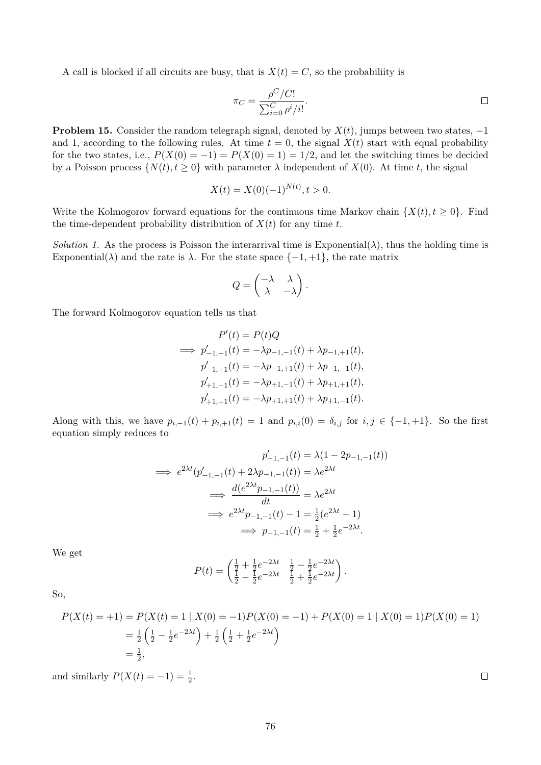A call is blocked if all circuits are busy, that is  $X(t) = C$ , so the probabiliity is

$$
\pi_C = \frac{\rho^C / C!}{\sum_{i=0}^C \rho^i / i!}.
$$

**Problem 15.** Consider the random telegraph signal, denoted by  $X(t)$ , jumps between two states,  $-1$ and 1, according to the following rules. At time  $t = 0$ , the signal  $X(t)$  start with equal probability for the two states, i.e.,  $P(X(0) = -1) = P(X(0) = 1) = 1/2$ , and let the switching times be decided by a Poisson process  $\{N(t), t \geq 0\}$  with parameter  $\lambda$  independent of  $X(0)$ . At time t, the signal

$$
X(t) = X(0)(-1)^{N(t)}, t > 0.
$$

Write the Kolmogorov forward equations for the continuous time Markov chain  $\{X(t), t \geq 0\}$ . Find the time-dependent probability distribution of  $X(t)$  for any time t.

*Solution 1.* As the process is Poisson the interarrival time is Exponential( $\lambda$ ), thus the holding time is Exponential( $\lambda$ ) and the rate is  $\lambda$ . For the state space  $\{-1, +1\}$ , the rate matrix

$$
Q = \begin{pmatrix} -\lambda & \lambda \\ \lambda & -\lambda \end{pmatrix}.
$$

The forward Kolmogorov equation tells us that

$$
P'(t) = P(t)Q
$$
  
\n
$$
\implies p'_{-1,-1}(t) = -\lambda p_{-1,-1}(t) + \lambda p_{-1,+1}(t),
$$
  
\n
$$
p'_{-1,+1}(t) = -\lambda p_{-1,+1}(t) + \lambda p_{-1,-1}(t),
$$
  
\n
$$
p'_{+1,-1}(t) = -\lambda p_{+1,-1}(t) + \lambda p_{+1,+1}(t),
$$
  
\n
$$
p'_{+1,+1}(t) = -\lambda p_{+1,+1}(t) + \lambda p_{+1,-1}(t).
$$

Along with this, we have  $p_{i,-1}(t) + p_{i,+1}(t) = 1$  and  $p_{i,i}(0) = \delta_{i,j}$  for  $i, j \in \{-1, +1\}$ . So the first equation simply reduces to

$$
p'_{-1,-1}(t) = \lambda(1 - 2p_{-1,-1}(t))
$$
  
\n
$$
\implies e^{2\lambda t}(p'_{-1,-1}(t) + 2\lambda p_{-1,-1}(t)) = \lambda e^{2\lambda t}
$$
  
\n
$$
\implies \frac{d(e^{2\lambda t}p_{-1,-1}(t))}{dt} = \lambda e^{2\lambda t}
$$
  
\n
$$
\implies e^{2\lambda t}p_{-1,-1}(t) - 1 = \frac{1}{2}(e^{2\lambda t} - 1)
$$
  
\n
$$
\implies p_{-1,-1}(t) = \frac{1}{2} + \frac{1}{2}e^{-2\lambda t}.
$$

We get

$$
P(t) = \begin{pmatrix} \frac{1}{2} + \frac{1}{2}e^{-2\lambda t} & \frac{1}{2} - \frac{1}{2}e^{-2\lambda t} \\ \frac{1}{2} - \frac{1}{2}e^{-2\lambda t} & \frac{1}{2} + \frac{1}{2}e^{-2\lambda t} \end{pmatrix}.
$$

So,

$$
P(X(t) = +1) = P(X(t) = 1 | X(0) = -1)P(X(0) = -1) + P(X(0) = 1 | X(0) = 1)P(X(0) = 1)
$$
  
=  $\frac{1}{2} \left( \frac{1}{2} - \frac{1}{2} e^{-2\lambda t} \right) + \frac{1}{2} \left( \frac{1}{2} + \frac{1}{2} e^{-2\lambda t} \right)$   
=  $\frac{1}{2}$ ,

and similarly  $P(X(t) = -1) = \frac{1}{2}$ .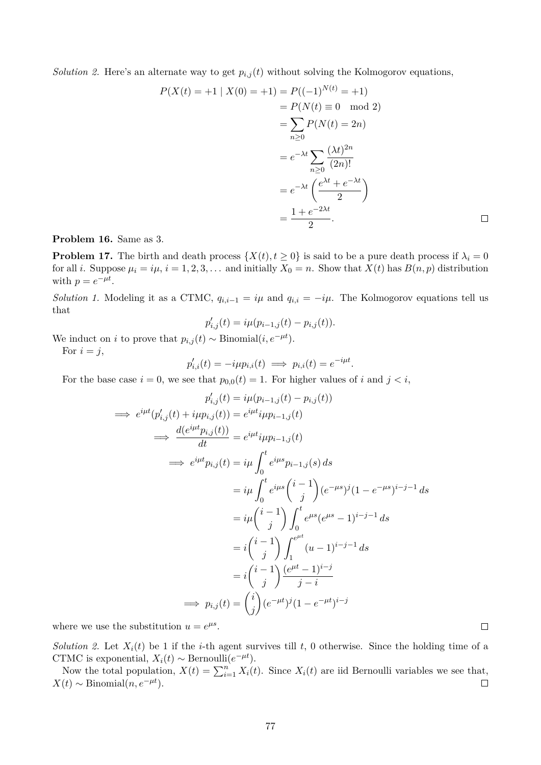*Solution 2.* Here's an alternate way to get  $p_{i,j}(t)$  without solving the Kolmogorov equations,

$$
P(X(t) = +1 | X(0) = +1) = P((-1)^{N(t)} = +1)
$$
  
= 
$$
P(N(t) \equiv 0 \mod 2)
$$
  
= 
$$
\sum_{n\geq 0} P(N(t) = 2n)
$$
  
= 
$$
e^{-\lambda t} \sum_{n\geq 0} \frac{(\lambda t)^{2n}}{(2n)!}
$$
  
= 
$$
e^{-\lambda t} \left(\frac{e^{\lambda t} + e^{-\lambda t}}{2}\right)
$$
  
= 
$$
\frac{1 + e^{-2\lambda t}}{2}.
$$

**Problem 16.** Same as 3.

**Problem 17.** The birth and death process  $\{X(t), t \geq 0\}$  is said to be a pure death process if  $\lambda_i = 0$ for all i. Suppose  $\mu_i = i\mu$ ,  $i = 1, 2, 3, \ldots$  and initially  $X_0 = n$ . Show that  $X(t)$  has  $B(n, p)$  distribution with  $p = e^{-\mu t}$ .

*Solution 1.* Modeling it as a CTMC,  $q_{i,i-1} = i\mu$  and  $q_{i,i} = -i\mu$ . The Kolmogorov equations tell us that

$$
p'_{i,j}(t) = i\mu(p_{i-1,j}(t) - p_{i,j}(t)).
$$

We induct on *i* to prove that  $p_{i,j}(t) \sim \text{Binomial}(i, e^{-\mu t}).$ 

For  $i = j$ ,

$$
p'_{i,i}(t) = -i\mu p_{i,i}(t) \implies p_{i,i}(t) = e^{-i\mu t}.
$$

For the base case  $i = 0$ , we see that  $p_{0,0}(t) = 1$ . For higher values of i and  $j < i$ ,

$$
p'_{i,j}(t) = i\mu(p_{i-1,j}(t) - p_{i,j}(t))
$$
  
\n
$$
\implies e^{i\mu t}(p'_{i,j}(t) + i\mu p_{i,j}(t)) = e^{i\mu t}i\mu p_{i-1,j}(t)
$$
  
\n
$$
\implies \frac{d(e^{i\mu t}p_{i,j}(t))}{dt} = e^{i\mu t}i\mu p_{i-1,j}(t)
$$
  
\n
$$
\implies e^{i\mu t}p_{i,j}(t) = i\mu \int_0^t e^{i\mu s}p_{i-1,j}(s) ds
$$
  
\n
$$
= i\mu \int_0^t e^{i\mu s} {i-1 \choose j} (e^{-\mu s})^j (1 - e^{-\mu s})^{i-j-1} ds
$$
  
\n
$$
= i\mu {i-1 \choose j} \int_0^t e^{\mu s} (e^{\mu s} - 1)^{i-j-1} ds
$$
  
\n
$$
= i {i-1 \choose j} \int_1^{e^{\mu t}} (u-1)^{i-j-1} ds
$$
  
\n
$$
= i {i-1 \choose j} \frac{(e^{\mu t} - 1)^{i-j}}{j-i}
$$
  
\n
$$
\implies p_{i,j}(t) = {i \choose j} (e^{-\mu t})^j (1 - e^{-\mu t})^{i-j}
$$

where we use the substitution  $u = e^{\mu s}$ .

*Solution 2.* Let  $X_i(t)$  be 1 if the *i*-th agent survives till t, 0 otherwise. Since the holding time of a CTMC is exponential,  $X_i(t) \sim \text{Bernoulli}(e^{-\mu t}).$ 

Now the total population,  $X(t) = \sum_{i=1}^{n} X_i(t)$ . Since  $X_i(t)$  are iid Bernoulli variables we see that,  $X(t) \sim \text{Binomial}(n, e^{-\mu t}).$  $\Box$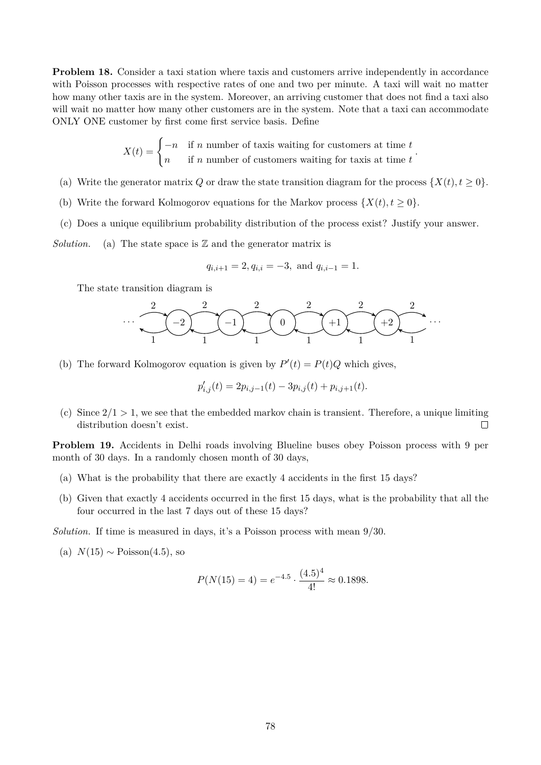**Problem 18.** Consider a taxi station where taxis and customers arrive independently in accordance with Poisson processes with respective rates of one and two per minute. A taxi will wait no matter how many other taxis are in the system. Moreover, an arriving customer that does not find a taxi also will wait no matter how many other customers are in the system. Note that a taxi can accommodate ONLY ONE customer by first come first service basis. Define

$$
X(t) = \begin{cases} -n & \text{if } n \text{ number of taxis waiting for customers at time } t \\ n & \text{if } n \text{ number of customers waiting for taxis at time } t \end{cases}.
$$

- (a) Write the generator matrix Q or draw the state transition diagram for the process  $\{X(t), t \geq 0\}$ .
- (b) Write the forward Kolmogorov equations for the Markov process  $\{X(t), t \geq 0\}$ .
- (c) Does a unique equilibrium probability distribution of the process exist? Justify your answer.

*Solution.* (a) The state space is  $\mathbb{Z}$  and the generator matrix is

$$
q_{i,i+1} = 2, q_{i,i} = -3
$$
, and  $q_{i,i-1} = 1$ .

The state transition diagram is



(b) The forward Kolmogorov equation is given by  $P'(t) = P(t)Q$  which gives,

$$
p'_{i,j}(t) = 2p_{i,j-1}(t) - 3p_{i,j}(t) + p_{i,j+1}(t).
$$

(c) Since  $2/1 > 1$ , we see that the embedded markov chain is transient. Therefore, a unique limiting distribution doesn't exist.  $\Box$ 

**Problem 19.** Accidents in Delhi roads involving Blueline buses obey Poisson process with 9 per month of 30 days. In a randomly chosen month of 30 days,

- (a) What is the probability that there are exactly 4 accidents in the first 15 days?
- (b) Given that exactly 4 accidents occurred in the first 15 days, what is the probability that all the four occurred in the last 7 days out of these 15 days?

*Solution.* If time is measured in days, it's a Poisson process with mean 9/30.

(a)  $N(15) \sim \text{Poisson}(4.5)$ , so

$$
P(N(15) = 4) = e^{-4.5} \cdot \frac{(4.5)^4}{4!} \approx 0.1898.
$$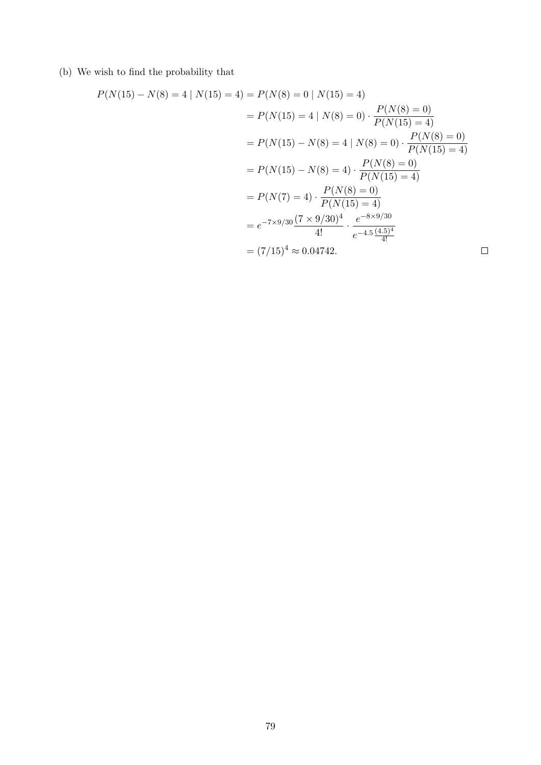(b) We wish to find the probability that

$$
P(N(15) - N(8) = 4 | N(15) = 4) = P(N(8) = 0 | N(15) = 4)
$$
  
=  $P(N(15) = 4 | N(8) = 0) \cdot \frac{P(N(8) = 0)}{P(N(15) = 4)}$   
=  $P(N(15) - N(8) = 4 | N(8) = 0) \cdot \frac{P(N(8) = 0)}{P(N(15) = 4)}$   
=  $P(N(15) - N(8) = 4) \cdot \frac{P(N(8) = 0)}{P(N(15) = 4)}$   
=  $P(N(7) = 4) \cdot \frac{P(N(8) = 0)}{P(N(15) = 4)}$   
=  $e^{-7 \times 9/30} \frac{(7 \times 9/30)^4}{4!} \cdot \frac{e^{-8 \times 9/30}}{e^{-4.5} \frac{(4.5)^4}{4!}}$   
=  $(7/15)^4 \approx 0.04742$ .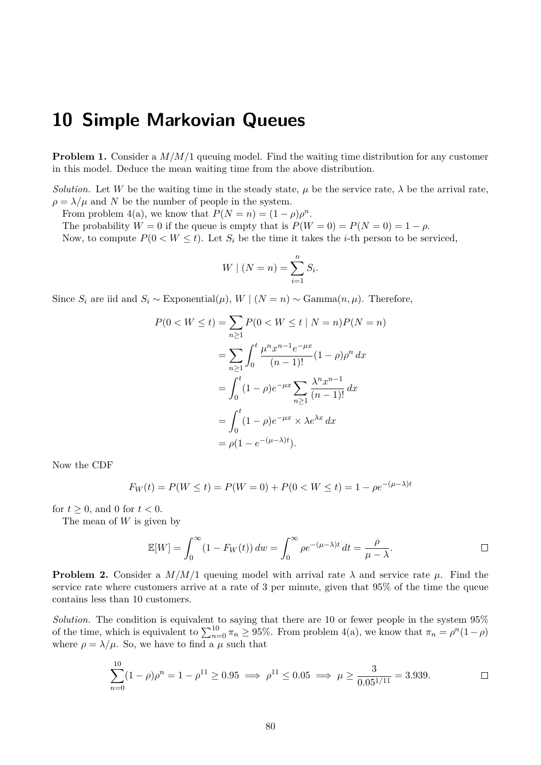## **10 Simple Markovian Queues**

**Problem 1.** Consider a  $M/M/1$  queuing model. Find the waiting time distribution for any customer in this model. Deduce the mean waiting time from the above distribution.

*Solution.* Let W be the waiting time in the steady state,  $\mu$  be the service rate,  $\lambda$  be the arrival rate,  $\rho = \lambda/\mu$  and N be the number of people in the system.

From problem 4(a), we know that  $P(N = n) = (1 - \rho)\rho^n$ .

The probability  $W = 0$  if the queue is empty that is  $P(W = 0) = P(N = 0) = 1 - \rho$ . Now, to compute  $P(0 \lt W \leq t)$ . Let  $S_i$  be the time it takes the *i*-th person to be serviced,

$$
W \mid (N = n) = \sum_{i=1}^{n} S_i.
$$

Since  $S_i$  are iid and  $S_i \sim \text{Exponential}(\mu)$ ,  $W | (N = n) \sim \text{Gamma}(n, \mu)$ . Therefore,

$$
P(0 < W \le t) = \sum_{n\ge1} P(0 < W \le t \mid N = n) P(N = n)
$$
  
= 
$$
\sum_{n\ge1} \int_0^t \frac{\mu^n x^{n-1} e^{-\mu x}}{(n-1)!} (1 - \rho) \rho^n dx
$$
  
= 
$$
\int_0^t (1 - \rho) e^{-\mu x} \sum_{n\ge1} \frac{\lambda^n x^{n-1}}{(n-1)!} dx
$$
  
= 
$$
\int_0^t (1 - \rho) e^{-\mu x} \times \lambda e^{\lambda x} dx
$$
  
= 
$$
\rho (1 - e^{-(\mu - \lambda)t}).
$$

Now the CDF

$$
F_W(t) = P(W \le t) = P(W = 0) + P(0 < W \le t) = 1 - \rho e^{-(\mu - \lambda)t}
$$

for  $t \geq 0$ , and 0 for  $t < 0$ .

The mean of  $W$  is given by

$$
\mathbb{E}[W] = \int_0^\infty (1 - F_W(t)) \, dw = \int_0^\infty \rho e^{-(\mu - \lambda)t} \, dt = \frac{\rho}{\mu - \lambda}.
$$

**Problem 2.** Consider a  $M/M/1$  queuing model with arrival rate  $\lambda$  and service rate  $\mu$ . Find the service rate where customers arrive at a rate of 3 per minute, given that 95% of the time the queue contains less than 10 customers.

*Solution.* The condition is equivalent to saying that there are 10 or fewer people in the system 95% of the time, which is equivalent to  $\sum_{n=0}^{10} \pi_n \ge 95\%$ . From problem 4(a), we know that  $\pi_n = \rho^n (1 - \rho)$ where  $\rho=\lambda/\mu.$  So, we have to find a  $\mu$  such that

$$
\sum_{n=0}^{10} (1 - \rho)\rho^n = 1 - \rho^{11} \ge 0.95 \implies \rho^{11} \le 0.05 \implies \mu \ge \frac{3}{0.05^{1/11}} = 3.939.
$$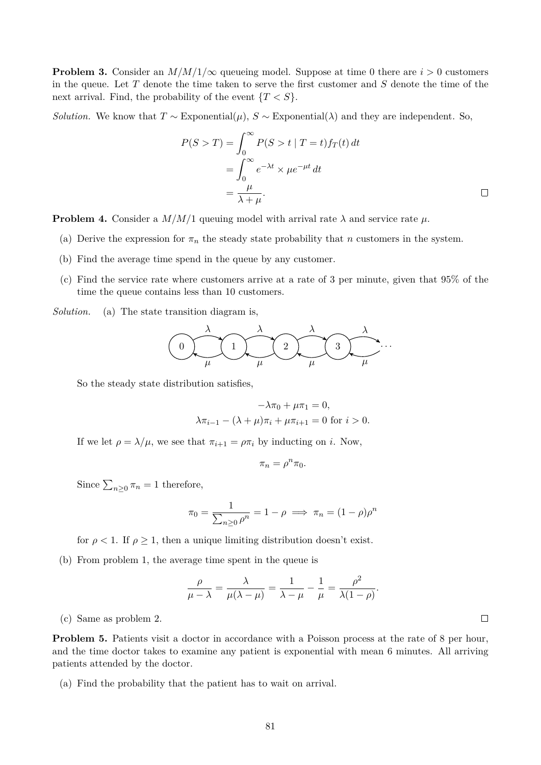**Problem 3.** Consider an  $M/M/1/\infty$  queueing model. Suppose at time 0 there are  $i > 0$  customers in the queue. Let  $T$  denote the time taken to serve the first customer and  $S$  denote the time of the next arrival. Find, the probability of the event  ${T < S}$ .

*Solution.* We know that  $T \sim$  Exponential( $\mu$ ),  $S \sim$  Exponential( $\lambda$ ) and they are independent. So,

$$
P(S > T) = \int_0^\infty P(S > t | T = t) f_T(t) dt
$$
  
= 
$$
\int_0^\infty e^{-\lambda t} \times \mu e^{-\mu t} dt
$$
  
= 
$$
\frac{\mu}{\lambda + \mu}.
$$

**Problem 4.** Consider a  $M/M/1$  queuing model with arrival rate  $\lambda$  and service rate  $\mu$ .

- (a) Derive the expression for  $\pi_n$  the steady state probability that n customers in the system.
- (b) Find the average time spend in the queue by any customer.
- (c) Find the service rate where customers arrive at a rate of 3 per minute, given that 95% of the time the queue contains less than 10 customers.

*Solution.* (a) The state transition diagram is,



So the steady state distribution satisfies,

$$
-\lambda \pi_0 + \mu \pi_1 = 0,
$$
  

$$
\lambda \pi_{i-1} - (\lambda + \mu) \pi_i + \mu \pi_{i+1} = 0 \text{ for } i > 0.
$$

If we let  $\rho = \lambda/\mu$ , we see that  $\pi_{i+1} = \rho \pi_i$  by inducting on i. Now,

$$
\pi_n = \rho^n \pi_0.
$$

Since  $\sum_{n\geq 0} \pi_n = 1$  therefore,

$$
\pi_0 = \frac{1}{\sum_{n\geq 0} \rho^n} = 1 - \rho \implies \pi_n = (1 - \rho)\rho^n
$$

for  $\rho < 1$ . If  $\rho \geq 1$ , then a unique limiting distribution doesn't exist.

(b) From problem 1, the average time spent in the queue is

$$
\frac{\rho}{\mu - \lambda} = \frac{\lambda}{\mu(\lambda - \mu)} = \frac{1}{\lambda - \mu} - \frac{1}{\mu} = \frac{\rho^2}{\lambda(1 - \rho)}.
$$

(c) Same as problem 2.

**Problem 5.** Patients visit a doctor in accordance with a Poisson process at the rate of 8 per hour, and the time doctor takes to examine any patient is exponential with mean 6 minutes. All arriving patients attended by the doctor.

(a) Find the probability that the patient has to wait on arrival.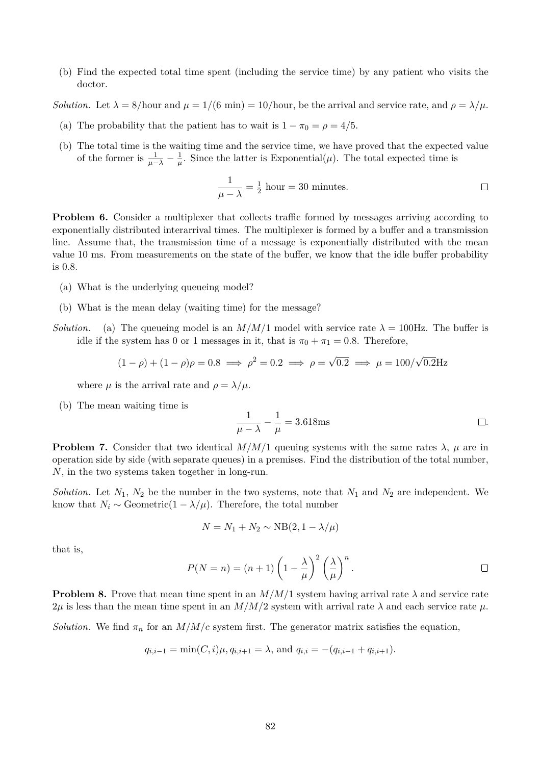(b) Find the expected total time spent (including the service time) by any patient who visits the doctor.

*Solution.* Let  $\lambda = 8/\text{hour}$  and  $\mu = 1/(6 \text{ min}) = 10/\text{hour}$ , be the arrival and service rate, and  $\rho = \lambda/\mu$ .

- (a) The probability that the patient has to wait is  $1 \pi_0 = \rho = 4/5$ .
- (b) The total time is the waiting time and the service time, we have proved that the expected value of the former is  $\frac{1}{\mu - \lambda} - \frac{1}{\mu}$  $\frac{1}{\mu}$ . Since the latter is Exponential( $\mu$ ). The total expected time is

$$
\frac{1}{\mu - \lambda} = \frac{1}{2} \text{ hour} = 30 \text{ minutes.}
$$

**Problem 6.** Consider a multiplexer that collects traffic formed by messages arriving according to exponentially distributed interarrival times. The multiplexer is formed by a buffer and a transmission line. Assume that, the transmission time of a message is exponentially distributed with the mean value 10 ms. From measurements on the state of the buffer, we know that the idle buffer probability is 0.8.

- (a) What is the underlying queueing model?
- (b) What is the mean delay (waiting time) for the message?
- *Solution.* (a) The queueing model is an  $M/M/1$  model with service rate  $\lambda = 100$ Hz. The buffer is idle if the system has 0 or 1 messages in it, that is  $\pi_0 + \pi_1 = 0.8$ . Therefore,

$$
(1 - \rho) + (1 - \rho)\rho = 0.8 \implies \rho^2 = 0.2 \implies \rho = \sqrt{0.2} \implies \mu = 100/\sqrt{0.2} \text{Hz}
$$

where  $\mu$  is the arrival rate and  $\rho = \lambda / \mu$ .

(b) The mean waiting time is

$$
\frac{1}{\mu - \lambda} - \frac{1}{\mu} = 3.618 \text{ms}
$$

**Problem 7.** Consider that two identical  $M/M/1$  queuing systems with the same rates  $\lambda$ ,  $\mu$  are in operation side by side (with separate queues) in a premises. Find the distribution of the total number, N, in the two systems taken together in long-run.

*Solution.* Let  $N_1$ ,  $N_2$  be the number in the two systems, note that  $N_1$  and  $N_2$  are independent. We know that  $N_i \sim \text{Geometric}(1 - \lambda/\mu)$ . Therefore, the total number

$$
N = N_1 + N_2 \sim \text{NB}(2, 1 - \lambda/\mu)
$$

that is,

$$
P(N = n) = (n+1)\left(1 - \frac{\lambda}{\mu}\right)^2 \left(\frac{\lambda}{\mu}\right)^n.
$$

**Problem 8.** Prove that mean time spent in an  $M/M/1$  system having arrival rate  $\lambda$  and service rate  $2\mu$  is less than the mean time spent in an  $M/M/2$  system with arrival rate  $\lambda$  and each service rate  $\mu$ .

*Solution.* We find  $\pi_n$  for an  $M/M/c$  system first. The generator matrix satisfies the equation,

$$
q_{i,i-1} = \min(C, i)\mu, q_{i,i+1} = \lambda
$$
, and  $q_{i,i} = -(q_{i,i-1} + q_{i,i+1}).$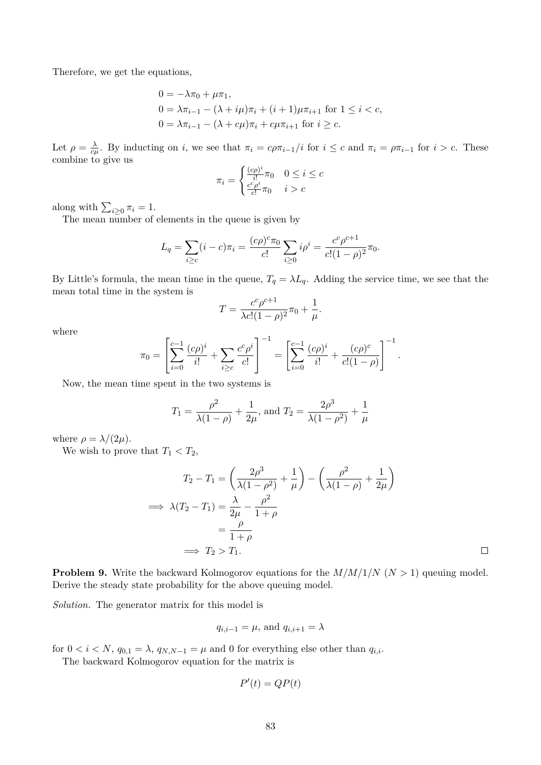Therefore, we get the equations,

$$
0 = -\lambda \pi_0 + \mu \pi_1,
$$
  
\n
$$
0 = \lambda \pi_{i-1} - (\lambda + i\mu)\pi_i + (i+1)\mu \pi_{i+1} \text{ for } 1 \le i < c,
$$
  
\n
$$
0 = \lambda \pi_{i-1} - (\lambda + c\mu)\pi_i + c\mu \pi_{i+1} \text{ for } i \ge c.
$$

Let  $\rho = \frac{\lambda}{c}$  $\frac{\lambda}{c\mu}$ . By inducting on i, we see that  $\pi_i = c\rho \pi_{i-1}/i$  for  $i \leq c$  and  $\pi_i = \rho \pi_{i-1}$  for  $i > c$ . These combine to give us

$$
\pi_i = \begin{cases} \frac{(c\rho)^i}{i!} \pi_0 & 0 \le i \le c\\ \frac{c^c \rho^i}{c!} \pi_0 & i > c \end{cases}
$$

along with  $\sum_{i\geq 0} \pi_i = 1$ .

The mean number of elements in the queue is given by

$$
L_q = \sum_{i \geq c} (i - c)\pi_i = \frac{(c\rho)^c \pi_0}{c!} \sum_{i \geq 0} i\rho^i = \frac{c^c \rho^{c+1}}{c!(1 - \rho)^2} \pi_0.
$$

By Little's formula, the mean time in the queue,  $T_q = \lambda L_q$ . Adding the service time, we see that the mean total time in the system is

$$
T = \frac{c^c \rho^{c+1}}{\lambda c! (1 - \rho)^2} \pi_0 + \frac{1}{\mu}.
$$

where

$$
\pi_0 = \left[\sum_{i=0}^{c-1} \frac{(c\rho)^i}{i!} + \sum_{i \ge c} \frac{c^c \rho^i}{c!} \right]^{-1} = \left[\sum_{i=0}^{c-1} \frac{(c\rho)^i}{i!} + \frac{(c\rho)^c}{c!(1-\rho)} \right]^{-1}.
$$

Now, the mean time spent in the two systems is

$$
T_1 = \frac{\rho^2}{\lambda(1-\rho)} + \frac{1}{2\mu}
$$
, and  $T_2 = \frac{2\rho^3}{\lambda(1-\rho^2)} + \frac{1}{\mu}$ 

where  $\rho = \lambda/(2\mu)$ .

We wish to prove that  $T_1 < T_2$ ,

$$
T_2 - T_1 = \left(\frac{2\rho^3}{\lambda(1 - \rho^2)} + \frac{1}{\mu}\right) - \left(\frac{\rho^2}{\lambda(1 - \rho)} + \frac{1}{2\mu}\right)
$$
  
\n
$$
\implies \lambda(T_2 - T_1) = \frac{\lambda}{2\mu} - \frac{\rho^2}{1 + \rho}
$$
  
\n
$$
= \frac{\rho}{1 + \rho}
$$
  
\n
$$
\implies T_2 > T_1.
$$

 $\Box$ 

**Problem 9.** Write the backward Kolmogorov equations for the  $M/M/1/N$  ( $N > 1$ ) queuing model. Derive the steady state probability for the above queuing model.

*Solution.* The generator matrix for this model is

$$
q_{i,i-1} = \mu
$$
, and  $q_{i,i+1} = \lambda$ 

for  $0 < i < N$ ,  $q_{0,1} = \lambda$ ,  $q_{N,N-1} = \mu$  and 0 for everything else other than  $q_{i,i}$ .

The backward Kolmogorov equation for the matrix is

$$
P'(t) = QP(t)
$$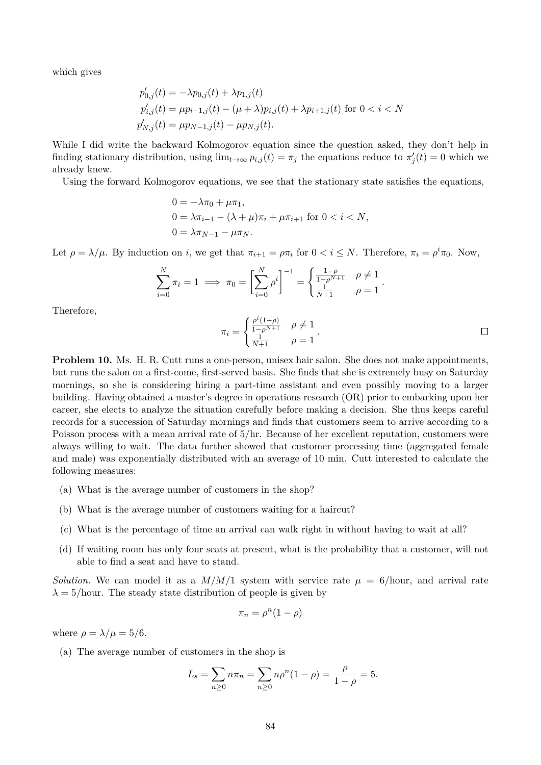which gives

$$
p'_{0,j}(t) = -\lambda p_{0,j}(t) + \lambda p_{1,j}(t)
$$
  
\n
$$
p'_{i,j}(t) = \mu p_{i-1,j}(t) - (\mu + \lambda) p_{i,j}(t) + \lambda p_{i+1,j}(t) \text{ for } 0 < i < N
$$
  
\n
$$
p'_{N,j}(t) = \mu p_{N-1,j}(t) - \mu p_{N,j}(t).
$$

While I did write the backward Kolmogorov equation since the question asked, they don't help in finding stationary distribution, using  $\lim_{t\to\infty} p_{i,j}(t) = \pi_j$  the equations reduce to  $\pi'_j(t) = 0$  which we already knew.

Using the forward Kolmogorov equations, we see that the stationary state satisfies the equations,

$$
0 = -\lambda \pi_0 + \mu \pi_1,
$$
  
\n
$$
0 = \lambda \pi_{i-1} - (\lambda + \mu) \pi_i + \mu \pi_{i+1} \text{ for } 0 < i < N,
$$
  
\n
$$
0 = \lambda \pi_{N-1} - \mu \pi_N.
$$

Let  $\rho = \lambda/\mu$ . By induction on i, we get that  $\pi_{i+1} = \rho \pi_i$  for  $0 < i \leq N$ . Therefore,  $\pi_i = \rho^i \pi_0$ . Now,

$$
\sum_{i=0}^{N} \pi_i = 1 \implies \pi_0 = \left[ \sum_{i=0}^{N} \rho^i \right]^{-1} = \begin{cases} \frac{1-\rho}{1-\rho^{N+1}} & \rho \neq 1 \\ \frac{1}{N+1} & \rho = 1 \end{cases}.
$$

Therefore,

$$
\pi_i = \begin{cases} \frac{\rho^i (1-\rho)}{1-\rho^{N+1}} & \rho \neq 1\\ \frac{1}{N+1} & \rho = 1 \end{cases} \tag{\Box}
$$

**Problem 10.** Ms. H. R. Cutt runs a one-person, unisex hair salon. She does not make appointments, but runs the salon on a first-come, first-served basis. She finds that she is extremely busy on Saturday mornings, so she is considering hiring a part-time assistant and even possibly moving to a larger building. Having obtained a master's degree in operations research (OR) prior to embarking upon her career, she elects to analyze the situation carefully before making a decision. She thus keeps careful records for a succession of Saturday mornings and finds that customers seem to arrive according to a Poisson process with a mean arrival rate of 5/hr. Because of her excellent reputation, customers were always willing to wait. The data further showed that customer processing time (aggregated female and male) was exponentially distributed with an average of 10 min. Cutt interested to calculate the following measures:

- (a) What is the average number of customers in the shop?
- (b) What is the average number of customers waiting for a haircut?
- (c) What is the percentage of time an arrival can walk right in without having to wait at all?
- (d) If waiting room has only four seats at present, what is the probability that a customer, will not able to find a seat and have to stand.

*Solution.* We can model it as a  $M/M/1$  system with service rate  $\mu = 6/h$ our, and arrival rate  $\lambda = 5/h$ our. The steady state distribution of people is given by

$$
\pi_n = \rho^n (1 - \rho)
$$

where  $\rho = \lambda/\mu = 5/6$ .

(a) The average number of customers in the shop is

$$
L_s = \sum_{n\geq 0} n\pi_n = \sum_{n\geq 0} n\rho^n (1-\rho) = \frac{\rho}{1-\rho} = 5.
$$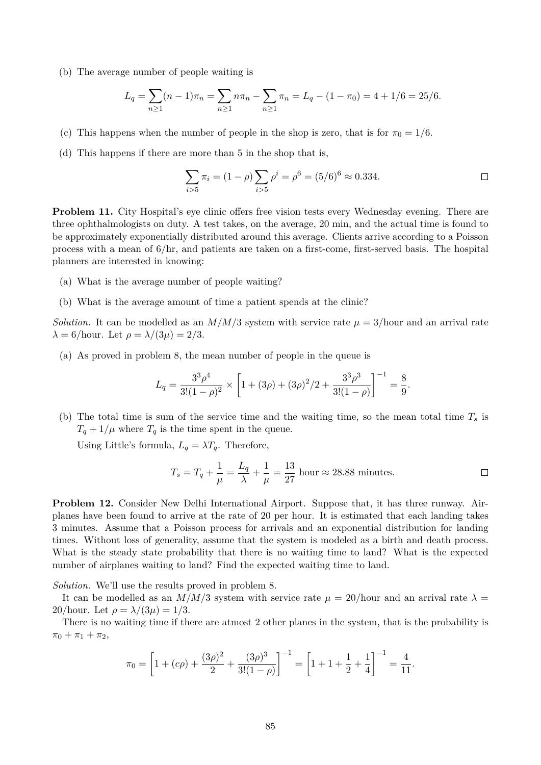(b) The average number of people waiting is

$$
L_q = \sum_{n\geq 1} (n-1)\pi_n = \sum_{n\geq 1} n\pi_n - \sum_{n\geq 1} \pi_n = L_q - (1 - \pi_0) = 4 + 1/6 = 25/6.
$$

- (c) This happens when the number of people in the shop is zero, that is for  $\pi_0 = 1/6$ .
- (d) This happens if there are more than 5 in the shop that is,

$$
\sum_{i>5} \pi_i = (1 - \rho) \sum_{i>5} \rho^i = \rho^6 = (5/6)^6 \approx 0.334.
$$

**Problem 11.** City Hospital's eye clinic offers free vision tests every Wednesday evening. There are three ophthalmologists on duty. A test takes, on the average, 20 min, and the actual time is found to be approximately exponentially distributed around this average. Clients arrive according to a Poisson process with a mean of 6/hr, and patients are taken on a first-come, first-served basis. The hospital planners are interested in knowing:

- (a) What is the average number of people waiting?
- (b) What is the average amount of time a patient spends at the clinic?

*Solution.* It can be modelled as an  $M/M/3$  system with service rate  $\mu = 3/\text{hour}$  and an arrival rate  $\lambda = 6/\text{hour}$ . Let  $\rho = \lambda/(3\mu) = 2/3$ .

(a) As proved in problem 8, the mean number of people in the queue is

$$
L_q = \frac{3^3 \rho^4}{3!(1-\rho)^2} \times \left[1 + (3\rho) + (3\rho)^2/2 + \frac{3^3 \rho^3}{3!(1-\rho)}\right]^{-1} = \frac{8}{9}.
$$

(b) The total time is sum of the service time and the waiting time, so the mean total time  $T_s$  is  $T_q + 1/\mu$  where  $T_q$  is the time spent in the queue.

Using Little's formula,  $L_q = \lambda T_q$ . Therefore,

$$
T_s = T_q + \frac{1}{\mu} = \frac{L_q}{\lambda} + \frac{1}{\mu} = \frac{13}{27} \text{ hour} \approx 28.88 \text{ minutes.}
$$

**Problem 12.** Consider New Delhi International Airport. Suppose that, it has three runway. Airplanes have been found to arrive at the rate of 20 per hour. It is estimated that each landing takes 3 minutes. Assume that a Poisson process for arrivals and an exponential distribution for landing times. Without loss of generality, assume that the system is modeled as a birth and death process. What is the steady state probability that there is no waiting time to land? What is the expected number of airplanes waiting to land? Find the expected waiting time to land.

*Solution.* We'll use the results proved in problem 8.

It can be modelled as an  $M/M/3$  system with service rate  $\mu = 20$ /hour and an arrival rate  $\lambda =$ 20/hour. Let  $\rho = \lambda/(3\mu) = 1/3$ .

There is no waiting time if there are atmost 2 other planes in the system, that is the probability is  $\pi_0 + \pi_1 + \pi_2$ ,

$$
\pi_0 = \left[1 + (c\rho) + \frac{(3\rho)^2}{2} + \frac{(3\rho)^3}{3!(1-\rho)}\right]^{-1} = \left[1 + 1 + \frac{1}{2} + \frac{1}{4}\right]^{-1} = \frac{4}{11}.
$$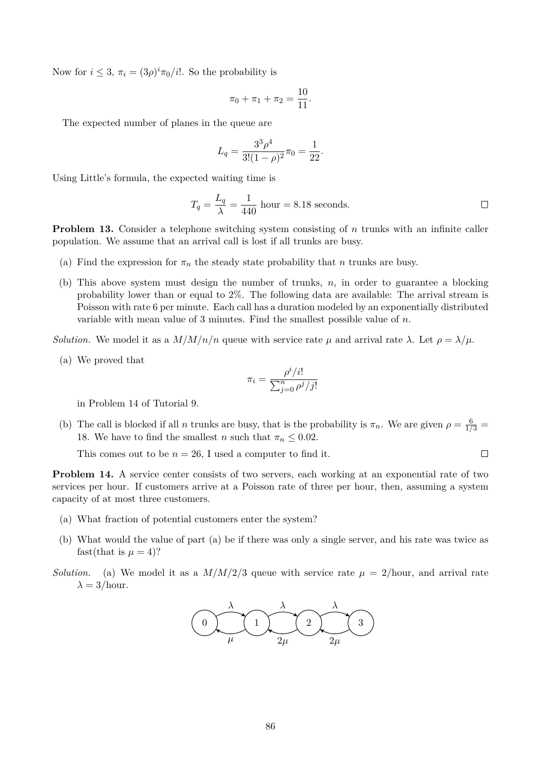Now for  $i \leq 3$ ,  $\pi_i = (3\rho)^i \pi_0/i!$ . So the probability is

$$
\pi_0 + \pi_1 + \pi_2 = \frac{10}{11}.
$$

The expected number of planes in the queue are

$$
L_q = \frac{3^3 \rho^4}{3!(1-\rho)^2} \pi_0 = \frac{1}{22}.
$$

Using Little's formula, the expected waiting time is

$$
T_q = \frac{L_q}{\lambda} = \frac{1}{440} \text{ hour} = 8.18 \text{ seconds.}
$$

 $\Box$ 

**Problem 13.** Consider a telephone switching system consisting of n trunks with an infinite caller population. We assume that an arrival call is lost if all trunks are busy.

- (a) Find the expression for  $\pi_n$  the steady state probability that n trunks are busy.
- (b) This above system must design the number of trunks,  $n$ , in order to guarantee a blocking probability lower than or equal to 2%. The following data are available: The arrival stream is Poisson with rate 6 per minute. Each call has a duration modeled by an exponentially distributed variable with mean value of 3 minutes. Find the smallest possible value of  $n$ .

*Solution.* We model it as a  $M/M/n/n$  queue with service rate  $\mu$  and arrival rate  $\lambda$ . Let  $\rho = \lambda/\mu$ .

(a) We proved that

$$
\pi_i = \frac{\rho^i/i!}{\sum_{j=0}^n \rho^j/j!}
$$

in Problem 14 of Tutorial 9.

(b) The call is blocked if all n trunks are busy, that is the probability is  $\pi_n$ . We are given  $\rho = \frac{6}{1/3}$ 18. We have to find the smallest *n* such that  $\pi_n \leq 0.02$ .

This comes out to be  $n = 26$ , I used a computer to find it.

**Problem 14.** A service center consists of two servers, each working at an exponential rate of two services per hour. If customers arrive at a Poisson rate of three per hour, then, assuming a system capacity of at most three customers.

- (a) What fraction of potential customers enter the system?
- (b) What would the value of part (a) be if there was only a single server, and his rate was twice as fast(that is  $\mu = 4$ )?
- *Solution.* (a) We model it as a  $M/M/2/3$  queue with service rate  $\mu = 2/\text{hour}$ , and arrival rate  $\lambda = 3/\text{hour.}$

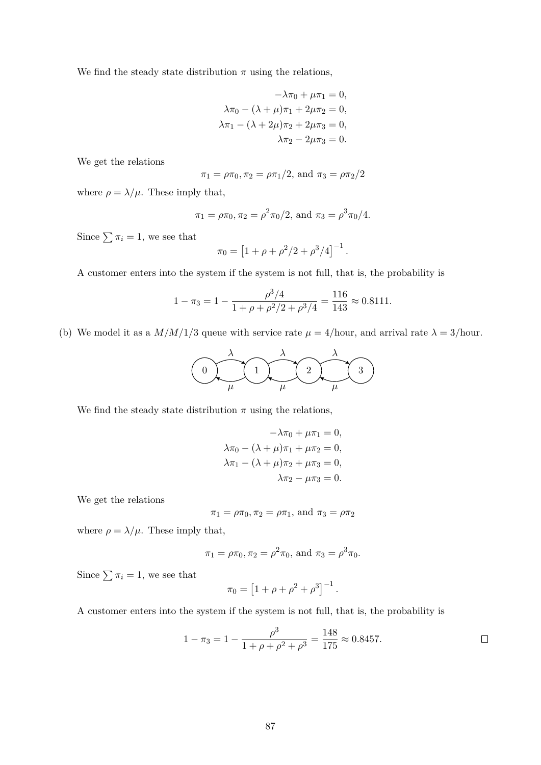We find the steady state distribution  $\pi$  using the relations,

$$
-\lambda \pi_0 + \mu \pi_1 = 0,
$$
  
\n
$$
\lambda \pi_0 - (\lambda + \mu) \pi_1 + 2\mu \pi_2 = 0,
$$
  
\n
$$
\lambda \pi_1 - (\lambda + 2\mu) \pi_2 + 2\mu \pi_3 = 0,
$$
  
\n
$$
\lambda \pi_2 - 2\mu \pi_3 = 0.
$$

We get the relations

$$
\pi_1 = \rho \pi_0, \pi_2 = \rho \pi_1/2
$$
, and  $\pi_3 = \rho \pi_2/2$ 

where  $\rho = \lambda/\mu$ . These imply that,

$$
\pi_1 = \rho \pi_0, \pi_2 = \rho^2 \pi_0/2
$$
, and  $\pi_3 = \rho^3 \pi_0/4$ .

Since  $\sum \pi_i = 1$ , we see that

$$
\pi_0 = \left[1 + \rho + \rho^2/2 + \rho^3/4\right]^{-1}.
$$

A customer enters into the system if the system is not full, that is, the probability is

$$
1 - \pi_3 = 1 - \frac{\rho^3/4}{1 + \rho + \rho^2/2 + \rho^3/4} = \frac{116}{143} \approx 0.8111.
$$

(b) We model it as a  $M/M/1/3$  queue with service rate  $\mu = 4/\text{hour}$ , and arrival rate  $\lambda = 3/\text{hour}$ .

$$
\begin{pmatrix}\n\lambda & \lambda & \lambda \\
0 & \mu & \mu\n\end{pmatrix}\n\begin{pmatrix}\n\lambda & \lambda \\
\lambda & \mu\n\end{pmatrix}
$$

We find the steady state distribution  $\pi$  using the relations,

$$
-\lambda \pi_0 + \mu \pi_1 = 0,
$$
  
\n
$$
\lambda \pi_0 - (\lambda + \mu) \pi_1 + \mu \pi_2 = 0,
$$
  
\n
$$
\lambda \pi_1 - (\lambda + \mu) \pi_2 + \mu \pi_3 = 0,
$$
  
\n
$$
\lambda \pi_2 - \mu \pi_3 = 0.
$$

We get the relations

$$
\pi_1 = \rho \pi_0, \pi_2 = \rho \pi_1
$$
, and  $\pi_3 = \rho \pi_2$ 

where  $\rho = \lambda/\mu$ . These imply that,

$$
\pi_1 = \rho \pi_0, \pi_2 = \rho^2 \pi_0
$$
, and  $\pi_3 = \rho^3 \pi_0$ .

Since  $\sum \pi_i = 1$ , we see that

$$
\pi_0 = [1 + \rho + \rho^2 + \rho^3]^{-1}.
$$

A customer enters into the system if the system is not full, that is, the probability is

$$
1 - \pi_3 = 1 - \frac{\rho^3}{1 + \rho + \rho^2 + \rho^3} = \frac{148}{175} \approx 0.8457.
$$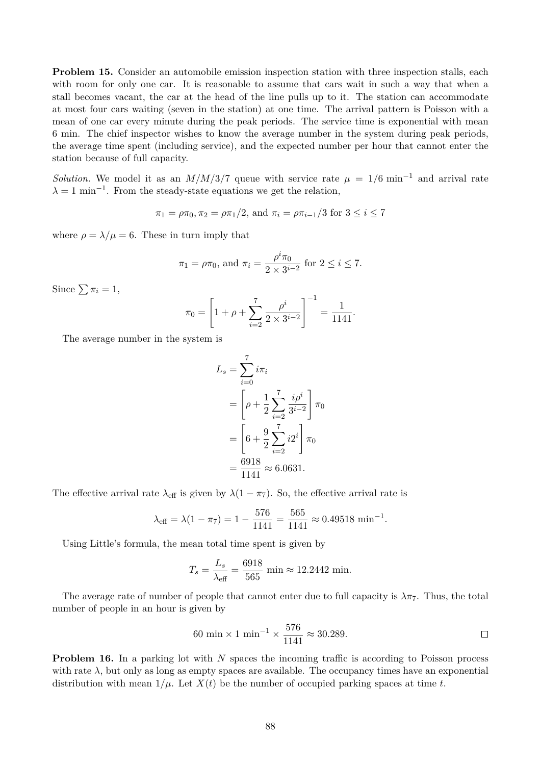**Problem 15.** Consider an automobile emission inspection station with three inspection stalls, each with room for only one car. It is reasonable to assume that cars wait in such a way that when a stall becomes vacant, the car at the head of the line pulls up to it. The station can accommodate at most four cars waiting (seven in the station) at one time. The arrival pattern is Poisson with a mean of one car every minute during the peak periods. The service time is exponential with mean 6 min. The chief inspector wishes to know the average number in the system during peak periods, the average time spent (including service), and the expected number per hour that cannot enter the station because of full capacity.

*Solution.* We model it as an  $M/M/3/7$  queue with service rate  $\mu = 1/6$  min<sup>-1</sup> and arrival rate  $\lambda = 1$  min<sup>-1</sup>. From the steady-state equations we get the relation,

$$
\pi_1 = \rho \pi_0, \pi_2 = \rho \pi_1/2
$$
, and  $\pi_i = \rho \pi_{i-1}/3$  for  $3 \leq i \leq 7$ 

where  $\rho = \lambda / \mu = 6$ . These in turn imply that

$$
\pi_1 = \rho \pi_0
$$
, and  $\pi_i = \frac{\rho^i \pi_0}{2 \times 3^{i-2}}$  for  $2 \le i \le 7$ .

Since  $\sum \pi_i = 1$ ,

$$
\pi_0 = \left[1 + \rho + \sum_{i=2}^7 \frac{\rho^i}{2 \times 3^{i-2}}\right]^{-1} = \frac{1}{1141}.
$$

The average number in the system is

$$
L_s = \sum_{i=0}^{7} i\pi_i
$$
  
=  $\left[\rho + \frac{1}{2} \sum_{i=2}^{7} \frac{i\rho^i}{3^{i-2}}\right] \pi_0$   
=  $\left[6 + \frac{9}{2} \sum_{i=2}^{7} i2^i\right] \pi_0$   
=  $\frac{6918}{1141} \approx 6.0631.$ 

The effective arrival rate  $\lambda_{\text{eff}}$  is given by  $\lambda(1-\pi_7)$ . So, the effective arrival rate is

$$
\lambda_{\text{eff}} = \lambda (1 - \pi_7) = 1 - \frac{576}{1141} = \frac{565}{1141} \approx 0.49518 \text{ min}^{-1}.
$$

Using Little's formula, the mean total time spent is given by

$$
T_s = \frac{L_s}{\lambda_{\text{eff}}} = \frac{6918}{565} \text{ min} \approx 12.2442 \text{ min}.
$$

The average rate of number of people that cannot enter due to full capacity is  $\lambda \pi$ . Thus, the total number of people in an hour is given by

60 min × 1 min<sup>-1</sup> × 
$$
\frac{576}{1141}
$$
 ≈ 30.289.

**Problem 16.** In a parking lot with N spaces the incoming traffic is according to Poisson process with rate  $\lambda$ , but only as long as empty spaces are available. The occupancy times have an exponential distribution with mean  $1/\mu$ . Let  $X(t)$  be the number of occupied parking spaces at time t.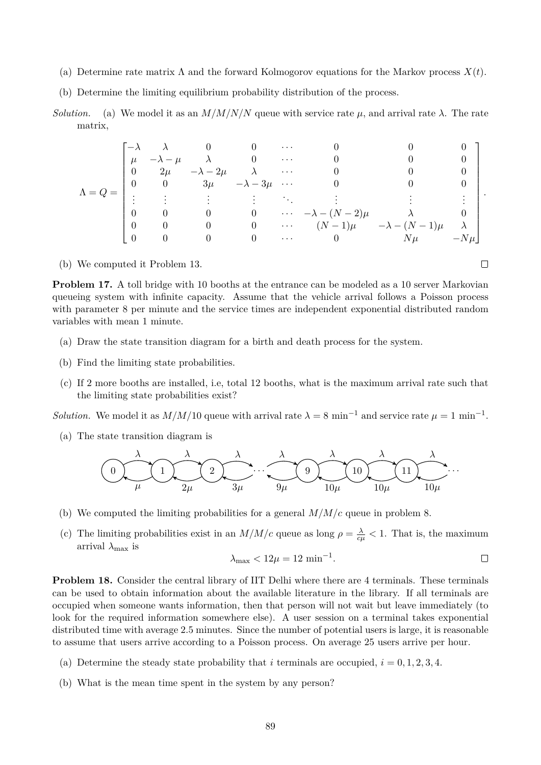- (a) Determine rate matrix  $\Lambda$  and the forward Kolmogorov equations for the Markov process  $X(t)$ .
- (b) Determine the limiting equilibrium probability distribution of the process.
- *Solution.* (a) We model it as an  $M/M/N/N$  queue with service rate  $\mu$ , and arrival rate  $\lambda$ . The rate matrix,

$$
\Lambda = Q = \begin{bmatrix} -\lambda & \lambda & 0 & 0 & \cdots & 0 & 0 & 0 \\ \mu & -\lambda - \mu & \lambda & 0 & \cdots & 0 & 0 & 0 \\ 0 & 2\mu & -\lambda - 2\mu & \lambda & \cdots & 0 & 0 & 0 \\ 0 & 0 & 3\mu & -\lambda - 3\mu & \cdots & 0 & 0 & 0 \\ \vdots & \vdots & \vdots & \vdots & \ddots & \vdots & \vdots & \vdots \\ 0 & 0 & 0 & 0 & \cdots & -\lambda - (N-2)\mu & \lambda & 0 \\ 0 & 0 & 0 & 0 & \cdots & (N-1)\mu & -\lambda - (N-1)\mu & \lambda \\ 0 & 0 & 0 & 0 & \cdots & 0 & N\mu & -N\mu \end{bmatrix}.
$$

(b) We computed it Problem 13.

**Problem 17.** A toll bridge with 10 booths at the entrance can be modeled as a 10 server Markovian queueing system with infinite capacity. Assume that the vehicle arrival follows a Poisson process with parameter 8 per minute and the service times are independent exponential distributed random variables with mean 1 minute.

- (a) Draw the state transition diagram for a birth and death process for the system.
- (b) Find the limiting state probabilities.
- (c) If 2 more booths are installed, i.e, total 12 booths, what is the maximum arrival rate such that the limiting state probabilities exist?

*Solution.* We model it as  $M/M/10$  queue with arrival rate  $\lambda = 8 \text{ min}^{-1}$  and service rate  $\mu = 1 \text{ min}^{-1}$ .

(a) The state transition diagram is



- (b) We computed the limiting probabilities for a general  $M/M/c$  queue in problem 8.
- (c) The limiting probabilities exist in an  $M/M/c$  queue as long  $\rho = \frac{\lambda}{c\mu} < 1$ . That is, the maximum arrival  $\lambda_{\text{max}}$  is

$$
\lambda_{\max} < 12\mu = 12 \, \min^{-1} .
$$

**Problem 18.** Consider the central library of IIT Delhi where there are 4 terminals. These terminals can be used to obtain information about the available literature in the library. If all terminals are occupied when someone wants information, then that person will not wait but leave immediately (to look for the required information somewhere else). A user session on a terminal takes exponential distributed time with average 2.5 minutes. Since the number of potential users is large, it is reasonable to assume that users arrive according to a Poisson process. On average 25 users arrive per hour.

- (a) Determine the steady state probability that i terminals are occupied,  $i = 0, 1, 2, 3, 4$ .
- (b) What is the mean time spent in the system by any person?